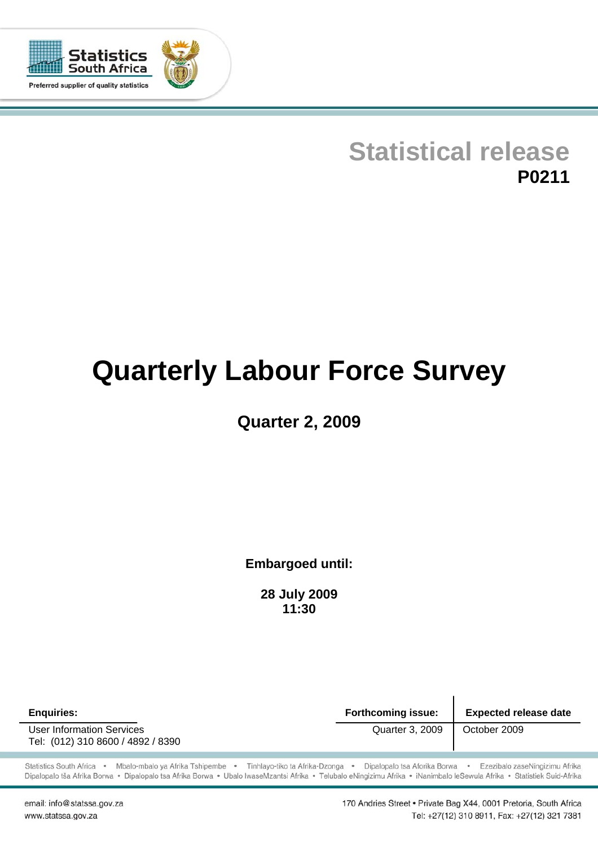

# **Statistical release P0211**

# **Quarterly Labour Force Survey**

## **Quarter 2, 2009**

**Embargoed until:** 

**28 July 2009 11:30**

**Enquiries: Forthcoming issue: Expected release date**  User Information Services **Contracts** Quarter 3, 2009 | October 2009 Tel: (012) 310 8600 / 4892 / 8390

Statistics South Africa · Mbalo-mbalo ya Afrika Tshipembe · Tinhlayo-tiko ta Afrika-Dzonga · Dipalopalo tsa Aforika Borwa · Ezezibalo zaseNingizimu Afrika Dipalopalo tša Afrika Borwa · Dipalopalo tsa Afrika Borwa · Ubalo lwaseMzantsi Afrika · Telubalo eNingizimu Afrika · iNanimbalo leSewula Afrika · Statistiek Suid-Afrika

email: info@statssa.gov.za www.statssa.gov.za

170 Andries Street . Private Bag X44, 0001 Pretoria, South Africa Tel: +27(12) 310 8911, Fax: +27(12) 321 7381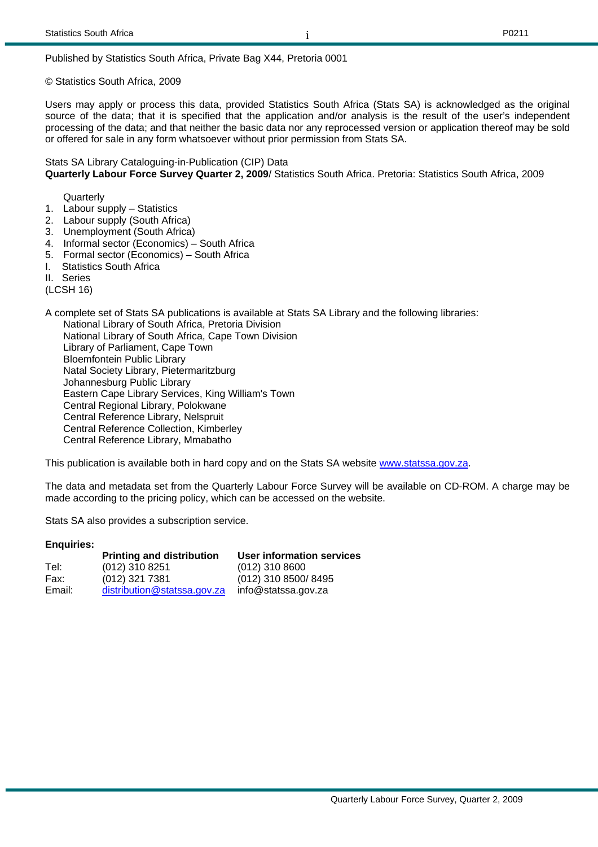#### i

Published by Statistics South Africa, Private Bag X44, Pretoria 0001

© Statistics South Africa, 2009

Users may apply or process this data, provided Statistics South Africa (Stats SA) is acknowledged as the original source of the data; that it is specified that the application and/or analysis is the result of the user's independent processing of the data; and that neither the basic data nor any reprocessed version or application thereof may be sold or offered for sale in any form whatsoever without prior permission from Stats SA.

Stats SA Library Cataloguing-in-Publication (CIP) Data **Quarterly Labour Force Survey Quarter 2, 2009**/ Statistics South Africa. Pretoria: Statistics South Africa, 2009

**Quarterly** 

- 1. Labour supply Statistics
- 2. Labour supply (South Africa)
- 3. Unemployment (South Africa)
- 4. Informal sector (Economics) South Africa
- 5. Formal sector (Economics) South Africa
- I. Statistics South Africa
- II. Series

(LCSH 16)

A complete set of Stats SA publications is available at Stats SA Library and the following libraries: National Library of South Africa, Pretoria Division National Library of South Africa, Cape Town Division Library of Parliament, Cape Town Bloemfontein Public Library Natal Society Library, Pietermaritzburg Johannesburg Public Library Eastern Cape Library Services, King William's Town Central Regional Library, Polokwane Central Reference Library, Nelspruit Central Reference Collection, Kimberley Central Reference Library, Mmabatho

This publication is available both in hard copy and on the Stats SA website www.statssa.gov.za.

The data and metadata set from the Quarterly Labour Force Survey will be available on CD-ROM. A charge may be made according to the pricing policy, which can be accessed on the website.

Stats SA also provides a subscription service.

#### **Enquiries:**

|        | <b>Printing and distribution</b> | User information services |
|--------|----------------------------------|---------------------------|
| Tel:   | (012) 310 8251                   | $(012)$ 310 8600          |
| Fax:   | (012) 321 7381                   | (012) 310 8500/8495       |
| Email: | distribution@statssa.gov.za      | info@statssa.gov.za       |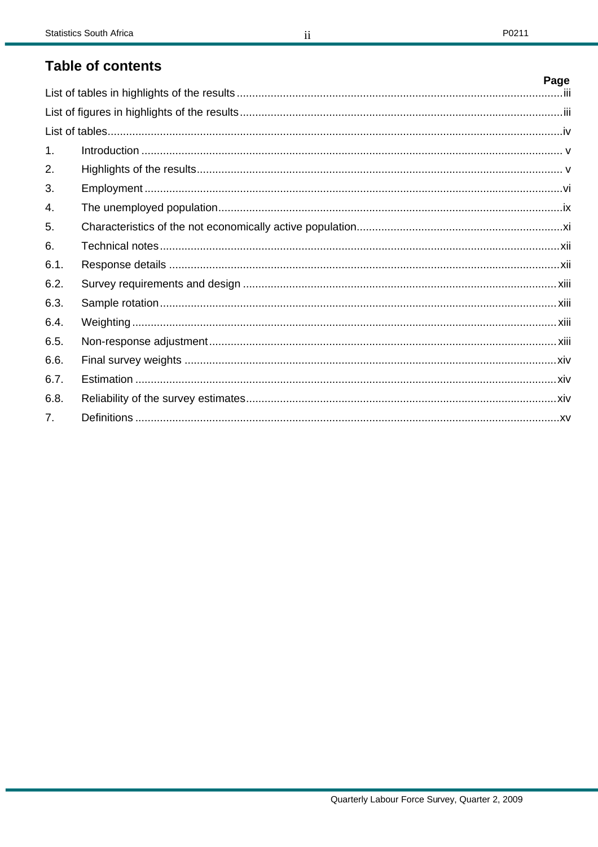## **Table of contents**

|                | Page |
|----------------|------|
|                |      |
|                |      |
|                |      |
| 1 <sub>1</sub> |      |
| 2.             |      |
| 3.             |      |
| 4.             |      |
| 5.             |      |
| 6.             |      |
| 6.1.           |      |
| 6.2.           |      |
| 6.3.           |      |
| 6.4.           |      |
| 6.5.           |      |
| 6.6.           |      |
| 6.7.           |      |
| 6.8.           |      |
| 7 <sup>1</sup> |      |

 $ii$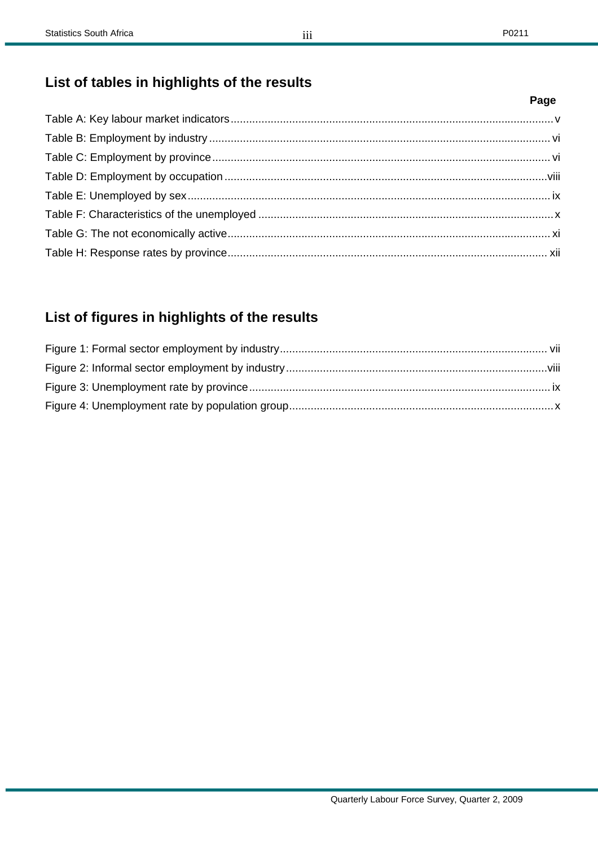## **List of tables in highlights of the results**

## **List of figures in highlights of the results**

**Page**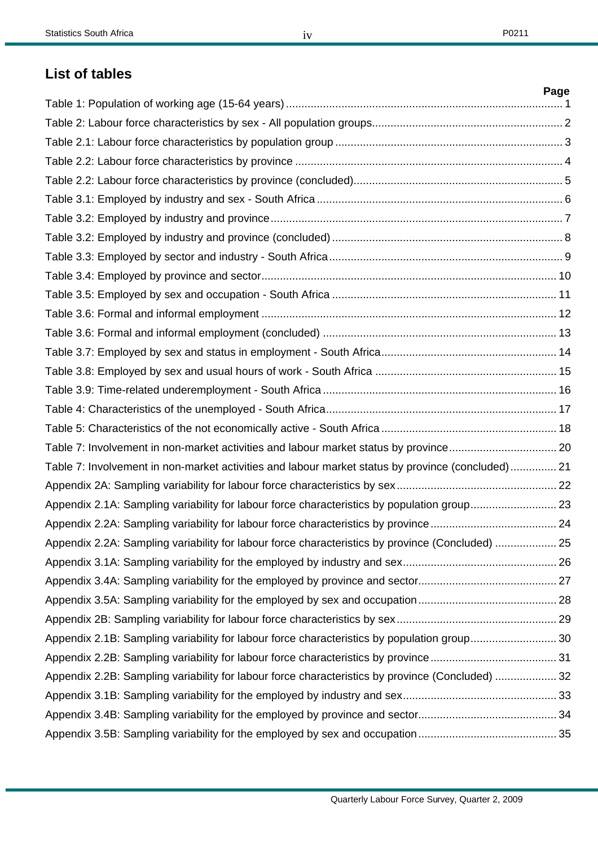## **List of tables**

|                                                                                                   | Page |
|---------------------------------------------------------------------------------------------------|------|
|                                                                                                   |      |
|                                                                                                   |      |
|                                                                                                   |      |
|                                                                                                   |      |
|                                                                                                   |      |
|                                                                                                   |      |
|                                                                                                   |      |
|                                                                                                   |      |
|                                                                                                   |      |
|                                                                                                   |      |
|                                                                                                   |      |
|                                                                                                   |      |
|                                                                                                   |      |
|                                                                                                   |      |
|                                                                                                   |      |
|                                                                                                   |      |
|                                                                                                   |      |
|                                                                                                   |      |
| Table 7: Involvement in non-market activities and labour market status by province 20             |      |
| Table 7: Involvement in non-market activities and labour market status by province (concluded) 21 |      |
|                                                                                                   |      |
| Appendix 2.1A: Sampling variability for labour force characteristics by population group 23       |      |
|                                                                                                   |      |
| Appendix 2.2A: Sampling variability for labour force characteristics by province (Concluded)  25  |      |
|                                                                                                   |      |
|                                                                                                   |      |
|                                                                                                   |      |
|                                                                                                   |      |
| Appendix 2.1B: Sampling variability for labour force characteristics by population group 30       |      |
|                                                                                                   |      |
| Appendix 2.2B: Sampling variability for labour force characteristics by province (Concluded)  32  |      |
|                                                                                                   |      |
|                                                                                                   |      |
|                                                                                                   |      |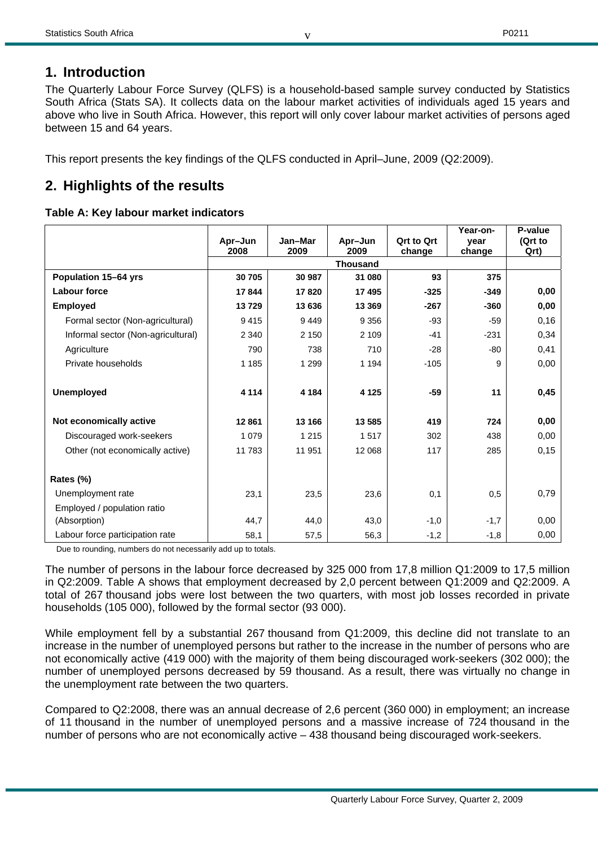## **1. Introduction**

The Quarterly Labour Force Survey (QLFS) is a household-based sample survey conducted by Statistics South Africa (Stats SA). It collects data on the labour market activities of individuals aged 15 years and above who live in South Africa. However, this report will only cover labour market activities of persons aged between 15 and 64 years.

v

This report presents the key findings of the QLFS conducted in April–June, 2009 (Q2:2009).

## **2. Highlights of the results**

#### **Table A: Key labour market indicators**

|                                    | Apr-Jun | Jan-Mar<br>2009 | Apr-Jun<br>2009           | <b>Qrt to Qrt</b><br>change | Year-on-<br>vear<br>change | P-value<br>(Qrt to |
|------------------------------------|---------|-----------------|---------------------------|-----------------------------|----------------------------|--------------------|
|                                    | 2008    | Qrt)            |                           |                             |                            |                    |
| Population 15-64 yrs               | 30 705  | 30 987          | <b>Thousand</b><br>31 080 | 93                          | 375                        |                    |
| Labour force                       | 17844   | 17820           | 17 495                    | $-325$                      | $-349$                     | 0,00               |
| <b>Employed</b>                    | 13729   | 13 636          | 13 3 69                   | $-267$                      | $-360$                     | 0,00               |
| Formal sector (Non-agricultural)   | 9415    | 9449            | 9 3 5 6                   | $-93$                       | $-59$                      | 0,16               |
| Informal sector (Non-agricultural) | 2 3 4 0 | 2 1 5 0         | 2 1 0 9                   | $-41$                       | $-231$                     | 0,34               |
| Agriculture                        | 790     | 738             | 710                       | $-28$                       | -80                        | 0,41               |
| Private households                 | 1 1 8 5 | 1 2 9 9         | 1 1 9 4                   | $-105$                      | 9                          | 0,00               |
|                                    |         |                 |                           |                             |                            |                    |
| <b>Unemployed</b>                  | 4 1 1 4 | 4 1 8 4         | 4 1 2 5                   | $-59$                       | 11                         | 0,45               |
|                                    |         |                 |                           |                             |                            |                    |
| Not economically active            | 12861   | 13 166          | 13 585                    | 419                         | 724                        | 0,00               |
| Discouraged work-seekers           | 1 0 7 9 | 1 2 1 5         | 1517                      | 302                         | 438                        | 0,00               |
| Other (not economically active)    | 11 783  | 11 951          | 12 068                    | 117                         | 285                        | 0,15               |
|                                    |         |                 |                           |                             |                            |                    |
| Rates (%)                          |         |                 |                           |                             |                            |                    |
| Unemployment rate                  | 23,1    | 23,5            | 23,6                      | 0,1                         | 0,5                        | 0,79               |
| Employed / population ratio        |         |                 |                           |                             |                            |                    |
| (Absorption)                       | 44,7    | 44,0            | 43,0                      | $-1,0$                      | $-1,7$                     | 0,00               |
| Labour force participation rate    | 58,1    | 57,5            | 56,3                      | $-1,2$                      | $-1,8$                     | 0,00               |

Due to rounding, numbers do not necessarily add up to totals.

The number of persons in the labour force decreased by 325 000 from 17,8 million Q1:2009 to 17,5 million in Q2:2009. Table A shows that employment decreased by 2,0 percent between Q1:2009 and Q2:2009. A total of 267 thousand jobs were lost between the two quarters, with most job losses recorded in private households (105 000), followed by the formal sector (93 000).

While employment fell by a substantial 267 thousand from Q1:2009, this decline did not translate to an increase in the number of unemployed persons but rather to the increase in the number of persons who are not economically active (419 000) with the majority of them being discouraged work-seekers (302 000); the number of unemployed persons decreased by 59 thousand. As a result, there was virtually no change in the unemployment rate between the two quarters.

Compared to Q2:2008, there was an annual decrease of 2,6 percent (360 000) in employment; an increase of 11 thousand in the number of unemployed persons and a massive increase of 724 thousand in the number of persons who are not economically active – 438 thousand being discouraged work-seekers.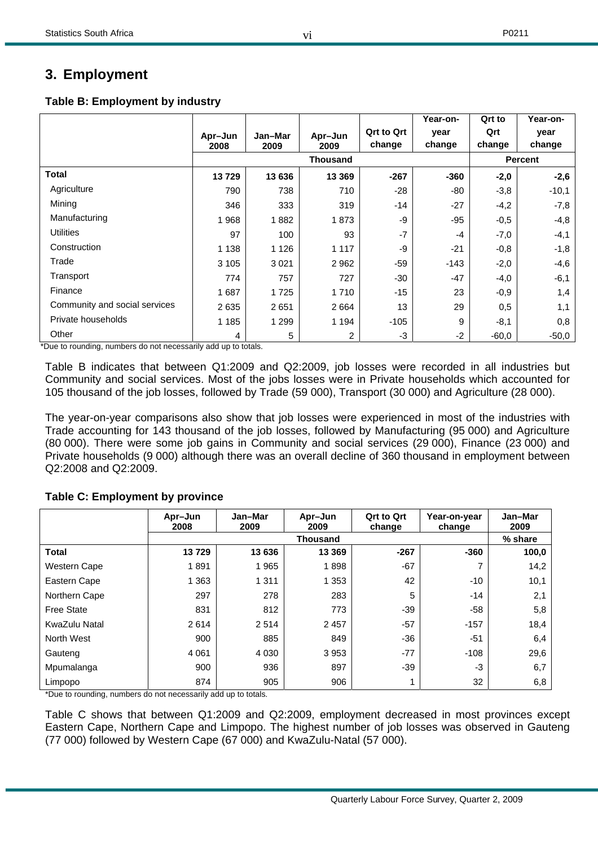## **3. Employment**

#### **Table B: Employment by industry**

|                               |                 |                 |                 | <b>Qrt to Qrt</b> | Year-on-<br>year | Qrt to<br>Qrt | Year-on-<br>year |
|-------------------------------|-----------------|-----------------|-----------------|-------------------|------------------|---------------|------------------|
|                               | Apr-Jun<br>2008 | Jan-Mar<br>2009 | Apr-Jun<br>2009 | change            | change           | change        | change           |
|                               |                 |                 | <b>Thousand</b> |                   |                  |               | <b>Percent</b>   |
| Total                         | 13729           | 13 636          | 13 3 69         | $-267$            | $-360$           | $-2,0$        | $-2,6$           |
| Agriculture                   | 790             | 738             | 710             | $-28$             | -80              | $-3,8$        | $-10,1$          |
| Mining                        | 346             | 333             | 319             | $-14$             | $-27$            | $-4,2$        | $-7,8$           |
| Manufacturing                 | 1968            | 1882            | 1873            | -9                | -95              | $-0.5$        | $-4,8$           |
| <b>Utilities</b>              | 97              | 100             | 93              | $-7$              | -4               | $-7,0$        | $-4,1$           |
| Construction                  | 1 1 3 8         | 1 1 2 6         | 1 1 1 7         | -9                | $-21$            | $-0.8$        | $-1,8$           |
| Trade                         | 3 1 0 5         | 3 0 21          | 2 9 6 2         | $-59$             | $-143$           | $-2,0$        | $-4,6$           |
| Transport                     | 774             | 757             | 727             | $-30$             | -47              | $-4,0$        | $-6,1$           |
| Finance                       | 1687            | 1725            | 1 7 1 0         | $-15$             | 23               | $-0.9$        | 1,4              |
| Community and social services | 2635            | 2651            | 2 6 6 4         | 13                | 29               | 0,5           | 1,1              |
| Private households            | 1 1 8 5         | 1 2 9 9         | 1 1 9 4         | $-105$            | 9                | $-8,1$        | 0,8              |
| Other                         | 4               | 5               | 2               | -3                | $-2$             | $-60,0$       | $-50,0$          |

\*Due to rounding, numbers do not necessarily add up to totals.

Table B indicates that between Q1:2009 and Q2:2009, job losses were recorded in all industries but Community and social services. Most of the jobs losses were in Private households which accounted for 105 thousand of the job losses, followed by Trade (59 000), Transport (30 000) and Agriculture (28 000).

The year-on-year comparisons also show that job losses were experienced in most of the industries with Trade accounting for 143 thousand of the job losses, followed by Manufacturing (95 000) and Agriculture (80 000). There were some job gains in Community and social services (29 000), Finance (23 000) and Private households (9 000) although there was an overall decline of 360 thousand in employment between Q2:2008 and Q2:2009.

|                     | Apr-Jun<br>2008 | Jan-Mar<br>2009 | Apr-Jun<br>2009 | <b>Qrt to Qrt</b><br>change | Year-on-year<br>change | Jan-Mar<br>2009 |
|---------------------|-----------------|-----------------|-----------------|-----------------------------|------------------------|-----------------|
|                     |                 |                 | <b>Thousand</b> |                             |                        | % share         |
| <b>Total</b>        | 13729           | 13 636          | 13 3 69         | $-267$                      | $-360$                 | 100,0           |
| <b>Western Cape</b> | 1891            | 1965            | 1898            | $-67$                       | 7                      | 14,2            |
| Eastern Cape        | 1 3 6 3         | 1 3 1 1         | 1 3 5 3         | 42                          | $-10$                  | 10,1            |
| Northern Cape       | 297             | 278             | 283             | 5                           | $-14$                  | 2,1             |
| <b>Free State</b>   | 831             | 812             | 773             | $-39$                       | -58                    | 5,8             |
| KwaZulu Natal       | 2614            | 2514            | 2 4 5 7         | $-57$                       | $-157$                 | 18,4            |
| North West          | 900             | 885             | 849             | $-36$                       | $-51$                  | 6,4             |
| Gauteng             | 4 0 61          | 4 0 3 0         | 3953            | $-77$                       | $-108$                 | 29,6            |
| Mpumalanga          | 900             | 936             | 897             | $-39$                       | -3                     | 6,7             |
| Limpopo<br>$\cdots$ | 874             | 905<br>. .      | 906             |                             | 32                     | 6,8             |

#### **Table C: Employment by province**

\*Due to rounding, numbers do not necessarily add up to totals.

Table C shows that between Q1:2009 and Q2:2009, employment decreased in most provinces except Eastern Cape, Northern Cape and Limpopo. The highest number of job losses was observed in Gauteng (77 000) followed by Western Cape (67 000) and KwaZulu-Natal (57 000).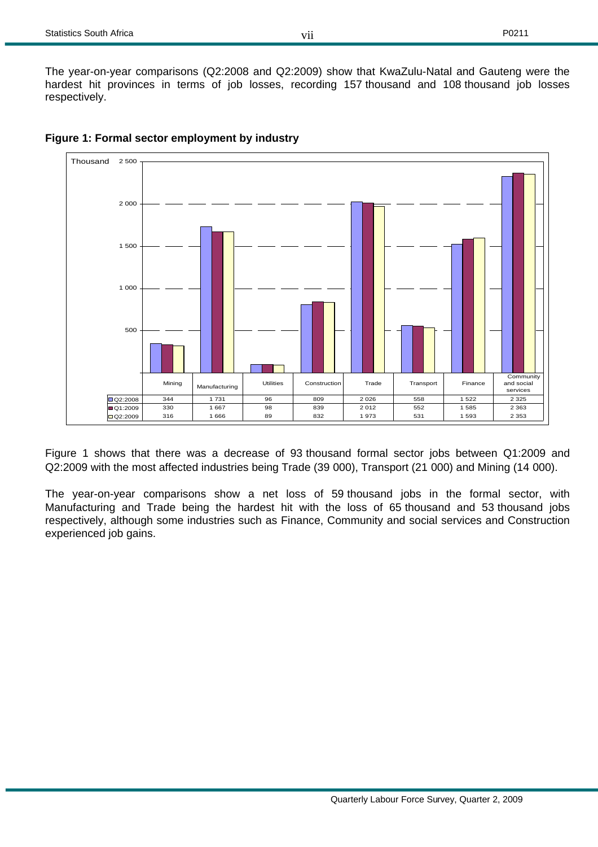

#### **Figure 1: Formal sector employment by industry**

Figure 1 shows that there was a decrease of 93 thousand formal sector jobs between Q1:2009 and Q2:2009 with the most affected industries being Trade (39 000), Transport (21 000) and Mining (14 000).

The year-on-year comparisons show a net loss of 59 thousand jobs in the formal sector, with Manufacturing and Trade being the hardest hit with the loss of 65 thousand and 53 thousand jobs respectively, although some industries such as Finance, Community and social services and Construction experienced job gains.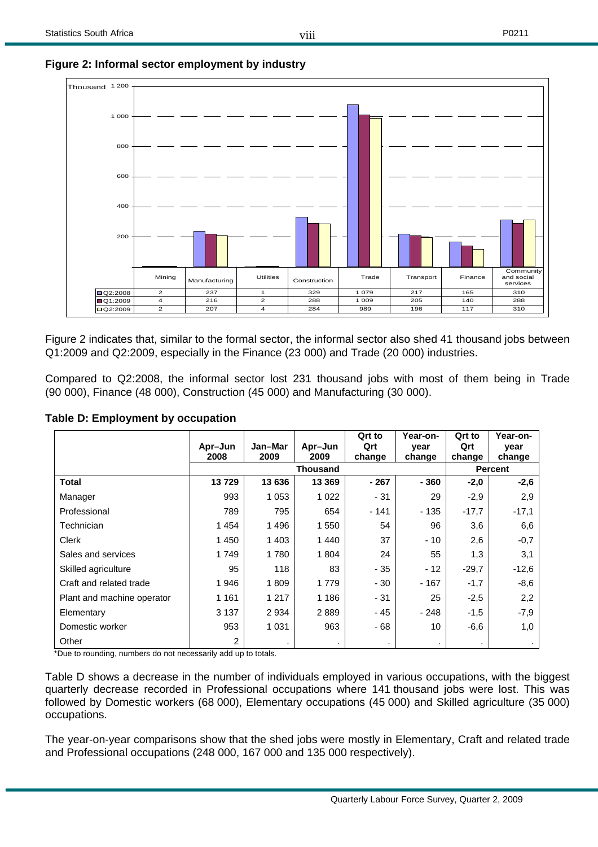

#### **Figure 2: Informal sector employment by industry**

Figure 2 indicates that, similar to the formal sector, the informal sector also shed 41 thousand jobs between Q1:2009 and Q2:2009, especially in the Finance (23 000) and Trade (20 000) industries.

Compared to Q2:2008, the informal sector lost 231 thousand jobs with most of them being in Trade (90 000), Finance (48 000), Construction (45 000) and Manufacturing (30 000).

|                                                                                                | Apr-Jun        | Jan-Mar | Apr-Jun         | Qrt to<br>Qrt | Year-on-<br>year | Qrt to<br>Qrt | Year-on-<br>year |
|------------------------------------------------------------------------------------------------|----------------|---------|-----------------|---------------|------------------|---------------|------------------|
|                                                                                                | 2008           | 2009    | 2009            | change        | change           | change        | change           |
|                                                                                                |                |         | <b>Thousand</b> |               |                  |               | <b>Percent</b>   |
| Total                                                                                          | 13729          | 13 636  | 13 3 69         | $-267$        | $-360$           | $-2,0$        | $-2,6$           |
| Manager                                                                                        | 993            | 1 0 5 3 | 1 0 2 2         | $-31$         | 29               | $-2.9$        | 2,9              |
| Professional                                                                                   | 789            | 795     | 654             | $-141$        | $-135$           | $-17,7$       | $-17,1$          |
| Technician                                                                                     | 1454           | 1496    | 1 550           | 54            | 96               | 3,6           | 6,6              |
| Clerk                                                                                          | 1 4 5 0        | 1 4 0 3 | 1440            | 37            | $-10$            | 2,6           | $-0,7$           |
| Sales and services                                                                             | 1749           | 1780    | 1 804           | 24            | 55               | 1,3           | 3,1              |
| Skilled agriculture                                                                            | 95             | 118     | 83              | - 35          | $-12$            | $-29,7$       | $-12,6$          |
| Craft and related trade                                                                        | 1946           | 1809    | 1 7 7 9         | - 30          | $-167$           | $-1,7$        | $-8,6$           |
| Plant and machine operator                                                                     | 1 1 6 1        | 1 2 1 7 | 1 1 8 6         | - 31          | 25               | $-2,5$        | 2,2              |
| Elementary                                                                                     | 3 1 3 7        | 2934    | 2889            | - 45          | $-248$           | $-1,5$        | $-7,9$           |
| Domestic worker                                                                                | 953            | 1 0 3 1 | 963             | - 68          | 10               | -6,6          | 1,0              |
| Other<br>$\star$ Dana da massa dhe e cuma legue da madre e agustada dha and assembla da dadaha | $\overline{2}$ |         | ٠               | ٠             | $\sim$           |               |                  |

#### **Table D: Employment by occupation**

\*Due to rounding, numbers do not necessarily add up to totals.

Table D shows a decrease in the number of individuals employed in various occupations, with the biggest quarterly decrease recorded in Professional occupations where 141 thousand jobs were lost. This was followed by Domestic workers (68 000), Elementary occupations (45 000) and Skilled agriculture (35 000) occupations.

The year-on-year comparisons show that the shed jobs were mostly in Elementary, Craft and related trade and Professional occupations (248 000, 167 000 and 135 000 respectively).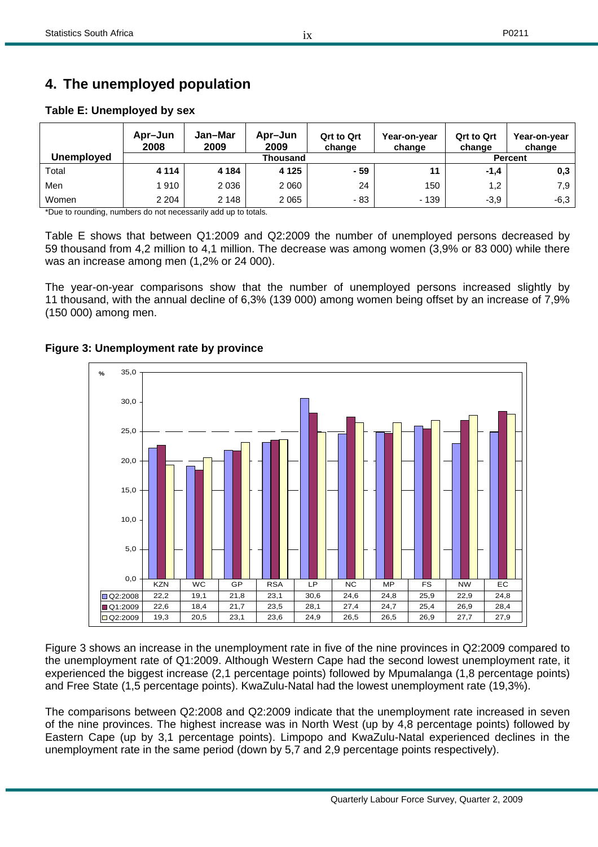## **4. The unemployed population**

#### **Apr–Jun 2008 Jan–Mar 2009 Apr–Jun 2009 Qrt to Qrt change Year-on-year change Qrt to Qrt change Year-on-year change Unemployed Percent Contract Contract Contract Contract Percent Percent** Total **4 114 4 184 4 125 - 59 11 -1,4 0,3**  Men 1 910 2 036 2 060 24 150 1,2 7,9 Women | 2 204 | 2 148 | 2 065 | - 83 | - 139 | -3,9 | -6,3

ix

#### **Table E: Unemployed by sex**

\*Due to rounding, numbers do not necessarily add up to totals.

Table E shows that between Q1:2009 and Q2:2009 the number of unemployed persons decreased by 59 thousand from 4,2 million to 4,1 million. The decrease was among women (3,9% or 83 000) while there was an increase among men (1,2% or 24 000).

The year-on-year comparisons show that the number of unemployed persons increased slightly by 11 thousand, with the annual decline of 6,3% (139 000) among women being offset by an increase of 7,9% (150 000) among men.



#### **Figure 3: Unemployment rate by province**

Figure 3 shows an increase in the unemployment rate in five of the nine provinces in Q2:2009 compared to the unemployment rate of Q1:2009. Although Western Cape had the second lowest unemployment rate, it experienced the biggest increase (2,1 percentage points) followed by Mpumalanga (1,8 percentage points) and Free State (1,5 percentage points). KwaZulu-Natal had the lowest unemployment rate (19,3%).

The comparisons between Q2:2008 and Q2:2009 indicate that the unemployment rate increased in seven of the nine provinces. The highest increase was in North West (up by 4,8 percentage points) followed by Eastern Cape (up by 3,1 percentage points). Limpopo and KwaZulu-Natal experienced declines in the unemployment rate in the same period (down by 5,7 and 2,9 percentage points respectively).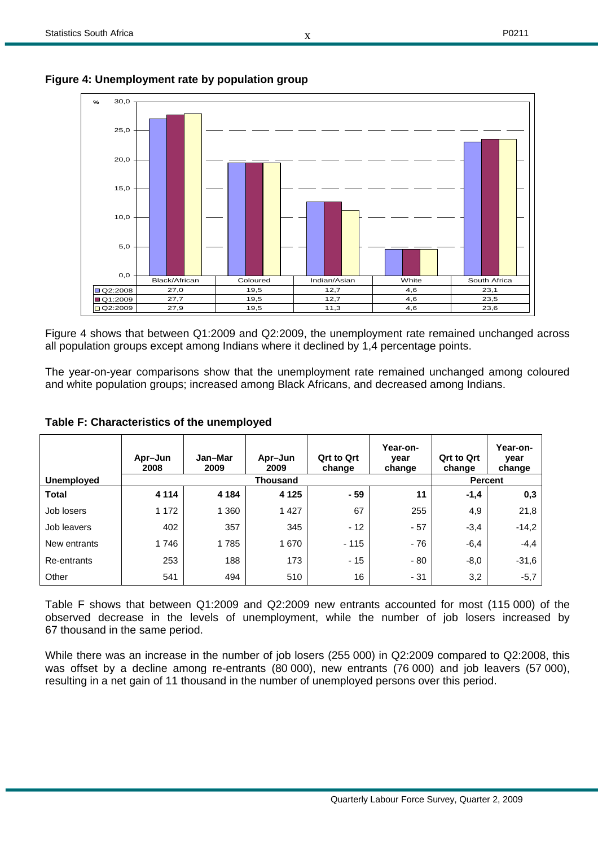x



**Figure 4: Unemployment rate by population group** 

Figure 4 shows that between Q1:2009 and Q2:2009, the unemployment rate remained unchanged across all population groups except among Indians where it declined by 1,4 percentage points.

The year-on-year comparisons show that the unemployment rate remained unchanged among coloured and white population groups; increased among Black Africans, and decreased among Indians.

|                   | Apr-Jun<br>2008 | Jan-Mar<br>2009 | Apr-Jun<br>2009 | <b>Qrt to Qrt</b><br>change | Year-on-<br>year<br>change | <b>Qrt to Qrt</b><br>change | Year-on-<br>year<br>change |
|-------------------|-----------------|-----------------|-----------------|-----------------------------|----------------------------|-----------------------------|----------------------------|
| <b>Unemployed</b> |                 |                 | <b>Thousand</b> |                             |                            |                             | <b>Percent</b>             |
| <b>Total</b>      | 4 1 1 4         | 4 1 8 4         | 4 1 2 5         | - 59                        | 11                         | $-1,4$                      | 0,3                        |
| Job losers        | 1 172           | 1 3 6 0         | 1 4 2 7         | 67                          | 255                        | 4,9                         | 21,8                       |
| Job leavers       | 402             | 357             | 345             | $-12$                       | $-57$                      | $-3,4$                      | $-14.2$                    |
| New entrants      | 1746            | 1785            | 1670            | $-115$                      | $-76$                      | $-6,4$                      | $-4.4$                     |
| Re-entrants       | 253             | 188             | 173             | $-15$                       | $-80$                      | $-8,0$                      | $-31.6$                    |
| Other             | 541             | 494             | 510             | 16                          | $-31$                      | 3,2                         | $-5,7$                     |

#### **Table F: Characteristics of the unemployed**

Table F shows that between Q1:2009 and Q2:2009 new entrants accounted for most (115 000) of the observed decrease in the levels of unemployment, while the number of job losers increased by 67 thousand in the same period.

While there was an increase in the number of job losers (255 000) in Q2:2009 compared to Q2:2008, this was offset by a decline among re-entrants (80 000), new entrants (76 000) and job leavers (57 000), resulting in a net gain of 11 thousand in the number of unemployed persons over this period.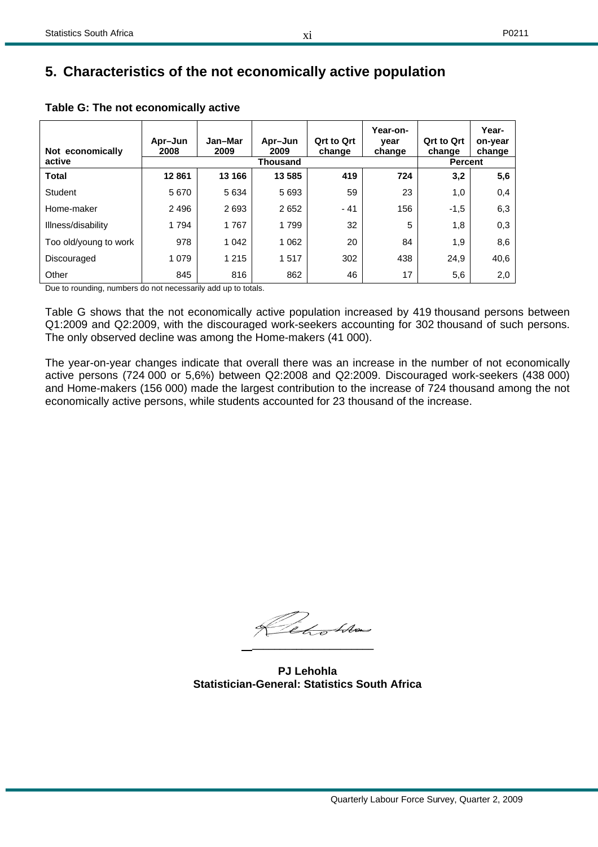### **5. Characteristics of the not economically active population**

| Not economically      | Apr-Jun<br>2008 | Jan-Mar<br>2009 | Apr-Jun<br>2009 | <b>Qrt to Qrt</b><br>change | Year-on-<br>year<br>change | <b>Qrt to Qrt</b><br>change | Year-<br>on-year<br>change |
|-----------------------|-----------------|-----------------|-----------------|-----------------------------|----------------------------|-----------------------------|----------------------------|
| active                |                 |                 | <b>Thousand</b> |                             |                            | <b>Percent</b>              |                            |
| <b>Total</b>          | 12861           | 13 166          | 13 5 8 5        | 419                         | 724                        | 3,2                         | 5,6                        |
| <b>Student</b>        | 5670            | 5634            | 5693            | 59                          | 23                         | 1,0                         | 0,4                        |
| Home-maker            | 2 4 9 6         | 2693            | 2652            | $-41$                       | 156                        | $-1,5$                      | 6,3                        |
| Illness/disability    | 1794            | 1767            | 1799            | 32                          | 5                          | 1,8                         | 0,3                        |
| Too old/young to work | 978             | 1 0 4 2         | 1 0 6 2         | 20                          | 84                         | 1,9                         | 8,6                        |
| Discouraged           | 1 0 7 9         | 1 2 1 5         | 1517            | 302                         | 438                        | 24,9                        | 40,6                       |
| Other                 | 845             | 816             | 862             | 46                          | 17                         | 5,6                         | 2,0                        |

#### **Table G: The not economically active**

Due to rounding, numbers do not necessarily add up to totals.

Table G shows that the not economically active population increased by 419 thousand persons between Q1:2009 and Q2:2009, with the discouraged work-seekers accounting for 302 thousand of such persons. The only observed decline was among the Home-makers (41 000).

The year-on-year changes indicate that overall there was an increase in the number of not economically active persons (724 000 or 5,6%) between Q2:2008 and Q2:2009. Discouraged work-seekers (438 000) and Home-makers (156 000) made the largest contribution to the increase of 724 thousand among the not economically active persons, while students accounted for 23 thousand of the increase.

Red Alm  **\_\_\_\_\_\_\_\_\_\_\_\_\_\_\_\_\_\_\_\_\_\_** 

**PJ Lehohla Statistician-General: Statistics South Africa**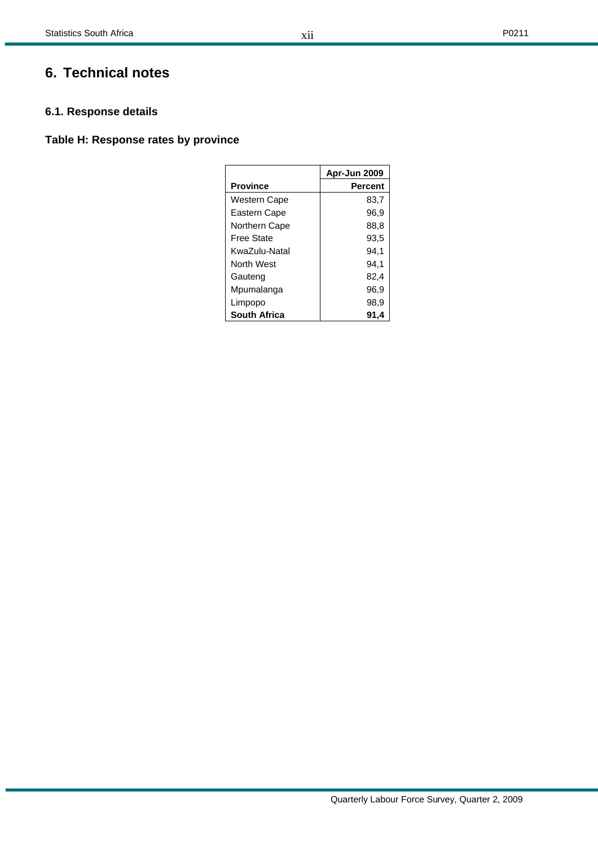## **6. Technical notes**

#### **6.1. Response details**

### **Table H: Response rates by province**

|                     | Apr-Jun 2009 |
|---------------------|--------------|
| <b>Province</b>     | Percent      |
| <b>Western Cape</b> | 83,7         |
| Eastern Cape        | 96.9         |
| Northern Cape       | 88,8         |
| Free State          | 93,5         |
| KwaZulu-Natal       | 94.1         |
| North West          | 94.1         |
| Gauteng             | 82,4         |
| Mpumalanga          | 96,9         |
| Limpopo             | 98,9         |
| <b>South Africa</b> | 91,4         |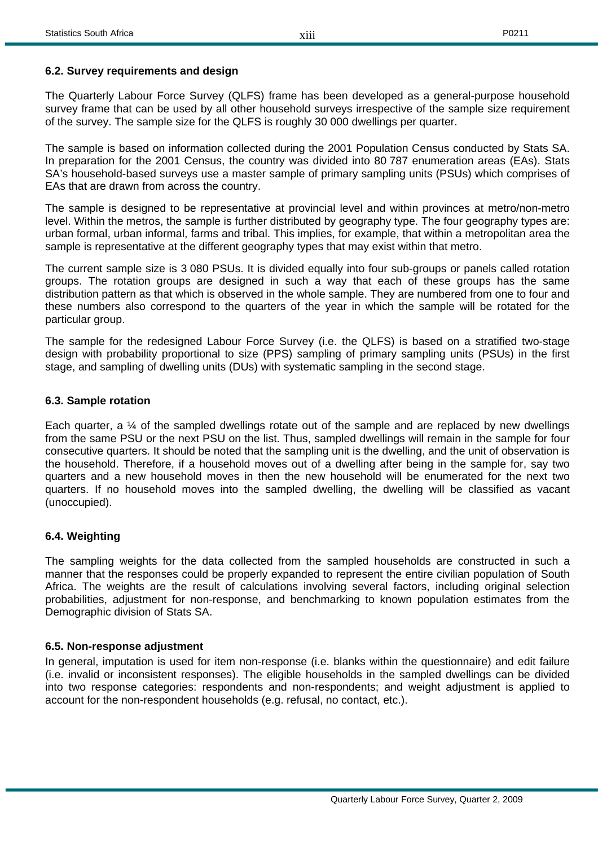#### **6.2. Survey requirements and design**

The Quarterly Labour Force Survey (QLFS) frame has been developed as a general-purpose household survey frame that can be used by all other household surveys irrespective of the sample size requirement of the survey. The sample size for the QLFS is roughly 30 000 dwellings per quarter.

The sample is based on information collected during the 2001 Population Census conducted by Stats SA. In preparation for the 2001 Census, the country was divided into 80 787 enumeration areas (EAs). Stats SA's household-based surveys use a master sample of primary sampling units (PSUs) which comprises of EAs that are drawn from across the country.

The sample is designed to be representative at provincial level and within provinces at metro/non-metro level. Within the metros, the sample is further distributed by geography type. The four geography types are: urban formal, urban informal, farms and tribal. This implies, for example, that within a metropolitan area the sample is representative at the different geography types that may exist within that metro.

The current sample size is 3 080 PSUs. It is divided equally into four sub-groups or panels called rotation groups. The rotation groups are designed in such a way that each of these groups has the same distribution pattern as that which is observed in the whole sample. They are numbered from one to four and these numbers also correspond to the quarters of the year in which the sample will be rotated for the particular group.

The sample for the redesigned Labour Force Survey (i.e. the QLFS) is based on a stratified two-stage design with probability proportional to size (PPS) sampling of primary sampling units (PSUs) in the first stage, and sampling of dwelling units (DUs) with systematic sampling in the second stage.

#### **6.3. Sample rotation**

Each quarter, a  $\%$  of the sampled dwellings rotate out of the sample and are replaced by new dwellings from the same PSU or the next PSU on the list. Thus, sampled dwellings will remain in the sample for four consecutive quarters. It should be noted that the sampling unit is the dwelling, and the unit of observation is the household. Therefore, if a household moves out of a dwelling after being in the sample for, say two quarters and a new household moves in then the new household will be enumerated for the next two quarters. If no household moves into the sampled dwelling, the dwelling will be classified as vacant (unoccupied).

#### **6.4. Weighting**

The sampling weights for the data collected from the sampled households are constructed in such a manner that the responses could be properly expanded to represent the entire civilian population of South Africa. The weights are the result of calculations involving several factors, including original selection probabilities, adjustment for non-response, and benchmarking to known population estimates from the Demographic division of Stats SA.

#### **6.5. Non-response adjustment**

In general, imputation is used for item non-response (i.e. blanks within the questionnaire) and edit failure (i.e. invalid or inconsistent responses). The eligible households in the sampled dwellings can be divided into two response categories: respondents and non-respondents; and weight adjustment is applied to account for the non-respondent households (e.g. refusal, no contact, etc.).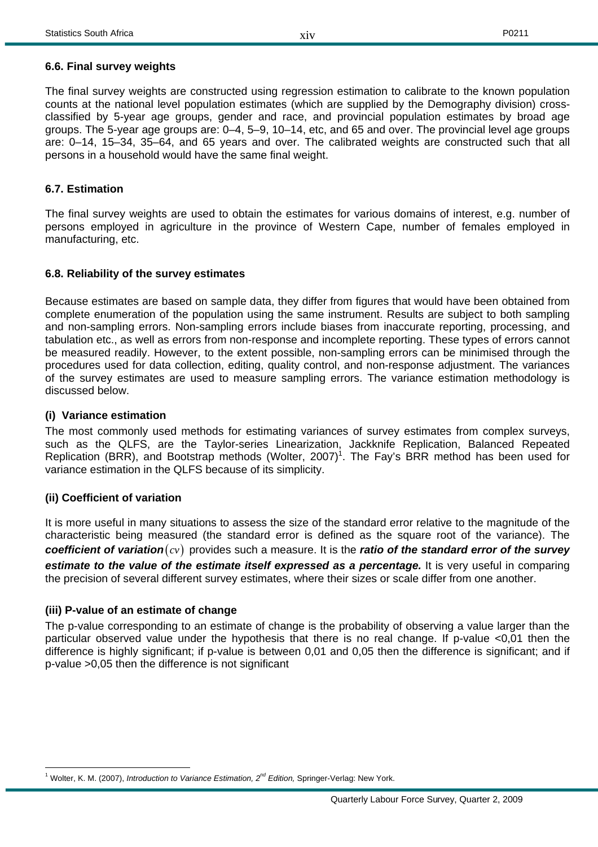#### **6.6. Final survey weights**

The final survey weights are constructed using regression estimation to calibrate to the known population counts at the national level population estimates (which are supplied by the Demography division) crossclassified by 5-year age groups, gender and race, and provincial population estimates by broad age groups. The 5-year age groups are: 0–4, 5–9, 10–14, etc, and 65 and over. The provincial level age groups are: 0–14, 15–34, 35–64, and 65 years and over. The calibrated weights are constructed such that all persons in a household would have the same final weight.

#### **6.7. Estimation**

The final survey weights are used to obtain the estimates for various domains of interest, e.g. number of persons employed in agriculture in the province of Western Cape, number of females employed in manufacturing, etc.

#### **6.8. Reliability of the survey estimates**

Because estimates are based on sample data, they differ from figures that would have been obtained from complete enumeration of the population using the same instrument. Results are subject to both sampling and non-sampling errors. Non-sampling errors include biases from inaccurate reporting, processing, and tabulation etc., as well as errors from non-response and incomplete reporting. These types of errors cannot be measured readily. However, to the extent possible, non-sampling errors can be minimised through the procedures used for data collection, editing, quality control, and non-response adjustment. The variances of the survey estimates are used to measure sampling errors. The variance estimation methodology is discussed below.

#### **(i) Variance estimation**

The most commonly used methods for estimating variances of survey estimates from complex surveys, such as the QLFS, are the Taylor-series Linearization, Jackknife Replication, Balanced Repeated Replication (BRR), and Bootstrap methods (Wolter, 2007)<sup>1</sup>. The Fay's BRR method has been used for variance estimation in the QLFS because of its simplicity.

#### **(ii) Coefficient of variation**

It is more useful in many situations to assess the size of the standard error relative to the magnitude of the characteristic being measured (the standard error is defined as the square root of the variance). The *coefficient of variation*( $cv$ ) provides such a measure. It is the *ratio of the standard error of the survey* estimate to the value of the estimate itself expressed as a percentage. It is very useful in comparing the precision of several different survey estimates, where their sizes or scale differ from one another.

#### **(iii) P-value of an estimate of change**

The p-value corresponding to an estimate of change is the probability of observing a value larger than the particular observed value under the hypothesis that there is no real change. If p-value <0,01 then the difference is highly significant; if p-value is between 0,01 and 0,05 then the difference is significant; and if p-value >0,05 then the difference is not significant

 $\overline{a}$ <sup>1</sup> Wolter, K. M. (2007), *Introduction to Variance Estimation, 2<sup>nd</sup> Edition,* Springer-Verlag: New York.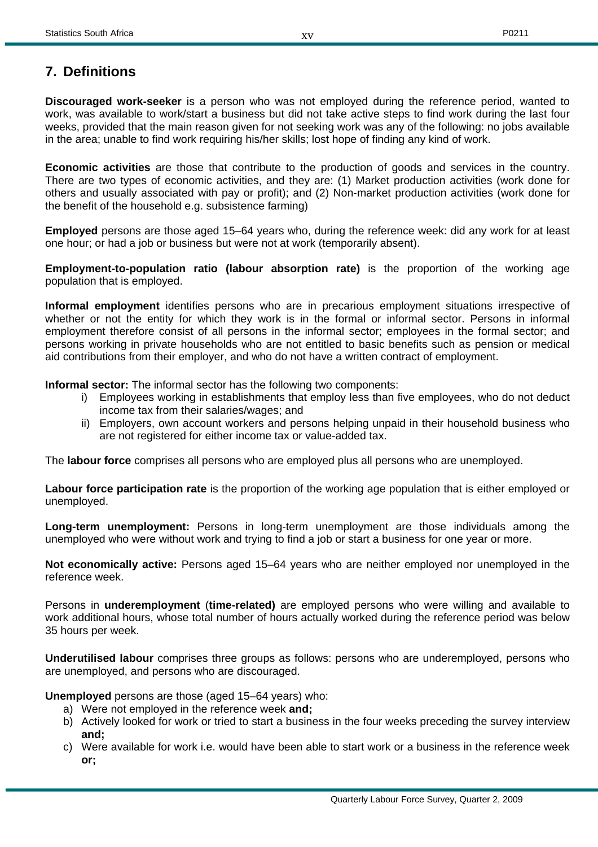## **7. Definitions**

**Discouraged work-seeker** is a person who was not employed during the reference period, wanted to work, was available to work/start a business but did not take active steps to find work during the last four weeks, provided that the main reason given for not seeking work was any of the following: no jobs available in the area; unable to find work requiring his/her skills; lost hope of finding any kind of work.

**Economic activities** are those that contribute to the production of goods and services in the country. There are two types of economic activities, and they are: (1) Market production activities (work done for others and usually associated with pay or profit); and (2) Non-market production activities (work done for the benefit of the household e.g. subsistence farming)

**Employed** persons are those aged 15–64 years who, during the reference week: did any work for at least one hour; or had a job or business but were not at work (temporarily absent).

**Employment-to-population ratio (labour absorption rate)** is the proportion of the working age population that is employed.

**Informal employment** identifies persons who are in precarious employment situations irrespective of whether or not the entity for which they work is in the formal or informal sector. Persons in informal employment therefore consist of all persons in the informal sector; employees in the formal sector; and persons working in private households who are not entitled to basic benefits such as pension or medical aid contributions from their employer, and who do not have a written contract of employment.

**Informal sector:** The informal sector has the following two components:

- i) Employees working in establishments that employ less than five employees, who do not deduct income tax from their salaries/wages; and
- ii) Employers, own account workers and persons helping unpaid in their household business who are not registered for either income tax or value-added tax.

The **labour force** comprises all persons who are employed plus all persons who are unemployed.

**Labour force participation rate** is the proportion of the working age population that is either employed or unemployed.

**Long-term unemployment:** Persons in long-term unemployment are those individuals among the unemployed who were without work and trying to find a job or start a business for one year or more.

**Not economically active:** Persons aged 15–64 years who are neither employed nor unemployed in the reference week.

Persons in **underemployment** (**time-related)** are employed persons who were willing and available to work additional hours, whose total number of hours actually worked during the reference period was below 35 hours per week.

**Underutilised labour** comprises three groups as follows: persons who are underemployed, persons who are unemployed, and persons who are discouraged.

**Unemployed** persons are those (aged 15–64 years) who:

- a) Were not employed in the reference week **and;**
- b) Actively looked for work or tried to start a business in the four weeks preceding the survey interview **and;**
- c) Were available for work i.e. would have been able to start work or a business in the reference week **or;**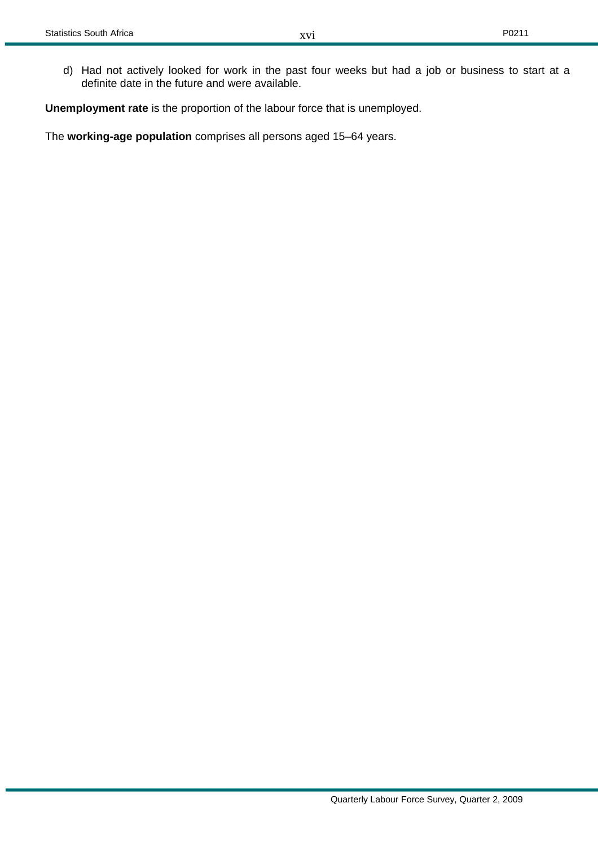d) Had not actively looked for work in the past four weeks but had a job or business to start at a definite date in the future and were available.

**Unemployment rate** is the proportion of the labour force that is unemployed.

The **working-age population** comprises all persons aged 15–64 years.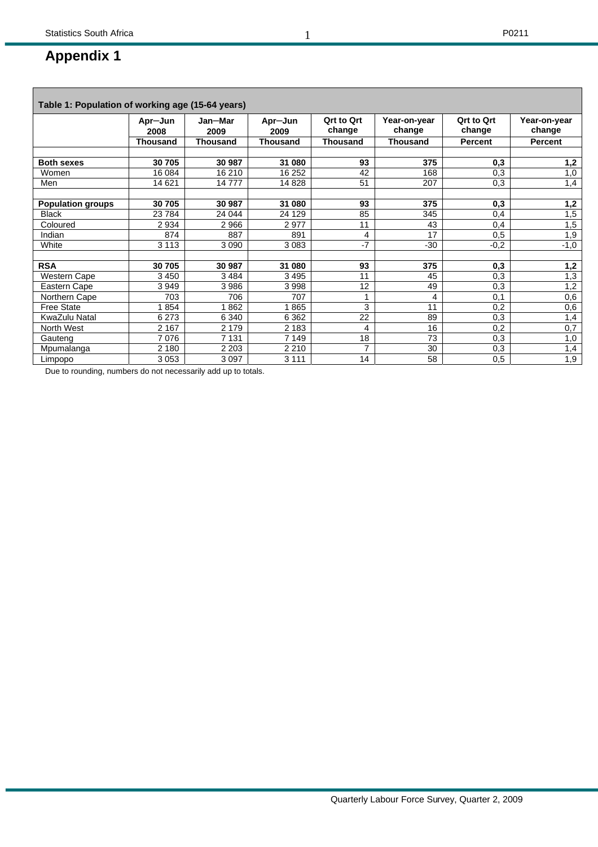## **Appendix 1**

| Table 1: Population of working age (15-64 years) |                 |                 |                 |                             |                        |                             |                        |
|--------------------------------------------------|-----------------|-----------------|-----------------|-----------------------------|------------------------|-----------------------------|------------------------|
|                                                  | Apr-Jun<br>2008 | Jan-Mar<br>2009 | Apr-Jun<br>2009 | <b>Qrt to Qrt</b><br>change | Year-on-year<br>change | <b>Ort to Ort</b><br>change | Year-on-year<br>change |
|                                                  | <b>Thousand</b> | <b>Thousand</b> | <b>Thousand</b> | <b>Thousand</b>             | <b>Thousand</b>        | <b>Percent</b>              | <b>Percent</b>         |
|                                                  |                 |                 |                 |                             |                        |                             |                        |
| <b>Both sexes</b>                                | 30 705          | 30 987          | 31 080          | 93                          | 375                    | 0,3                         | 1,2                    |
| Women                                            | 16 084          | 16 210          | 16 25 2         | 42                          | 168                    | 0,3                         | 1,0                    |
| Men                                              | 14 621          | 14777           | 14 8 28         | 51                          | 207                    | 0,3                         | 1,4                    |
|                                                  |                 |                 |                 |                             |                        |                             |                        |
| <b>Population groups</b>                         | 30 705          | 30 987          | 31 080          | 93                          | 375                    | 0,3                         | 1,2                    |
| <b>Black</b>                                     | 23 7 84         | 24 044          | 24 1 29         | 85                          | 345                    | 0,4                         | 1,5                    |
| Coloured                                         | 2934            | 2966            | 2977            | 11                          | 43                     | 0,4                         | 1,5                    |
| Indian                                           | 874             | 887             | 891             | 4                           | 17                     | 0,5                         | 1,9                    |
| White                                            | 3 1 1 3         | 3 0 9 0         | 3 0 8 3         | $-7$                        | $-30$                  | $-0,2$                      | $-1,0$                 |
|                                                  |                 |                 |                 |                             |                        |                             |                        |
| <b>RSA</b>                                       | 30 705          | 30 987          | 31 080          | 93                          | 375                    | 0,3                         | 1,2                    |
| Western Cape                                     | 3450            | 3484            | 3495            | 11                          | 45                     | 0,3                         | 1,3                    |
| Eastern Cape                                     | 3949            | 3986            | 3998            | 12                          | 49                     | 0,3                         | 1,2                    |
| Northern Cape                                    | 703             | 706             | 707             | 1                           | 4                      | 0.1                         | 0,6                    |
| <b>Free State</b>                                | 1854            | 862             | 1865            | 3                           | 11                     | 0,2                         | 0,6                    |
| KwaZulu Natal                                    | 6 2 7 3         | 6 3 4 0         | 6 3 6 2         | 22                          | 89                     | 0,3                         | 1,4                    |
| North West                                       | 2 1 6 7         | 2 1 7 9         | 2 1 8 3         | 4                           | 16                     | 0,2                         | 0,7                    |
| Gauteng                                          | 7076            | 7 1 3 1         | 7 1 4 9         | 18                          | 73                     | 0,3                         | 1,0                    |
| Mpumalanga                                       | 2 1 8 0         | 2 2 0 3         | 2 2 1 0         | $\overline{7}$              | 30                     | 0,3                         | 1,4                    |
| Limpopo                                          | 3 0 5 3         | 3 0 9 7         | 3 1 1 1         | 14                          | 58                     | 0,5                         | 1,9                    |

Due to rounding, numbers do not necessarily add up to totals.

1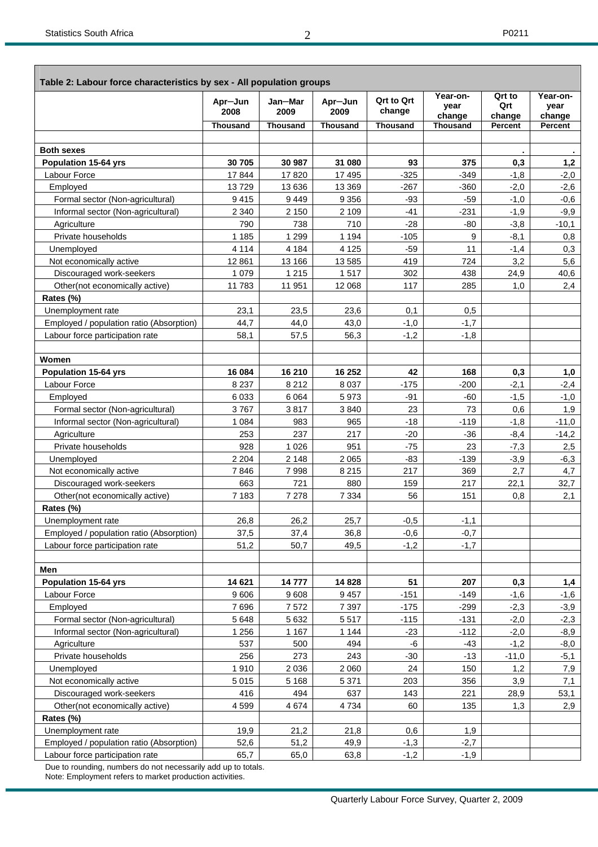| Year-on-<br>Qrt to<br>Year-on-<br><b>Qrt to Qrt</b><br>Jan-Mar<br>Apr-Jun<br>Apr-Jun<br>Qrt<br>year<br>year<br>change<br>2008<br>2009<br>2009<br>change<br>change<br>change<br>Thousand<br><b>Thousand</b><br><b>Thousand</b><br><b>Thousand</b><br><b>Thousand</b><br><b>Percent</b><br>Percent<br><b>Both sexes</b><br><b>Population 15-64 yrs</b><br>30 705<br>30 987<br>31 080<br>93<br>375<br>0,3<br>1,2<br>Labour Force<br>17844<br>17820<br>17 495<br>$-325$<br>$-349$<br>$-1,8$<br>$-2,0$<br>Employed<br>13729<br>13 636<br>13 3 69<br>$-267$<br>$-360$<br>$-2,0$<br>$-2,6$<br>$-93$<br>$-59$<br>$-1,0$<br>Formal sector (Non-agricultural)<br>9415<br>9449<br>9 3 5 6<br>$-0,6$<br>2 1 5 0<br>$-41$<br>$-231$<br>$-9,9$<br>Informal sector (Non-agricultural)<br>2 3 4 0<br>2 1 0 9<br>$-1,9$<br>Agriculture<br>790<br>738<br>710<br>$-28$<br>$-80$<br>$-3,8$<br>$-10,1$<br>1 2 9 9<br>1 1 9 4<br>$-105$<br>9<br>$-8,1$<br>Private households<br>1 1 8 5<br>0,8<br>4 1 8 4<br>4 1 2 5<br>$-59$<br>11<br>Unemployed<br>4 1 1 4<br>$-1,4$<br>0,3<br>419<br>724<br>5,6<br>Not economically active<br>12 8 61<br>13 166<br>13585<br>3,2<br>1 2 1 5<br>1517<br>302<br>Discouraged work-seekers<br>1 0 7 9<br>438<br>24,9<br>40,6<br>285<br>Other(not economically active)<br>11 783<br>11 951<br>12 0 68<br>117<br>1,0<br>2,4<br>Rates (%)<br>Unemployment rate<br>23,1<br>23,5<br>23,6<br>0,5<br>0,1<br>44,0<br>$-1,0$<br>$-1,7$<br>Employed / population ratio (Absorption)<br>44,7<br>43,0<br>$-1,2$<br>56,3<br>$-1,8$<br>Labour force participation rate<br>58,1<br>57,5<br>Women<br><b>Population 15-64 yrs</b><br>16 084<br>16 210<br>16 25 2<br>42<br>168<br>0,3<br>1,0<br>Labour Force<br>8 2 3 7<br>8 2 1 2<br>$-175$<br>$-200$<br>8 0 3 7<br>$-2,1$<br>$-2,4$<br>Employed<br>6 0 3 3<br>6 0 64<br>5973<br>$-91$<br>$-60$<br>$-1,5$<br>$-1,0$<br>3767<br>23<br>73<br>Formal sector (Non-agricultural)<br>3817<br>3840<br>0,6<br>1,9<br>$-18$<br>$-1,8$<br>Informal sector (Non-agricultural)<br>1 0 8 4<br>983<br>965<br>$-119$<br>$-11,0$<br>217<br>253<br>237<br>$-20$<br>$-36$<br>$-8,4$<br>$-14,2$<br>Agriculture<br>1 0 26<br>951<br>$-75$<br>23<br>Private households<br>928<br>$-7,3$<br>2,5<br>2 2 0 4<br>$-83$<br>$-139$<br>$-6,3$<br>Unemployed<br>2 1 4 8<br>2 0 6 5<br>$-3,9$<br>Not economically active<br>7998<br>217<br>369<br>2,7<br>7846<br>8 2 1 5<br>4,7<br>663<br>721<br>880<br>159<br>217<br>22,1<br>Discouraged work-seekers<br>32,7<br>Other(not economically active)<br>7 1 8 3<br>7 2 7 8<br>7 3 3 4<br>56<br>151<br>0,8<br>2,1<br>Rates (%)<br>26,8<br>26,2<br>25,7<br>$-0,5$<br>$-1,1$<br>Unemployment rate<br>Employed / population ratio (Absorption)<br>37,5<br>36,8<br>$-0,6$<br>$-0,7$<br>37,4<br>49,5<br>$-1,2$<br>$-1,7$<br>Labour force participation rate<br>51,2<br>50,7<br>Men<br>14 621<br>14828<br>51<br>207<br>0,3<br><b>Population 15-64 yrs</b><br>14777<br>1,4<br>9606<br>$-151$<br>Labour Force<br>9608<br>9457<br>$-149$<br>$-1,6$<br>$-1,6$<br>Employed<br>7696<br>7572<br>7 3 9 7<br>$-175$<br>$-299$<br>$-2,3$<br>$-3,9$<br>5 6 4 8<br>5 6 3 2<br>$-115$<br>$-131$<br>Formal sector (Non-agricultural)<br>5517<br>$-2,0$<br>$-2,3$<br>Informal sector (Non-agricultural)<br>1 2 5 6<br>1 1 6 7<br>1 1 4 4<br>$-112$<br>$-23$<br>$-2,0$<br>-8,9<br>537<br>500<br>494<br>-6<br>$-43$<br>$-1,2$<br>Agriculture<br>$-8,0$<br>Private households<br>256<br>273<br>243<br>$-30$<br>$-13$<br>$-11,0$<br>$-5,1$<br>24<br>Unemployed<br>1910<br>2 0 3 6<br>2 0 6 0<br>150<br>7,9<br>1,2<br>Not economically active<br>5015<br>5 1 6 8<br>5 3 7 1<br>203<br>356<br>3,9<br>7,1<br>Discouraged work-seekers<br>416<br>494<br>637<br>143<br>221<br>28,9<br>53,1<br>Other(not economically active)<br>4 5 9 9<br>4 6 7 4<br>4734<br>60<br>135<br>1,3<br>2,9<br>Rates (%)<br>Unemployment rate<br>19,9<br>21,2<br>21,8<br>0,6<br>1,9<br>Employed / population ratio (Absorption)<br>51,2<br>49,9<br>$-1,3$<br>$-2,7$<br>52,6 | Table 2: Labour force characteristics by sex - All population groups |      |      |      |        |        |  |
|-----------------------------------------------------------------------------------------------------------------------------------------------------------------------------------------------------------------------------------------------------------------------------------------------------------------------------------------------------------------------------------------------------------------------------------------------------------------------------------------------------------------------------------------------------------------------------------------------------------------------------------------------------------------------------------------------------------------------------------------------------------------------------------------------------------------------------------------------------------------------------------------------------------------------------------------------------------------------------------------------------------------------------------------------------------------------------------------------------------------------------------------------------------------------------------------------------------------------------------------------------------------------------------------------------------------------------------------------------------------------------------------------------------------------------------------------------------------------------------------------------------------------------------------------------------------------------------------------------------------------------------------------------------------------------------------------------------------------------------------------------------------------------------------------------------------------------------------------------------------------------------------------------------------------------------------------------------------------------------------------------------------------------------------------------------------------------------------------------------------------------------------------------------------------------------------------------------------------------------------------------------------------------------------------------------------------------------------------------------------------------------------------------------------------------------------------------------------------------------------------------------------------------------------------------------------------------------------------------------------------------------------------------------------------------------------------------------------------------------------------------------------------------------------------------------------------------------------------------------------------------------------------------------------------------------------------------------------------------------------------------------------------------------------------------------------------------------------------------------------------------------------------------------------------------------------------------------------------------------------------------------------------------------------------------------------------------------------------------------------------------------------------------------------------------------------------------------------------------------------------------------------------------------------------------------------------------------------------------------------------------------------------------------------------------------------------------------------------------------------------------------------------------------------------------------------------------------------------------------------------------------------------------------------------------------------------------------------------------|----------------------------------------------------------------------|------|------|------|--------|--------|--|
|                                                                                                                                                                                                                                                                                                                                                                                                                                                                                                                                                                                                                                                                                                                                                                                                                                                                                                                                                                                                                                                                                                                                                                                                                                                                                                                                                                                                                                                                                                                                                                                                                                                                                                                                                                                                                                                                                                                                                                                                                                                                                                                                                                                                                                                                                                                                                                                                                                                                                                                                                                                                                                                                                                                                                                                                                                                                                                                                                                                                                                                                                                                                                                                                                                                                                                                                                                                                                                                                                                                                                                                                                                                                                                                                                                                                                                                                                                                                                                             |                                                                      |      |      |      |        |        |  |
|                                                                                                                                                                                                                                                                                                                                                                                                                                                                                                                                                                                                                                                                                                                                                                                                                                                                                                                                                                                                                                                                                                                                                                                                                                                                                                                                                                                                                                                                                                                                                                                                                                                                                                                                                                                                                                                                                                                                                                                                                                                                                                                                                                                                                                                                                                                                                                                                                                                                                                                                                                                                                                                                                                                                                                                                                                                                                                                                                                                                                                                                                                                                                                                                                                                                                                                                                                                                                                                                                                                                                                                                                                                                                                                                                                                                                                                                                                                                                                             |                                                                      |      |      |      |        |        |  |
|                                                                                                                                                                                                                                                                                                                                                                                                                                                                                                                                                                                                                                                                                                                                                                                                                                                                                                                                                                                                                                                                                                                                                                                                                                                                                                                                                                                                                                                                                                                                                                                                                                                                                                                                                                                                                                                                                                                                                                                                                                                                                                                                                                                                                                                                                                                                                                                                                                                                                                                                                                                                                                                                                                                                                                                                                                                                                                                                                                                                                                                                                                                                                                                                                                                                                                                                                                                                                                                                                                                                                                                                                                                                                                                                                                                                                                                                                                                                                                             |                                                                      |      |      |      |        |        |  |
|                                                                                                                                                                                                                                                                                                                                                                                                                                                                                                                                                                                                                                                                                                                                                                                                                                                                                                                                                                                                                                                                                                                                                                                                                                                                                                                                                                                                                                                                                                                                                                                                                                                                                                                                                                                                                                                                                                                                                                                                                                                                                                                                                                                                                                                                                                                                                                                                                                                                                                                                                                                                                                                                                                                                                                                                                                                                                                                                                                                                                                                                                                                                                                                                                                                                                                                                                                                                                                                                                                                                                                                                                                                                                                                                                                                                                                                                                                                                                                             |                                                                      |      |      |      |        |        |  |
|                                                                                                                                                                                                                                                                                                                                                                                                                                                                                                                                                                                                                                                                                                                                                                                                                                                                                                                                                                                                                                                                                                                                                                                                                                                                                                                                                                                                                                                                                                                                                                                                                                                                                                                                                                                                                                                                                                                                                                                                                                                                                                                                                                                                                                                                                                                                                                                                                                                                                                                                                                                                                                                                                                                                                                                                                                                                                                                                                                                                                                                                                                                                                                                                                                                                                                                                                                                                                                                                                                                                                                                                                                                                                                                                                                                                                                                                                                                                                                             |                                                                      |      |      |      |        |        |  |
|                                                                                                                                                                                                                                                                                                                                                                                                                                                                                                                                                                                                                                                                                                                                                                                                                                                                                                                                                                                                                                                                                                                                                                                                                                                                                                                                                                                                                                                                                                                                                                                                                                                                                                                                                                                                                                                                                                                                                                                                                                                                                                                                                                                                                                                                                                                                                                                                                                                                                                                                                                                                                                                                                                                                                                                                                                                                                                                                                                                                                                                                                                                                                                                                                                                                                                                                                                                                                                                                                                                                                                                                                                                                                                                                                                                                                                                                                                                                                                             |                                                                      |      |      |      |        |        |  |
|                                                                                                                                                                                                                                                                                                                                                                                                                                                                                                                                                                                                                                                                                                                                                                                                                                                                                                                                                                                                                                                                                                                                                                                                                                                                                                                                                                                                                                                                                                                                                                                                                                                                                                                                                                                                                                                                                                                                                                                                                                                                                                                                                                                                                                                                                                                                                                                                                                                                                                                                                                                                                                                                                                                                                                                                                                                                                                                                                                                                                                                                                                                                                                                                                                                                                                                                                                                                                                                                                                                                                                                                                                                                                                                                                                                                                                                                                                                                                                             |                                                                      |      |      |      |        |        |  |
|                                                                                                                                                                                                                                                                                                                                                                                                                                                                                                                                                                                                                                                                                                                                                                                                                                                                                                                                                                                                                                                                                                                                                                                                                                                                                                                                                                                                                                                                                                                                                                                                                                                                                                                                                                                                                                                                                                                                                                                                                                                                                                                                                                                                                                                                                                                                                                                                                                                                                                                                                                                                                                                                                                                                                                                                                                                                                                                                                                                                                                                                                                                                                                                                                                                                                                                                                                                                                                                                                                                                                                                                                                                                                                                                                                                                                                                                                                                                                                             |                                                                      |      |      |      |        |        |  |
|                                                                                                                                                                                                                                                                                                                                                                                                                                                                                                                                                                                                                                                                                                                                                                                                                                                                                                                                                                                                                                                                                                                                                                                                                                                                                                                                                                                                                                                                                                                                                                                                                                                                                                                                                                                                                                                                                                                                                                                                                                                                                                                                                                                                                                                                                                                                                                                                                                                                                                                                                                                                                                                                                                                                                                                                                                                                                                                                                                                                                                                                                                                                                                                                                                                                                                                                                                                                                                                                                                                                                                                                                                                                                                                                                                                                                                                                                                                                                                             |                                                                      |      |      |      |        |        |  |
|                                                                                                                                                                                                                                                                                                                                                                                                                                                                                                                                                                                                                                                                                                                                                                                                                                                                                                                                                                                                                                                                                                                                                                                                                                                                                                                                                                                                                                                                                                                                                                                                                                                                                                                                                                                                                                                                                                                                                                                                                                                                                                                                                                                                                                                                                                                                                                                                                                                                                                                                                                                                                                                                                                                                                                                                                                                                                                                                                                                                                                                                                                                                                                                                                                                                                                                                                                                                                                                                                                                                                                                                                                                                                                                                                                                                                                                                                                                                                                             |                                                                      |      |      |      |        |        |  |
|                                                                                                                                                                                                                                                                                                                                                                                                                                                                                                                                                                                                                                                                                                                                                                                                                                                                                                                                                                                                                                                                                                                                                                                                                                                                                                                                                                                                                                                                                                                                                                                                                                                                                                                                                                                                                                                                                                                                                                                                                                                                                                                                                                                                                                                                                                                                                                                                                                                                                                                                                                                                                                                                                                                                                                                                                                                                                                                                                                                                                                                                                                                                                                                                                                                                                                                                                                                                                                                                                                                                                                                                                                                                                                                                                                                                                                                                                                                                                                             |                                                                      |      |      |      |        |        |  |
|                                                                                                                                                                                                                                                                                                                                                                                                                                                                                                                                                                                                                                                                                                                                                                                                                                                                                                                                                                                                                                                                                                                                                                                                                                                                                                                                                                                                                                                                                                                                                                                                                                                                                                                                                                                                                                                                                                                                                                                                                                                                                                                                                                                                                                                                                                                                                                                                                                                                                                                                                                                                                                                                                                                                                                                                                                                                                                                                                                                                                                                                                                                                                                                                                                                                                                                                                                                                                                                                                                                                                                                                                                                                                                                                                                                                                                                                                                                                                                             |                                                                      |      |      |      |        |        |  |
|                                                                                                                                                                                                                                                                                                                                                                                                                                                                                                                                                                                                                                                                                                                                                                                                                                                                                                                                                                                                                                                                                                                                                                                                                                                                                                                                                                                                                                                                                                                                                                                                                                                                                                                                                                                                                                                                                                                                                                                                                                                                                                                                                                                                                                                                                                                                                                                                                                                                                                                                                                                                                                                                                                                                                                                                                                                                                                                                                                                                                                                                                                                                                                                                                                                                                                                                                                                                                                                                                                                                                                                                                                                                                                                                                                                                                                                                                                                                                                             |                                                                      |      |      |      |        |        |  |
|                                                                                                                                                                                                                                                                                                                                                                                                                                                                                                                                                                                                                                                                                                                                                                                                                                                                                                                                                                                                                                                                                                                                                                                                                                                                                                                                                                                                                                                                                                                                                                                                                                                                                                                                                                                                                                                                                                                                                                                                                                                                                                                                                                                                                                                                                                                                                                                                                                                                                                                                                                                                                                                                                                                                                                                                                                                                                                                                                                                                                                                                                                                                                                                                                                                                                                                                                                                                                                                                                                                                                                                                                                                                                                                                                                                                                                                                                                                                                                             |                                                                      |      |      |      |        |        |  |
|                                                                                                                                                                                                                                                                                                                                                                                                                                                                                                                                                                                                                                                                                                                                                                                                                                                                                                                                                                                                                                                                                                                                                                                                                                                                                                                                                                                                                                                                                                                                                                                                                                                                                                                                                                                                                                                                                                                                                                                                                                                                                                                                                                                                                                                                                                                                                                                                                                                                                                                                                                                                                                                                                                                                                                                                                                                                                                                                                                                                                                                                                                                                                                                                                                                                                                                                                                                                                                                                                                                                                                                                                                                                                                                                                                                                                                                                                                                                                                             |                                                                      |      |      |      |        |        |  |
|                                                                                                                                                                                                                                                                                                                                                                                                                                                                                                                                                                                                                                                                                                                                                                                                                                                                                                                                                                                                                                                                                                                                                                                                                                                                                                                                                                                                                                                                                                                                                                                                                                                                                                                                                                                                                                                                                                                                                                                                                                                                                                                                                                                                                                                                                                                                                                                                                                                                                                                                                                                                                                                                                                                                                                                                                                                                                                                                                                                                                                                                                                                                                                                                                                                                                                                                                                                                                                                                                                                                                                                                                                                                                                                                                                                                                                                                                                                                                                             |                                                                      |      |      |      |        |        |  |
|                                                                                                                                                                                                                                                                                                                                                                                                                                                                                                                                                                                                                                                                                                                                                                                                                                                                                                                                                                                                                                                                                                                                                                                                                                                                                                                                                                                                                                                                                                                                                                                                                                                                                                                                                                                                                                                                                                                                                                                                                                                                                                                                                                                                                                                                                                                                                                                                                                                                                                                                                                                                                                                                                                                                                                                                                                                                                                                                                                                                                                                                                                                                                                                                                                                                                                                                                                                                                                                                                                                                                                                                                                                                                                                                                                                                                                                                                                                                                                             |                                                                      |      |      |      |        |        |  |
|                                                                                                                                                                                                                                                                                                                                                                                                                                                                                                                                                                                                                                                                                                                                                                                                                                                                                                                                                                                                                                                                                                                                                                                                                                                                                                                                                                                                                                                                                                                                                                                                                                                                                                                                                                                                                                                                                                                                                                                                                                                                                                                                                                                                                                                                                                                                                                                                                                                                                                                                                                                                                                                                                                                                                                                                                                                                                                                                                                                                                                                                                                                                                                                                                                                                                                                                                                                                                                                                                                                                                                                                                                                                                                                                                                                                                                                                                                                                                                             |                                                                      |      |      |      |        |        |  |
|                                                                                                                                                                                                                                                                                                                                                                                                                                                                                                                                                                                                                                                                                                                                                                                                                                                                                                                                                                                                                                                                                                                                                                                                                                                                                                                                                                                                                                                                                                                                                                                                                                                                                                                                                                                                                                                                                                                                                                                                                                                                                                                                                                                                                                                                                                                                                                                                                                                                                                                                                                                                                                                                                                                                                                                                                                                                                                                                                                                                                                                                                                                                                                                                                                                                                                                                                                                                                                                                                                                                                                                                                                                                                                                                                                                                                                                                                                                                                                             |                                                                      |      |      |      |        |        |  |
|                                                                                                                                                                                                                                                                                                                                                                                                                                                                                                                                                                                                                                                                                                                                                                                                                                                                                                                                                                                                                                                                                                                                                                                                                                                                                                                                                                                                                                                                                                                                                                                                                                                                                                                                                                                                                                                                                                                                                                                                                                                                                                                                                                                                                                                                                                                                                                                                                                                                                                                                                                                                                                                                                                                                                                                                                                                                                                                                                                                                                                                                                                                                                                                                                                                                                                                                                                                                                                                                                                                                                                                                                                                                                                                                                                                                                                                                                                                                                                             |                                                                      |      |      |      |        |        |  |
|                                                                                                                                                                                                                                                                                                                                                                                                                                                                                                                                                                                                                                                                                                                                                                                                                                                                                                                                                                                                                                                                                                                                                                                                                                                                                                                                                                                                                                                                                                                                                                                                                                                                                                                                                                                                                                                                                                                                                                                                                                                                                                                                                                                                                                                                                                                                                                                                                                                                                                                                                                                                                                                                                                                                                                                                                                                                                                                                                                                                                                                                                                                                                                                                                                                                                                                                                                                                                                                                                                                                                                                                                                                                                                                                                                                                                                                                                                                                                                             |                                                                      |      |      |      |        |        |  |
|                                                                                                                                                                                                                                                                                                                                                                                                                                                                                                                                                                                                                                                                                                                                                                                                                                                                                                                                                                                                                                                                                                                                                                                                                                                                                                                                                                                                                                                                                                                                                                                                                                                                                                                                                                                                                                                                                                                                                                                                                                                                                                                                                                                                                                                                                                                                                                                                                                                                                                                                                                                                                                                                                                                                                                                                                                                                                                                                                                                                                                                                                                                                                                                                                                                                                                                                                                                                                                                                                                                                                                                                                                                                                                                                                                                                                                                                                                                                                                             |                                                                      |      |      |      |        |        |  |
|                                                                                                                                                                                                                                                                                                                                                                                                                                                                                                                                                                                                                                                                                                                                                                                                                                                                                                                                                                                                                                                                                                                                                                                                                                                                                                                                                                                                                                                                                                                                                                                                                                                                                                                                                                                                                                                                                                                                                                                                                                                                                                                                                                                                                                                                                                                                                                                                                                                                                                                                                                                                                                                                                                                                                                                                                                                                                                                                                                                                                                                                                                                                                                                                                                                                                                                                                                                                                                                                                                                                                                                                                                                                                                                                                                                                                                                                                                                                                                             |                                                                      |      |      |      |        |        |  |
|                                                                                                                                                                                                                                                                                                                                                                                                                                                                                                                                                                                                                                                                                                                                                                                                                                                                                                                                                                                                                                                                                                                                                                                                                                                                                                                                                                                                                                                                                                                                                                                                                                                                                                                                                                                                                                                                                                                                                                                                                                                                                                                                                                                                                                                                                                                                                                                                                                                                                                                                                                                                                                                                                                                                                                                                                                                                                                                                                                                                                                                                                                                                                                                                                                                                                                                                                                                                                                                                                                                                                                                                                                                                                                                                                                                                                                                                                                                                                                             |                                                                      |      |      |      |        |        |  |
|                                                                                                                                                                                                                                                                                                                                                                                                                                                                                                                                                                                                                                                                                                                                                                                                                                                                                                                                                                                                                                                                                                                                                                                                                                                                                                                                                                                                                                                                                                                                                                                                                                                                                                                                                                                                                                                                                                                                                                                                                                                                                                                                                                                                                                                                                                                                                                                                                                                                                                                                                                                                                                                                                                                                                                                                                                                                                                                                                                                                                                                                                                                                                                                                                                                                                                                                                                                                                                                                                                                                                                                                                                                                                                                                                                                                                                                                                                                                                                             |                                                                      |      |      |      |        |        |  |
|                                                                                                                                                                                                                                                                                                                                                                                                                                                                                                                                                                                                                                                                                                                                                                                                                                                                                                                                                                                                                                                                                                                                                                                                                                                                                                                                                                                                                                                                                                                                                                                                                                                                                                                                                                                                                                                                                                                                                                                                                                                                                                                                                                                                                                                                                                                                                                                                                                                                                                                                                                                                                                                                                                                                                                                                                                                                                                                                                                                                                                                                                                                                                                                                                                                                                                                                                                                                                                                                                                                                                                                                                                                                                                                                                                                                                                                                                                                                                                             |                                                                      |      |      |      |        |        |  |
|                                                                                                                                                                                                                                                                                                                                                                                                                                                                                                                                                                                                                                                                                                                                                                                                                                                                                                                                                                                                                                                                                                                                                                                                                                                                                                                                                                                                                                                                                                                                                                                                                                                                                                                                                                                                                                                                                                                                                                                                                                                                                                                                                                                                                                                                                                                                                                                                                                                                                                                                                                                                                                                                                                                                                                                                                                                                                                                                                                                                                                                                                                                                                                                                                                                                                                                                                                                                                                                                                                                                                                                                                                                                                                                                                                                                                                                                                                                                                                             |                                                                      |      |      |      |        |        |  |
|                                                                                                                                                                                                                                                                                                                                                                                                                                                                                                                                                                                                                                                                                                                                                                                                                                                                                                                                                                                                                                                                                                                                                                                                                                                                                                                                                                                                                                                                                                                                                                                                                                                                                                                                                                                                                                                                                                                                                                                                                                                                                                                                                                                                                                                                                                                                                                                                                                                                                                                                                                                                                                                                                                                                                                                                                                                                                                                                                                                                                                                                                                                                                                                                                                                                                                                                                                                                                                                                                                                                                                                                                                                                                                                                                                                                                                                                                                                                                                             |                                                                      |      |      |      |        |        |  |
|                                                                                                                                                                                                                                                                                                                                                                                                                                                                                                                                                                                                                                                                                                                                                                                                                                                                                                                                                                                                                                                                                                                                                                                                                                                                                                                                                                                                                                                                                                                                                                                                                                                                                                                                                                                                                                                                                                                                                                                                                                                                                                                                                                                                                                                                                                                                                                                                                                                                                                                                                                                                                                                                                                                                                                                                                                                                                                                                                                                                                                                                                                                                                                                                                                                                                                                                                                                                                                                                                                                                                                                                                                                                                                                                                                                                                                                                                                                                                                             |                                                                      |      |      |      |        |        |  |
|                                                                                                                                                                                                                                                                                                                                                                                                                                                                                                                                                                                                                                                                                                                                                                                                                                                                                                                                                                                                                                                                                                                                                                                                                                                                                                                                                                                                                                                                                                                                                                                                                                                                                                                                                                                                                                                                                                                                                                                                                                                                                                                                                                                                                                                                                                                                                                                                                                                                                                                                                                                                                                                                                                                                                                                                                                                                                                                                                                                                                                                                                                                                                                                                                                                                                                                                                                                                                                                                                                                                                                                                                                                                                                                                                                                                                                                                                                                                                                             |                                                                      |      |      |      |        |        |  |
|                                                                                                                                                                                                                                                                                                                                                                                                                                                                                                                                                                                                                                                                                                                                                                                                                                                                                                                                                                                                                                                                                                                                                                                                                                                                                                                                                                                                                                                                                                                                                                                                                                                                                                                                                                                                                                                                                                                                                                                                                                                                                                                                                                                                                                                                                                                                                                                                                                                                                                                                                                                                                                                                                                                                                                                                                                                                                                                                                                                                                                                                                                                                                                                                                                                                                                                                                                                                                                                                                                                                                                                                                                                                                                                                                                                                                                                                                                                                                                             |                                                                      |      |      |      |        |        |  |
|                                                                                                                                                                                                                                                                                                                                                                                                                                                                                                                                                                                                                                                                                                                                                                                                                                                                                                                                                                                                                                                                                                                                                                                                                                                                                                                                                                                                                                                                                                                                                                                                                                                                                                                                                                                                                                                                                                                                                                                                                                                                                                                                                                                                                                                                                                                                                                                                                                                                                                                                                                                                                                                                                                                                                                                                                                                                                                                                                                                                                                                                                                                                                                                                                                                                                                                                                                                                                                                                                                                                                                                                                                                                                                                                                                                                                                                                                                                                                                             |                                                                      |      |      |      |        |        |  |
|                                                                                                                                                                                                                                                                                                                                                                                                                                                                                                                                                                                                                                                                                                                                                                                                                                                                                                                                                                                                                                                                                                                                                                                                                                                                                                                                                                                                                                                                                                                                                                                                                                                                                                                                                                                                                                                                                                                                                                                                                                                                                                                                                                                                                                                                                                                                                                                                                                                                                                                                                                                                                                                                                                                                                                                                                                                                                                                                                                                                                                                                                                                                                                                                                                                                                                                                                                                                                                                                                                                                                                                                                                                                                                                                                                                                                                                                                                                                                                             |                                                                      |      |      |      |        |        |  |
|                                                                                                                                                                                                                                                                                                                                                                                                                                                                                                                                                                                                                                                                                                                                                                                                                                                                                                                                                                                                                                                                                                                                                                                                                                                                                                                                                                                                                                                                                                                                                                                                                                                                                                                                                                                                                                                                                                                                                                                                                                                                                                                                                                                                                                                                                                                                                                                                                                                                                                                                                                                                                                                                                                                                                                                                                                                                                                                                                                                                                                                                                                                                                                                                                                                                                                                                                                                                                                                                                                                                                                                                                                                                                                                                                                                                                                                                                                                                                                             |                                                                      |      |      |      |        |        |  |
|                                                                                                                                                                                                                                                                                                                                                                                                                                                                                                                                                                                                                                                                                                                                                                                                                                                                                                                                                                                                                                                                                                                                                                                                                                                                                                                                                                                                                                                                                                                                                                                                                                                                                                                                                                                                                                                                                                                                                                                                                                                                                                                                                                                                                                                                                                                                                                                                                                                                                                                                                                                                                                                                                                                                                                                                                                                                                                                                                                                                                                                                                                                                                                                                                                                                                                                                                                                                                                                                                                                                                                                                                                                                                                                                                                                                                                                                                                                                                                             |                                                                      |      |      |      |        |        |  |
|                                                                                                                                                                                                                                                                                                                                                                                                                                                                                                                                                                                                                                                                                                                                                                                                                                                                                                                                                                                                                                                                                                                                                                                                                                                                                                                                                                                                                                                                                                                                                                                                                                                                                                                                                                                                                                                                                                                                                                                                                                                                                                                                                                                                                                                                                                                                                                                                                                                                                                                                                                                                                                                                                                                                                                                                                                                                                                                                                                                                                                                                                                                                                                                                                                                                                                                                                                                                                                                                                                                                                                                                                                                                                                                                                                                                                                                                                                                                                                             |                                                                      |      |      |      |        |        |  |
|                                                                                                                                                                                                                                                                                                                                                                                                                                                                                                                                                                                                                                                                                                                                                                                                                                                                                                                                                                                                                                                                                                                                                                                                                                                                                                                                                                                                                                                                                                                                                                                                                                                                                                                                                                                                                                                                                                                                                                                                                                                                                                                                                                                                                                                                                                                                                                                                                                                                                                                                                                                                                                                                                                                                                                                                                                                                                                                                                                                                                                                                                                                                                                                                                                                                                                                                                                                                                                                                                                                                                                                                                                                                                                                                                                                                                                                                                                                                                                             |                                                                      |      |      |      |        |        |  |
|                                                                                                                                                                                                                                                                                                                                                                                                                                                                                                                                                                                                                                                                                                                                                                                                                                                                                                                                                                                                                                                                                                                                                                                                                                                                                                                                                                                                                                                                                                                                                                                                                                                                                                                                                                                                                                                                                                                                                                                                                                                                                                                                                                                                                                                                                                                                                                                                                                                                                                                                                                                                                                                                                                                                                                                                                                                                                                                                                                                                                                                                                                                                                                                                                                                                                                                                                                                                                                                                                                                                                                                                                                                                                                                                                                                                                                                                                                                                                                             |                                                                      |      |      |      |        |        |  |
|                                                                                                                                                                                                                                                                                                                                                                                                                                                                                                                                                                                                                                                                                                                                                                                                                                                                                                                                                                                                                                                                                                                                                                                                                                                                                                                                                                                                                                                                                                                                                                                                                                                                                                                                                                                                                                                                                                                                                                                                                                                                                                                                                                                                                                                                                                                                                                                                                                                                                                                                                                                                                                                                                                                                                                                                                                                                                                                                                                                                                                                                                                                                                                                                                                                                                                                                                                                                                                                                                                                                                                                                                                                                                                                                                                                                                                                                                                                                                                             |                                                                      |      |      |      |        |        |  |
|                                                                                                                                                                                                                                                                                                                                                                                                                                                                                                                                                                                                                                                                                                                                                                                                                                                                                                                                                                                                                                                                                                                                                                                                                                                                                                                                                                                                                                                                                                                                                                                                                                                                                                                                                                                                                                                                                                                                                                                                                                                                                                                                                                                                                                                                                                                                                                                                                                                                                                                                                                                                                                                                                                                                                                                                                                                                                                                                                                                                                                                                                                                                                                                                                                                                                                                                                                                                                                                                                                                                                                                                                                                                                                                                                                                                                                                                                                                                                                             |                                                                      |      |      |      |        |        |  |
|                                                                                                                                                                                                                                                                                                                                                                                                                                                                                                                                                                                                                                                                                                                                                                                                                                                                                                                                                                                                                                                                                                                                                                                                                                                                                                                                                                                                                                                                                                                                                                                                                                                                                                                                                                                                                                                                                                                                                                                                                                                                                                                                                                                                                                                                                                                                                                                                                                                                                                                                                                                                                                                                                                                                                                                                                                                                                                                                                                                                                                                                                                                                                                                                                                                                                                                                                                                                                                                                                                                                                                                                                                                                                                                                                                                                                                                                                                                                                                             |                                                                      |      |      |      |        |        |  |
|                                                                                                                                                                                                                                                                                                                                                                                                                                                                                                                                                                                                                                                                                                                                                                                                                                                                                                                                                                                                                                                                                                                                                                                                                                                                                                                                                                                                                                                                                                                                                                                                                                                                                                                                                                                                                                                                                                                                                                                                                                                                                                                                                                                                                                                                                                                                                                                                                                                                                                                                                                                                                                                                                                                                                                                                                                                                                                                                                                                                                                                                                                                                                                                                                                                                                                                                                                                                                                                                                                                                                                                                                                                                                                                                                                                                                                                                                                                                                                             |                                                                      |      |      |      |        |        |  |
|                                                                                                                                                                                                                                                                                                                                                                                                                                                                                                                                                                                                                                                                                                                                                                                                                                                                                                                                                                                                                                                                                                                                                                                                                                                                                                                                                                                                                                                                                                                                                                                                                                                                                                                                                                                                                                                                                                                                                                                                                                                                                                                                                                                                                                                                                                                                                                                                                                                                                                                                                                                                                                                                                                                                                                                                                                                                                                                                                                                                                                                                                                                                                                                                                                                                                                                                                                                                                                                                                                                                                                                                                                                                                                                                                                                                                                                                                                                                                                             |                                                                      |      |      |      |        |        |  |
|                                                                                                                                                                                                                                                                                                                                                                                                                                                                                                                                                                                                                                                                                                                                                                                                                                                                                                                                                                                                                                                                                                                                                                                                                                                                                                                                                                                                                                                                                                                                                                                                                                                                                                                                                                                                                                                                                                                                                                                                                                                                                                                                                                                                                                                                                                                                                                                                                                                                                                                                                                                                                                                                                                                                                                                                                                                                                                                                                                                                                                                                                                                                                                                                                                                                                                                                                                                                                                                                                                                                                                                                                                                                                                                                                                                                                                                                                                                                                                             |                                                                      |      |      |      |        |        |  |
|                                                                                                                                                                                                                                                                                                                                                                                                                                                                                                                                                                                                                                                                                                                                                                                                                                                                                                                                                                                                                                                                                                                                                                                                                                                                                                                                                                                                                                                                                                                                                                                                                                                                                                                                                                                                                                                                                                                                                                                                                                                                                                                                                                                                                                                                                                                                                                                                                                                                                                                                                                                                                                                                                                                                                                                                                                                                                                                                                                                                                                                                                                                                                                                                                                                                                                                                                                                                                                                                                                                                                                                                                                                                                                                                                                                                                                                                                                                                                                             |                                                                      |      |      |      |        |        |  |
|                                                                                                                                                                                                                                                                                                                                                                                                                                                                                                                                                                                                                                                                                                                                                                                                                                                                                                                                                                                                                                                                                                                                                                                                                                                                                                                                                                                                                                                                                                                                                                                                                                                                                                                                                                                                                                                                                                                                                                                                                                                                                                                                                                                                                                                                                                                                                                                                                                                                                                                                                                                                                                                                                                                                                                                                                                                                                                                                                                                                                                                                                                                                                                                                                                                                                                                                                                                                                                                                                                                                                                                                                                                                                                                                                                                                                                                                                                                                                                             |                                                                      |      |      |      |        |        |  |
|                                                                                                                                                                                                                                                                                                                                                                                                                                                                                                                                                                                                                                                                                                                                                                                                                                                                                                                                                                                                                                                                                                                                                                                                                                                                                                                                                                                                                                                                                                                                                                                                                                                                                                                                                                                                                                                                                                                                                                                                                                                                                                                                                                                                                                                                                                                                                                                                                                                                                                                                                                                                                                                                                                                                                                                                                                                                                                                                                                                                                                                                                                                                                                                                                                                                                                                                                                                                                                                                                                                                                                                                                                                                                                                                                                                                                                                                                                                                                                             |                                                                      |      |      |      |        |        |  |
|                                                                                                                                                                                                                                                                                                                                                                                                                                                                                                                                                                                                                                                                                                                                                                                                                                                                                                                                                                                                                                                                                                                                                                                                                                                                                                                                                                                                                                                                                                                                                                                                                                                                                                                                                                                                                                                                                                                                                                                                                                                                                                                                                                                                                                                                                                                                                                                                                                                                                                                                                                                                                                                                                                                                                                                                                                                                                                                                                                                                                                                                                                                                                                                                                                                                                                                                                                                                                                                                                                                                                                                                                                                                                                                                                                                                                                                                                                                                                                             |                                                                      |      |      |      |        |        |  |
|                                                                                                                                                                                                                                                                                                                                                                                                                                                                                                                                                                                                                                                                                                                                                                                                                                                                                                                                                                                                                                                                                                                                                                                                                                                                                                                                                                                                                                                                                                                                                                                                                                                                                                                                                                                                                                                                                                                                                                                                                                                                                                                                                                                                                                                                                                                                                                                                                                                                                                                                                                                                                                                                                                                                                                                                                                                                                                                                                                                                                                                                                                                                                                                                                                                                                                                                                                                                                                                                                                                                                                                                                                                                                                                                                                                                                                                                                                                                                                             |                                                                      |      |      |      |        |        |  |
|                                                                                                                                                                                                                                                                                                                                                                                                                                                                                                                                                                                                                                                                                                                                                                                                                                                                                                                                                                                                                                                                                                                                                                                                                                                                                                                                                                                                                                                                                                                                                                                                                                                                                                                                                                                                                                                                                                                                                                                                                                                                                                                                                                                                                                                                                                                                                                                                                                                                                                                                                                                                                                                                                                                                                                                                                                                                                                                                                                                                                                                                                                                                                                                                                                                                                                                                                                                                                                                                                                                                                                                                                                                                                                                                                                                                                                                                                                                                                                             |                                                                      |      |      |      |        |        |  |
|                                                                                                                                                                                                                                                                                                                                                                                                                                                                                                                                                                                                                                                                                                                                                                                                                                                                                                                                                                                                                                                                                                                                                                                                                                                                                                                                                                                                                                                                                                                                                                                                                                                                                                                                                                                                                                                                                                                                                                                                                                                                                                                                                                                                                                                                                                                                                                                                                                                                                                                                                                                                                                                                                                                                                                                                                                                                                                                                                                                                                                                                                                                                                                                                                                                                                                                                                                                                                                                                                                                                                                                                                                                                                                                                                                                                                                                                                                                                                                             |                                                                      |      |      |      |        |        |  |
|                                                                                                                                                                                                                                                                                                                                                                                                                                                                                                                                                                                                                                                                                                                                                                                                                                                                                                                                                                                                                                                                                                                                                                                                                                                                                                                                                                                                                                                                                                                                                                                                                                                                                                                                                                                                                                                                                                                                                                                                                                                                                                                                                                                                                                                                                                                                                                                                                                                                                                                                                                                                                                                                                                                                                                                                                                                                                                                                                                                                                                                                                                                                                                                                                                                                                                                                                                                                                                                                                                                                                                                                                                                                                                                                                                                                                                                                                                                                                                             | Labour force participation rate                                      | 65,7 | 65,0 | 63,8 | $-1,2$ | $-1,9$ |  |

Due to rounding, numbers do not necessarily add up to totals. Note: Employment refers to market production activities.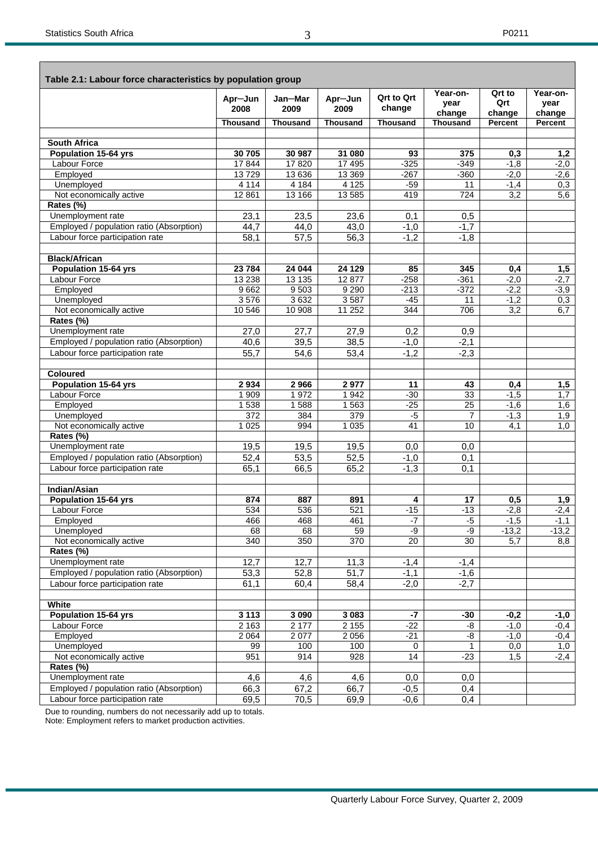$\mathbf{r}$ 

| Table 2.1: Labour force characteristics by population group |                   |                   |                 |                       |                            |                             |                            |
|-------------------------------------------------------------|-------------------|-------------------|-----------------|-----------------------|----------------------------|-----------------------------|----------------------------|
|                                                             | Apr-Jun<br>2008   | Jan-Mar<br>2009   | Apr-Jun<br>2009 | Qrt to Qrt<br>change  | Year-on-<br>year<br>change | Qrt to<br>Qrt<br>change     | Year-on-<br>year<br>change |
|                                                             | Thousand          | <b>Thousand</b>   | <b>Thousand</b> | <b>Thousand</b>       | <b>Thousand</b>            | Percent                     | Percent                    |
|                                                             |                   |                   |                 |                       |                            |                             |                            |
| <b>South Africa</b>                                         |                   |                   |                 |                       |                            |                             |                            |
| <b>Population 15-64 yrs</b>                                 | 30 705            | 30 987            | 31 080          | 93                    | 375                        | 0,3                         | 1,2                        |
| Labour Force                                                | 17844             | 17820             | 17 495          | $-325$                | $-349$                     | $-1,8$                      | $-2,0$                     |
| Employed                                                    | 13729             | 13 636            | 13 3 69         | $-267$                | $-360$                     | $-2,0$                      | $-2,6$                     |
| Unemployed                                                  | 4 1 1 4           | 4 1 8 4           | 4 1 2 5         | $-59$                 | 11                         | $-1,4$                      | 0,3                        |
| Not economically active                                     | 12 8 61           | 13 166            | 13 5 85         | 419                   | 724                        | 3,2                         | 5,6                        |
| Rates (%)                                                   |                   |                   |                 |                       |                            |                             |                            |
| Unemployment rate                                           | 23,1              | 23,5              | 23,6            | 0,1                   | 0,5                        |                             |                            |
| Employed / population ratio (Absorption)                    | 44,7              | 44,0              | 43,0            | $-1,0$                | $-1,7$                     |                             |                            |
| Labour force participation rate                             | 58,1              | 57,5              | 56,3            | $-1,2$                | $-1,8$                     |                             |                            |
| <b>Black/African</b>                                        |                   |                   |                 |                       |                            |                             |                            |
| <b>Population 15-64 yrs</b>                                 | 23 784            | 24 044            | 24 129          | 85                    | 345                        | 0,4                         | 1,5                        |
| Labour Force                                                | 13 2 38           | 13 135            | 12 877          | $-258$                | $-361$                     | $-2,0$                      | $-2,7$                     |
| Employed                                                    | 9662              | 9503              | 9 2 9 0         | $-213$                | $-372$                     | $-2,2$                      | $-3,9$                     |
| Unemployed                                                  | 3576              | 3632              | 3587            | $-45$                 | 11                         | $-1,2$                      | 0,3                        |
| Not economically active                                     | 10 546            | 10 908            | 11 25 2         | 344                   | 706                        | 3,2                         | 6,7                        |
| Rates (%)                                                   |                   |                   |                 |                       |                            |                             |                            |
| Unemployment rate                                           | 27,0              | 27,7              | 27,9            | 0,2                   | 0,9                        |                             |                            |
| Employed / population ratio (Absorption)                    | 40,6              | 39,5              | 38,5            | $-1,0$                | $-2,1$                     |                             |                            |
| Labour force participation rate                             | 55,7              | 54,6              | 53,4            | $-1,2$                | $-2,3$                     |                             |                            |
| <b>Coloured</b>                                             |                   |                   |                 |                       |                            |                             |                            |
| <b>Population 15-64 yrs</b>                                 | 2934              | 2966              | 2977            | 11                    | 43                         | 0,4                         | 1,5                        |
| Labour Force                                                | 1 909             | 1972              | 1942            | $-30$                 | 33                         | $-1,5$                      | 1,7                        |
| Employed                                                    | 1538              | 1588              | 1563            | $-25$                 | $\overline{25}$            | $-1,6$                      | 1,6                        |
| Unemployed                                                  | 372               | 384               | 379             | $-5$                  | $\overline{7}$             | $-1,3$                      | 1,9                        |
| Not economically active                                     | 1 0 2 5           | 994               | 1 0 35          | $\overline{41}$       | 10                         | 4,1                         | 1,0                        |
| Rates (%)                                                   |                   |                   |                 |                       |                            |                             |                            |
| Unemployment rate                                           | 19,5              | 19,5              | 19,5            | 0,0                   | 0,0                        |                             |                            |
| Employed / population ratio (Absorption)                    | 52,4              | 53,5              | 52,5            | $-1,0$                | 0,1                        |                             |                            |
| Labour force participation rate                             | 65,1              | 66,5              | 65,2            | $-1,3$                | 0,1                        |                             |                            |
|                                                             |                   |                   |                 |                       |                            |                             |                            |
| <b>Indian/Asian</b>                                         |                   |                   |                 |                       |                            |                             |                            |
| <b>Population 15-64 yrs</b>                                 | 874               | 887               | 891             | 4                     | 17                         | 0,5                         | 1,9                        |
| Labour Force                                                | 534               | 536               | 521             | $-15$                 | $-13$                      | $-2,8$                      | $-2,4$                     |
| Employed                                                    | 466               | 468               | 461             | $-7$                  | $-5$<br>$-9$               | $-1,5$                      | $-1,1$                     |
| Unemployed<br>Not economically active                       | 68<br>340         | 68<br>350         | 59<br>370       | -9<br>$\overline{20}$ | 30                         | $-13,2$<br>$\overline{5,7}$ | $-13,2$<br>8,8             |
| Rates (%)                                                   |                   |                   |                 |                       |                            |                             |                            |
| Unemployment rate                                           | 12,7              | 12,7              | 11,3            | $-1,4$                | $-1,4$                     |                             |                            |
| Employed / population ratio (Absorption)                    | 53,3              | 52,8              | 51,7            | $-1,1$                | $-1,6$                     |                             |                            |
| Labour force participation rate                             | $\overline{6}1,1$ | 60,4              | 58,4            | $-2,0$                | $-2,7$                     |                             |                            |
|                                                             |                   |                   |                 |                       |                            |                             |                            |
| White                                                       |                   |                   |                 |                       |                            |                             |                            |
| <b>Population 15-64 yrs</b>                                 | 3 1 1 3           | 3 0 9 0           | 3 0 8 3         | -7                    | $-30$                      | $-0,2$                      | $-1,0$                     |
| Labour Force                                                | 2 1 6 3           | $\frac{1}{2}$ 177 | 2 1 5 5         | $-22$                 | -8                         | $-1,0$                      | $-0,4$                     |
| Employed                                                    | 2 0 6 4           | 2077              | 2 0 5 6         | $-21$                 | -8                         | $-1,0$                      | $-0,4$                     |
| Unemployed                                                  | 99                | 100               | 100             | 0                     | $\mathbf 1$                | 0,0                         | 1,0                        |
| Not economically active                                     | 951               | 914               | 928             | 14                    | $-23$                      | 1,5                         | $-2,4$                     |
| Rates (%)                                                   |                   |                   |                 |                       |                            |                             |                            |
| Unemployment rate                                           | 4,6               | 4,6               | 4,6             | 0,0                   | 0,0                        |                             |                            |
| Employed / population ratio (Absorption)                    | 66,3              | 67,2              | 66,7            | $-0,5$                | 0,4                        |                             |                            |
| Labour force participation rate                             | 69,5              | 70,5              | 69,9            | $-0,6$                | 0,4                        |                             |                            |

Due to rounding, numbers do not necessarily add up to totals. Note: Employment refers to market production activities.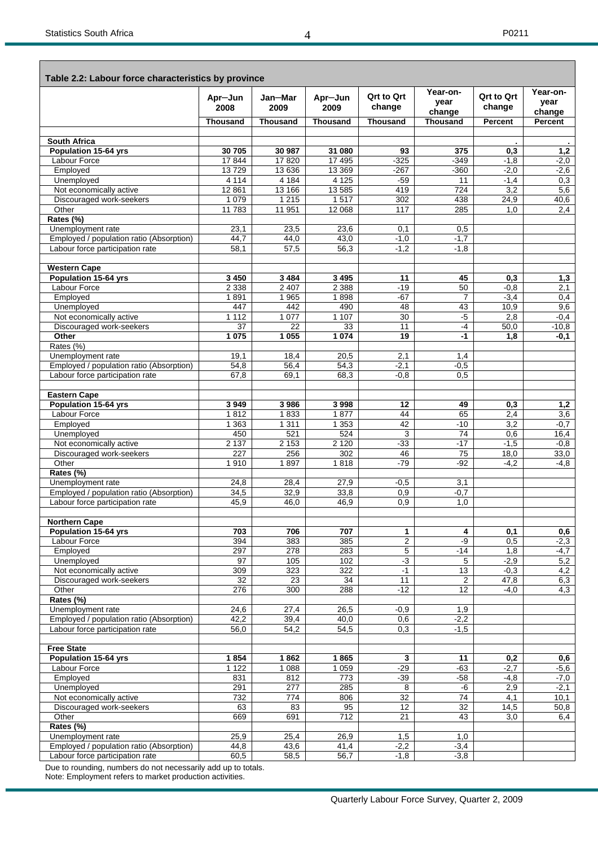|                                          |                 |                 |                  | <b>Qrt to Qrt</b> | Year-on-         | <b>Qrt to Qrt</b> | Year-on-       |
|------------------------------------------|-----------------|-----------------|------------------|-------------------|------------------|-------------------|----------------|
|                                          | Apr-Jun<br>2008 | Jan-Mar<br>2009 | Apr-Jun<br>2009  | change            | vear<br>change   | change            | year<br>change |
|                                          | <b>Thousand</b> | <b>Thousand</b> | <b>Thousand</b>  | <b>Thousand</b>   | <b>Thousand</b>  | <b>Percent</b>    | Percent        |
| <b>South Africa</b>                      |                 |                 |                  |                   |                  |                   |                |
| <b>Population 15-64 yrs</b>              | 30 705          | 30 987          | 31 080           | 93                | 375              | 0,3               | 1,2            |
| Labour Force                             | 17844           | 17820           | 17 495           | $-325$            | $-349$           | $-1,8$            | $-2,0$         |
| Employed                                 | 13729           | 13 636          | 13 3 69          | $-267$            | $-360$           | $-2,0$            | $-2,6$         |
| Unemployed                               | 4 1 1 4         | 4 1 8 4         | 4 1 2 5          | $-59$             | 11               | $-1,4$            | 0,3            |
| Not economically active                  | 12 8 61         | 13 166          | 13 5 8 5         | 419               | $\overline{724}$ | 3,2               | 5,6            |
| Discouraged work-seekers                 | 1 0 7 9         | 1215            | 1517             | 302               | 438              | 24,9              | 40,6           |
| Other                                    | 11783           | 11 951          | 12 068           | 117               | 285              | 1,0               | 2,4            |
| Rates (%)                                |                 |                 |                  |                   |                  |                   |                |
| Unemployment rate                        | 23,1            | 23,5            | 23,6             | 0,1               | 0,5              |                   |                |
| Employed / population ratio (Absorption) | 44,7            | 44,0            | 43,0             | $-1,0$            | $-1,7$           |                   |                |
| Labour force participation rate          | 58,1            | 57,5            | 56,3             | $-1.2$            | $-1,8$           |                   |                |
|                                          |                 |                 |                  |                   |                  |                   |                |
| <b>Western Cape</b>                      |                 |                 |                  |                   |                  |                   |                |
| Population 15-64 yrs                     | 3 4 5 0         | 3 4 8 4         | 3 4 9 5          | 11                | 45               | 0,3               | 1,3            |
| <b>Labour Force</b>                      | 2 3 3 8         | 2 4 0 7         | 2 3 8 8          | $-19$             | 50               | $-0.8$            | 2,1            |
| Employed                                 | 1891            | 1965            | 1898             | $-67$             | $\overline{7}$   | $-3,4$            | 0,4            |
| Unemployed                               | 447             | 442             | 490              | 48                | 43               | 10,9              | 9,6            |
| Not economically active                  | 1 1 1 2         | 1 0 7 7         | 1 107            | 30                | $-5$             | 2,8               | $-0,4$         |
| Discouraged work-seekers                 | 37              | 22              | 33               | 11                | $-4$             | 50,0              | $-10,8$        |
| Other                                    | 1 0 7 5         | 1 0 5 5         | 1 0 7 4          | $\overline{19}$   | $-1$             | 1,8               | -0,1           |
| Rates (%)                                |                 |                 |                  |                   |                  |                   |                |
| Unemployment rate                        | 19,1            | 18,4            | 20,5             | 2,1               | 1,4              |                   |                |
| Employed / population ratio (Absorption) | 54,8            | 56,4            | 54,3             | $-2,1$            | $-0,5$           |                   |                |
| Labour force participation rate          | 67.8            | 69,1            | 68,3             | $-0.8$            | $\overline{0.5}$ |                   |                |
|                                          |                 |                 |                  |                   |                  |                   |                |
| <b>Eastern Cape</b>                      |                 |                 |                  |                   |                  |                   |                |
| Population 15-64 yrs                     | 3949            | 3986            | 3998             | 12                | 49               | 0.3               | 1,2            |
| <b>Labour Force</b>                      | 1812            | 1833            | 1877             | 44                | 65               | 2,4               | 3,6            |
| Employed                                 | 1 3 6 3         | 1 3 1 1         | 1 3 5 3          | 42                | $-10$            | 3,2               | $-0.7$         |
| Unemployed                               | 450             | 521             | 524              | 3                 | 74               | 0,6               | 16,4           |
| Not economically active                  | 2 1 3 7         | 2 1 5 3         | 2 1 2 0          | $-33$             | $-17$            | $-1,5$            | $-0.8$         |
| Discouraged work-seekers                 | 227             | 256             | $\overline{302}$ | 46                | $\overline{75}$  | 18,0              | 33,0           |
| Other                                    | 1910            | 1897            | 1818             | $-79$             | $-92$            | $-4,2$            | $-4,8$         |
| Rates (%)                                |                 |                 |                  |                   |                  |                   |                |
| Unemployment rate                        | 24,8            | 28,4            | 27,9             | $-0,5$            | 3,1              |                   |                |
| Employed / population ratio (Absorption) | 34,5            | 32,9            | 33,8             | 0,9               | $-0,7$           |                   |                |
| Labour force participation rate          | 45,9            | 46,0            | 46,9             | 0,9               | 1,0              |                   |                |
| <b>Northern Cape</b>                     |                 |                 |                  |                   |                  |                   |                |
| Population 15-64 yrs                     | 703             | 706             | 707              | 1                 | 4                | 0,1               | 0,6            |
| Labour Force                             | 394             | 383             | 385              | $\overline{2}$    | -9               | 0,5               | $-2,3$         |
| Employed                                 | 297             | 278             | 283              | 5                 | $-14$            | 1,8               | $-4,7$         |
| Unemployed                               | 97              | 105             | 102              | $-3$              | 5                | $-2,9$            | 5,2            |
| Not economically active                  | 309             | 323             | 322              | $-1$              | 13               | $-0,3$            | 4,2            |
| Discouraged work-seekers                 | 32              | 23              | 34               | 11                | $\overline{2}$   | 47,8              | 6,3            |
| Other                                    | 276             | 300             | 288              | $-12$             | 12               | $-4,0$            | 4,3            |
| Rates (%)                                |                 |                 |                  |                   |                  |                   |                |
| Unemployment rate                        | 24,6            | 27,4            | 26,5             | $-0,9$            | 1,9              |                   |                |
| Employed / population ratio (Absorption) | 42,2            | 39,4            | 40,0             | 0,6               | $-2,2$           |                   |                |
| Labour force participation rate          | 56,0            | 54,2            | 54,5             | 0,3               | $-1,5$           |                   |                |
|                                          |                 |                 |                  |                   |                  |                   |                |
| <b>Free State</b>                        |                 |                 |                  |                   |                  |                   |                |
| Population 15-64 yrs                     | 1854            | 1862            | 1865             | 3                 | 11               | 0,2               | 0,6            |
| Labour Force                             | 1 1 2 2         | 1 0 8 8         | 1 0 5 9          | $-29$             | $-63$            | $-2,7$            | $-5,6$         |
| Employed                                 | 831             | 812             | 773              | $-39$             | $-58$            | $-4,8$            | $-7,0$         |
| Unemployed                               | 291             | 277             | 285              | 8                 | -6               | 2,9               | $-2,1$         |
| Not economically active                  | 732             | 774             | 806              | $\overline{32}$   | 74               | 4,1               | 10,1           |
| Discouraged work-seekers                 | 63              | 83              | 95               | 12                | $\overline{32}$  | 14,5              | 50,8           |
| Other                                    | 669             | 691             | 712              | 21                | 43               | 3,0               | 6,4            |
| Rates (%)                                |                 |                 |                  |                   |                  |                   |                |
| Unemployment rate                        | 25,9            | 25,4            | 26,9             | 1,5               | 1,0              |                   |                |
| Employed / population ratio (Absorption) | 44,8            | 43,6            | 41,4             | $-2,2$            | $-3,4$           |                   |                |
| Labour force participation rate          | 60,5            | 58,5            | 56,7             | $-1,8$            | $-3,8$           |                   |                |

Due to rounding, numbers do not necessarily add up to totals. Note: Employment refers to market production activities.

4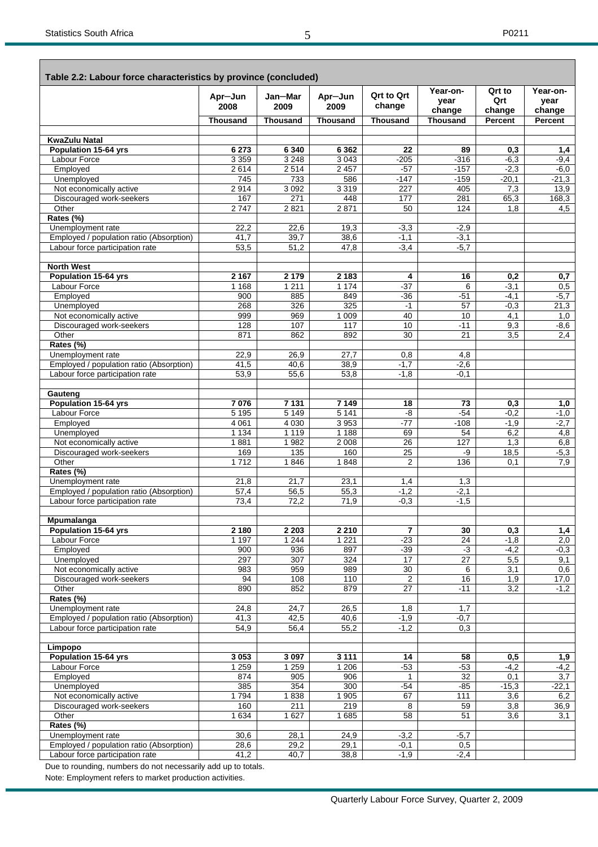|                                                                             | Apr-Jun                   | Jan-Mar           | Apr-Jun            | <b>Qrt to Qrt</b>     | Year-on-          | Qrt to           | Year-on-         |
|-----------------------------------------------------------------------------|---------------------------|-------------------|--------------------|-----------------------|-------------------|------------------|------------------|
|                                                                             | 2008                      | 2009              | 2009               | change                | vear<br>change    | Qrt<br>change    | vear<br>change   |
|                                                                             | <b>Thousand</b>           | <b>Thousand</b>   | <b>Thousand</b>    | <b>Thousand</b>       | <b>Thousand</b>   | Percent          | Percent          |
| <b>KwaZulu Natal</b>                                                        |                           |                   |                    |                       |                   |                  |                  |
| Population 15-64 yrs                                                        | 6 2 7 3                   | 6 3 4 0           | 6 3 6 2            | 22                    | 89                | 0,3              | 1,4              |
| Labour Force                                                                | 3 3 5 9                   | 3 2 4 8           | 3 0 4 3            | $-205$                | $-316$            | $-6,3$           | $-9,4$           |
| Employed                                                                    | 2614                      | 2514              | 2 4 5 7            | $-57$                 | $-157$            | $-2,3$           | $-6,0$           |
| Unemployed                                                                  | 745                       | 733               | 586                | -147                  | $-159$            | $-20,1$          | $-21,3$          |
| Not economically active                                                     | 2914<br>167               | 3 0 9 2<br>271    | 3319               | 227                   | 405               | 7,3              | 13,9             |
| Discouraged work-seekers<br>Other                                           | 2747                      | 2821              | 448<br>2871        | 177<br>50             | 281<br>124        | 65,3<br>1,8      | 168,3<br>4,5     |
| Rates (%)                                                                   |                           |                   |                    |                       |                   |                  |                  |
| Unemployment rate                                                           | 22,2                      | 22,6              | 19,3               | $-3,3$                | $-2,9$            |                  |                  |
| Employed / population ratio (Absorption)                                    | 41,7                      | 39,7              | 38,6               | $-1,1$                | $-3,1$            |                  |                  |
| Labour force participation rate                                             | 53,5                      | 51,2              | 47,8               | $-3,4$                | $-5,7$            |                  |                  |
| <b>North West</b>                                                           |                           |                   |                    |                       |                   |                  |                  |
| Population 15-64 yrs                                                        | 2 1 6 7                   | 2 1 7 9           | 2 1 8 3            | 4                     | 16                | 0,2              | 0,7              |
| Labour Force                                                                | 1 1 6 8                   | 1 2 1 1           | 1 1 7 4            | $-37$                 | 6                 | $-3,1$           | 0,5              |
| Employed                                                                    | 900                       | 885               | 849                | $-36$                 | $-51$             | $-4,1$           | $-5,7$           |
| Unemployed                                                                  | 268                       | 326               | 325                | $-1$                  | 57                | $-0,3$           | 21,3             |
| Not economically active                                                     | 999                       | 969               | 1 0 0 9            | 40                    | 10                | 4,1              | 1,0              |
| Discouraged work-seekers<br>Other                                           | 128<br>871                | 107<br>862        | 117<br>892         | 10<br>30              | $-11$<br>21       | 9,3<br>3,5       | $-8,6$<br>2.4    |
| Rates (%)                                                                   |                           |                   |                    |                       |                   |                  |                  |
| Unemployment rate                                                           | 22,9                      | 26,9              | 27,7               | 0,8                   | 4,8               |                  |                  |
| Employed / population ratio (Absorption)                                    | 41,5                      | 40,6              | 38,9               | $-1,7$                | $-2,6$            |                  |                  |
| Labour force participation rate                                             | 53,9                      | 55,6              | 53,8               | $-1,8$                | $-0.1$            |                  |                  |
| Gauteng                                                                     |                           |                   |                    |                       |                   |                  |                  |
| Population 15-64 yrs                                                        | 7076                      | 7 1 3 1           | 7 1 4 9            | 18                    | 73                | 0,3              | 1,0              |
| Labour Force<br>Employed                                                    | 5 1 9 5<br>4 0 61         | 5 1 4 9<br>4 0 30 | 5 1 4 1<br>3 9 5 3 | -8<br>$-77$           | $-54$<br>$-108$   | $-0,2$<br>$-1,9$ | $-1,0$<br>$-2,7$ |
| Unemployed                                                                  | 1 1 3 4                   | 1 1 1 9           | 1 1 8 8            | 69                    | 54                | 6,2              | 4,8              |
| Not economically active                                                     | 1881                      | 1982              | 2 0 0 8            | $\overline{26}$       | 127               | 1,3              | 6,8              |
| Discouraged work-seekers                                                    | 169                       | 135               | 160                | 25                    | -9                | 18,5             | $-5,3$           |
| Other                                                                       | 1712                      | 1846              | 1848               | 2                     | 136               | 0,1              | 7.9              |
| Rates (%)                                                                   |                           |                   |                    |                       |                   |                  |                  |
| Unemployment rate                                                           | 21,8                      | 21,7              | 23,1               | 1,4                   | 1,3               |                  |                  |
| Employed / population ratio (Absorption)<br>Labour force participation rate | $\overline{57,4}$<br>73,4 | 56,5<br>72,2      | 55,3<br>71,9       | $-1,2$<br>$-0.3$      | $-2,1$<br>$-1,5$  |                  |                  |
|                                                                             |                           |                   |                    |                       |                   |                  |                  |
| Mpumalanga<br>Population 15-64 yrs                                          | 2 1 8 0                   | 2 2 0 3           | 2 2 1 0            | 7                     | 30                | 0,3              | 1,4              |
| Labour Force                                                                | 1 1 9 7                   | 1 2 4 4           | 1 2 2 1            | $-23$                 | $\overline{24}$   | $-1,8$           | 2,0              |
| Employed                                                                    | 900                       | 936               | 897                | $-39$                 | $-3$              | $-4,2$           | $-0,3$           |
| Unemployed                                                                  | 297                       | 307               | 324                | 17                    | 27                | 5,5              | 9,1              |
| Not economically active                                                     | 983                       | 959               | 989                | 30                    | 6                 | 3,1              | 0,6              |
| Discouraged work-seekers                                                    | 94                        | 108               | 110                | $\overline{2}$        | 16                | 1,9              | 17,0             |
| Other<br>Rates (%)                                                          | 890                       | 852               | 879                | 27                    | $-11$             | 3,2              | $-1,2$           |
| Unemployment rate                                                           | 24,8                      | 24,7              | 26,5               | 1,8                   | 1,7               |                  |                  |
| Employed / population ratio (Absorption)                                    | 41,3                      | 42,5              | 40,6               | $-1,9$                | $-0,7$            |                  |                  |
| Labour force participation rate                                             | 54,9                      | 56,4              | 55,2               | $-1,2$                | 0,3               |                  |                  |
| Limpopo                                                                     |                           |                   |                    |                       |                   |                  |                  |
| Population 15-64 yrs                                                        | 3 0 5 3                   | 3 0 9 7           | 3 1 1 1            | 14                    | 58                | 0,5              | 1,9              |
| Labour Force                                                                | 1 2 5 9                   | 1 2 5 9           | 1 2 0 6            | $-53$                 | $-53$             | $-4,2$           | $-4,2$           |
| Employed<br>Unemployed                                                      | 874<br>385                | 905<br>354        | 906<br>300         | $\mathbf{1}$<br>$-54$ | 32<br>$-85$       | 0,1<br>$-15,3$   | 3,7<br>$-22,1$   |
| Not economically active                                                     | 1794                      | 1838              | 1 905              | 67                    | $\frac{111}{111}$ | 3,6              | 6,2              |
| Discouraged work-seekers                                                    | 160                       | $\overline{211}$  | 219                | 8                     | 59                | $\overline{3,8}$ | 36,9             |
| Other                                                                       | 1 6 3 4                   | 1 6 2 7           | 1685               | 58                    | 51                | 3,6              | 3,1              |
| Rates (%)                                                                   |                           |                   |                    |                       |                   |                  |                  |
| Unemployment rate                                                           | 30,6                      | 28,1              | 24,9               | $-3,2$                | $-5,7$            |                  |                  |
| Employed / population ratio (Absorption)                                    | 28,6                      | 29,2              | 29,1               | $-0,1$                | 0,5               |                  |                  |
| Labour force participation rate                                             | 41,2                      | 40,7              | 38,8               | $-1,9$                | $-2,4$            |                  |                  |

Due to rounding, numbers do not necessarily add up to totals.

Note: Employment refers to market production activities.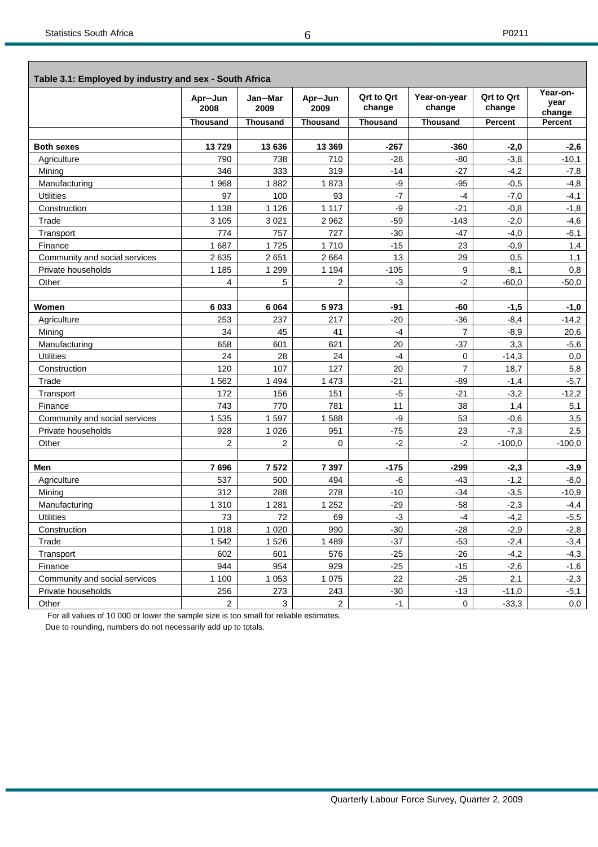$\overline{\phantom{0}}$ 

| Table 3.1: Employed by industry and sex - South Africa |                 |                 |                 |                             |                        |                             |                            |
|--------------------------------------------------------|-----------------|-----------------|-----------------|-----------------------------|------------------------|-----------------------------|----------------------------|
|                                                        | Apr-Jun<br>2008 | Jan-Mar<br>2009 | Apr-Jun<br>2009 | <b>Qrt to Qrt</b><br>change | Year-on-year<br>change | <b>Qrt to Qrt</b><br>change | Year-on-<br>year<br>change |
|                                                        | Thousand        | Thousand        | <b>Thousand</b> | <b>Thousand</b>             | <b>Thousand</b>        | Percent                     | Percent                    |
|                                                        |                 |                 |                 |                             |                        |                             |                            |
| <b>Both sexes</b>                                      | 13729           | 13 636          | 13 3 69         | $-267$                      | $-360$                 | $-2,0$                      | $-2,6$                     |
| Agriculture                                            | 790             | 738             | 710             | $-28$                       | $-80$                  | $-3,8$                      | $-10,1$                    |
| Mining                                                 | 346             | 333             | 319             | $-14$                       | $-27$                  | $-4,2$                      | $-7,8$                     |
| Manufacturing                                          | 1968            | 1882            | 1873            | -9                          | $-95$                  | $-0,5$                      | $-4,8$                     |
| <b>Utilities</b>                                       | 97              | 100             | 93              | $-7$                        | $-4$                   | $-7,0$                      | $-4,1$                     |
| Construction                                           | 1 1 3 8         | 1 1 2 6         | 1 1 1 7         | -9                          | $-21$                  | $-0,8$                      | $-1,8$                     |
| Trade                                                  | 3 1 0 5         | 3 0 21          | 2 9 6 2         | $-59$                       | $-143$                 | $-2,0$                      | $-4,6$                     |
| Transport                                              | 774             | 757             | 727             | $-30$                       | $-47$                  | $-4,0$                      | $-6,1$                     |
| Finance                                                | 1687            | 1725            | 1710            | $-15$                       | 23                     | $-0,9$                      | 1,4                        |
| Community and social services                          | 2 6 3 5         | 2651            | 2664            | 13                          | 29                     | 0,5                         | 1,1                        |
| Private households                                     | 1 1 8 5         | 1 2 9 9         | 1 1 9 4         | $-105$                      | 9                      | $-8,1$                      | 0,8                        |
| Other                                                  | $\overline{4}$  | 5               | $\overline{2}$  | $-3$                        | $-2$                   | $-60,0$                     | $-50,0$                    |
|                                                        |                 |                 |                 |                             |                        |                             |                            |
| Women                                                  | 6 0 3 3         | 6 0 64          | 5973            | -91                         | -60                    | $-1,5$                      | $-1,0$                     |
| Agriculture                                            | 253             | 237             | 217             | $-20$                       | $-36$                  | $-8,4$                      | $-14,2$                    |
| Mining                                                 | 34              | 45              | 41              | $-4$                        | $\overline{7}$         | $-8,9$                      | 20,6                       |
| Manufacturing                                          | 658             | 601             | 621             | 20                          | $-37$                  | 3,3                         | $-5,6$                     |
| <b>Utilities</b>                                       | 24              | 28              | 24              | $-4$                        | 0                      | $-14,3$                     | 0,0                        |
| Construction                                           | 120             | 107             | 127             | 20                          | $\overline{7}$         | 18,7                        | 5,8                        |
| Trade                                                  | 1562            | 1 4 9 4         | 1 4 7 3         | $-21$                       | -89                    | $-1,4$                      | $-5,7$                     |
| Transport                                              | 172             | 156             | 151             | $-5$                        | $-21$                  | $-3,2$                      | $-12,2$                    |
| Finance                                                | 743             | 770             | 781             | 11                          | 38                     | 1,4                         | 5,1                        |
| Community and social services                          | 1 5 3 5         | 1597            | 1588            | -9                          | 53                     | $-0,6$                      | 3,5                        |
| Private households                                     | 928             | 1 0 2 6         | 951             | $-75$                       | 23                     | $-7,3$                      | 2,5                        |
| Other                                                  | $\overline{2}$  | 2               | 0               | $-2$                        | $-2$                   | $-100.0$                    | $-100,0$                   |
|                                                        |                 |                 |                 |                             |                        |                             |                            |
| Men                                                    | 7696            | 7572            | 7 3 9 7         | $-175$                      | $-299$                 | $-2,3$                      | $-3,9$                     |
| Agriculture                                            | 537             | 500             | 494             | -6                          | $-43$                  | $-1,2$                      | $-8,0$                     |
| Mining                                                 | 312             | 288             | 278             | $-10$                       | $-34$                  | $-3,5$                      | $-10,9$                    |
| Manufacturing                                          | 1 3 1 0         | 1 2 8 1         | 1 2 5 2         | $-29$                       | $-58$                  | $-2,3$                      | $-4,4$                     |
| <b>Utilities</b>                                       | 73              | 72              | 69              | $-3$                        | $-4$                   | $-4,2$                      | $-5,5$                     |
| Construction                                           | 1 0 1 8         | 1 0 2 0         | 990             | $-30$                       | $-28$                  | $-2,9$                      | $-2,8$                     |
| Trade                                                  | 1 5 4 2         | 1526            | 1 4 8 9         | $-37$                       | $-53$                  | $-2,4$                      | $-3,4$                     |
| Transport                                              | 602             | 601             | 576             | $-25$                       | $-26$                  | $-4,2$                      | $-4,3$                     |
| Finance                                                | 944             | 954             | 929             | $-25$                       | $-15$                  | $-2,6$                      | $-1,6$                     |
| Community and social services                          | 1 100           | 1 0 5 3         | 1 0 7 5         | 22                          | $-25$                  | 2,1                         | $-2,3$                     |
| Private households                                     | 256             | 273             | 243             | $-30$                       | $-13$                  | $-11,0$                     | $-5,1$                     |
| Other                                                  | $\overline{2}$  | 3               | $\overline{2}$  | $-1$                        | $\mathbf 0$            | $-33,3$                     | 0,0                        |

For all values of 10 000 or lower the sample size is too small for reliable estimates.

Due to rounding, numbers do not necessarily add up to totals.

6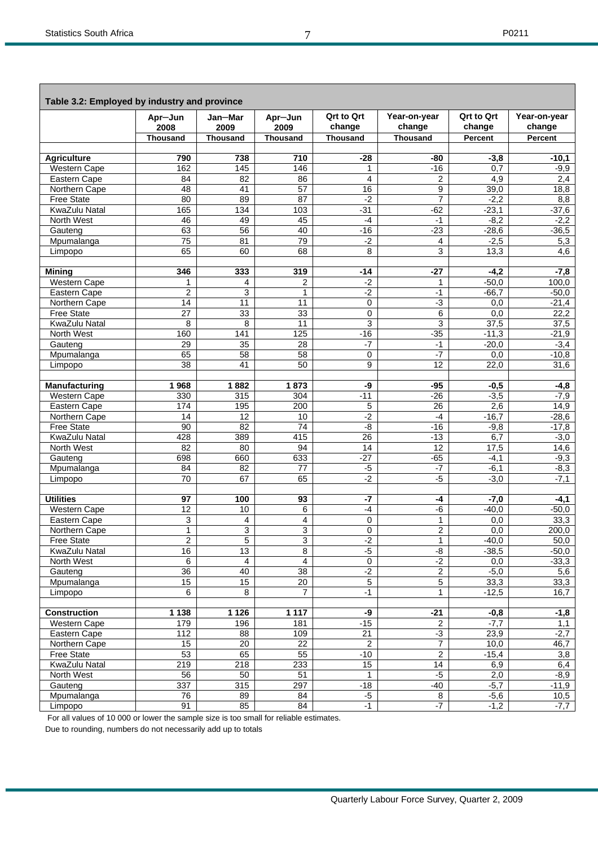|                             | Apr-Jun          | Jan—Mar          | Apr-Jun         | <b>Qrt to Qrt</b>     | Year-on-year            | <b>Qrt to Qrt</b> | Year-on-year    |
|-----------------------------|------------------|------------------|-----------------|-----------------------|-------------------------|-------------------|-----------------|
|                             | 2008             | 2009             | 2009            | change                | change                  | change            | change          |
|                             | <b>Thousand</b>  | Thousand         | <b>Thousand</b> | <b>Thousand</b>       | <b>Thousand</b>         | <b>Percent</b>    | <b>Percent</b>  |
| <b>Agriculture</b>          | 790              | 738              | 710             | $-28$                 | $-80$                   | $-3,8$            | $-10,1$         |
| Western Cape                | 162              | 145              | 146             | 1                     | $-16$                   | 0,7               | $-9,9$          |
| Eastern Cape                | 84               | 82               | 86              | 4                     | $\overline{c}$          | 4,9               | 2,4             |
| Northern Cape               | 48               | 41               | 57              | 16                    | 9                       | 39,0              | 18,8            |
| <b>Free State</b>           | 80               | 89               | $\overline{87}$ | $-2$                  | $\overline{7}$          | $-2,2$            | 8,8             |
| KwaZulu Natal               | 165              | 134              | 103             | $-31$                 | $-62$                   | $-23,1$           | $-37,6$         |
| North West                  | 46               | 49               | 45              | $-4$                  | $-1$                    | $-8,2$            | $-2,2$          |
| Gauteng                     | 63               | 56               | 40              | $-16$                 | $-23$                   | $-28,6$           | $-36,5$         |
| Mpumalanga                  | $\overline{75}$  | 81               | 79              | $-2$                  | 4                       | $-2,5$            | 5,3             |
| Limpopo                     | 65               | 60               | 68              | 8                     | 3                       | 13,3              | 4,6             |
| <b>Mining</b>               | 346              | 333              | 319             | $-14$                 | $-27$                   | $-4,2$            | $-7,8$          |
| <b>Western Cape</b>         | 1                | 4                | $\overline{c}$  | $-2$                  | $\mathbf{1}$            | $-50,0$           | 100,0           |
| Eastern Cape                | $\overline{2}$   | 3                | $\mathbf{1}$    | $-2$                  | $-1$                    | $-66,7$           | $-50,0$         |
| Northern Cape               | $\overline{14}$  | 11               | 11              | 0                     | $-3$                    | 0,0               | $-21,4$         |
| <b>Free State</b>           | $\overline{27}$  | 33               | 33              | 0                     | 6                       | 0,0               | 22,2            |
| KwaZulu Natal               | 8                | 8                | 11              | 3                     | 3                       | 37,5              | 37,5            |
| North West                  | 160              | 141              | 125             | $-16$                 | $-35$                   | $-11,3$           | $-21,9$         |
| Gauteng                     | 29               | $\overline{35}$  | $\overline{28}$ | $-7$                  | $-1$                    | $-20,0$           | $-3,4$          |
| Mpumalanga                  | 65               | 58               | 58              | 0                     | $-7$                    | 0,0               | $-10,8$         |
| Limpopo                     | 38               | 41               | 50              | 9                     | 12                      | 22,0              | 31,6            |
| <b>Manufacturing</b>        | 1968             | 1882             | 1873            | -9                    | $-95$                   | $-0,5$            | $-4,8$          |
| <b>Western Cape</b>         | 330              | 315              | 304             | $-11$                 | $-26$                   | $-3,5$            | $-7,9$          |
| Eastern Cape                | 174              | 195              | 200             | 5                     | 26                      | 2,6               | 14,9            |
| Northern Cape               | 14               | 12               | 10              | $-2$                  | $-4$                    | $-16,7$           | $-28,6$         |
| <b>Free State</b>           | $\overline{90}$  | $\overline{82}$  | $\overline{74}$ | -8                    | $-16$                   | $-9,8$            | $-17,8$         |
| KwaZulu Natal               | 428              | 389              | 415             | 26                    | $-13$                   | 6,7               | $-3,0$          |
| North West                  | $\overline{82}$  | 80               | 94              | 14                    | 12                      | 17,5              | 14,6            |
| Gauteng                     | 698              | 660              | 633             | $-27$                 | $-65$                   | $-4,1$            | $-9,3$          |
| Mpumalanga                  | 84               | 82               | 77              | $-5$                  | $-7$                    | $-6,1$            | $-8,3$          |
| Limpopo                     | $\overline{70}$  | 67               | 65              | $-2$                  | $-5$                    | $-3,0$            | $-7,1$          |
| <b>Utilities</b>            | 97               | 100              | 93              | $-7$                  | $-4$                    | $-7,0$            | $-4,1$          |
| <b>Western Cape</b>         | $\overline{12}$  | 10               | 6               | $-4$                  | -6                      | $-40,0$           | $-50,0$         |
| Eastern Cape                | 3                | 4                | 4               | 0                     | $\mathbf{1}$            | 0,0               | 33,3            |
| Northern Cape               | $\mathbf{1}$     | 3                | 3               | 0                     | 2                       | 0,0               | 200,0           |
| <b>Free State</b>           | $\overline{c}$   | 5                | 3               | $-2$                  | $\mathbf 1$             | $-40,0$           | 50,0            |
| KwaZulu Natal               | 16               | 13               | $\overline{8}$  | $-5$                  | -8                      | $-38,5$           | $-50,0$         |
| North West                  | 6                | 4                | 4               | $\overline{0}$        | $-2$                    | 0,0               | $-33,3$         |
| Gauteng                     | 36               | 40               | 38              | $-2$                  | $\overline{2}$          | $-5,0$            | 5,6             |
| Mpumalanga                  | 15               | 15               | 20              | 5                     | 5                       | 33,3              | 33,3            |
| Limpopo                     | $\overline{6}$   | 8                | $\overline{7}$  | $-1$                  | $\mathbf{1}$            | $-12,5$           | 16,7            |
| <b>Construction</b>         | 1 1 3 8          | 1 1 2 6          | 1 1 1 7         | -9                    | $-21$                   | $-0,8$            | $-1,8$          |
| Western Cape                | 179              | 196              | 181             | $-15$                 | $\overline{c}$          | $-7,7$            | 1,1             |
| Eastern Cape                | 112              | 88               | 109             | 21                    | $-3$                    | 23,9              | $-2,7$          |
| Northern Cape               | 15               | 20               | 22              | $\overline{2}$        | $\overline{7}$          | 10,0              | 46,7            |
| Free State                  | 53               | 65               | 55              | $-10$                 | $\overline{2}$          | $-15,4$           | 3,8             |
| KwaZulu Natal<br>North West | $\overline{219}$ | $\overline{218}$ | 233             | 15                    | $\overline{14}$<br>$-5$ | 6,9               | 6,4             |
|                             | 56<br>337        | 50<br>315        | 51<br>297       | $\mathbf{1}$<br>$-18$ | $-40$                   | 2,0<br>$-5,7$     | $-8,9$          |
| Gauteng<br>Mpumalanga       | 76               | 89               | 84              | $-5$                  | 8                       | $-5,6$            | $-11,9$<br>10,5 |
| Limpopo                     | 91               | 85               | 84              | $-1$                  | $-7$                    | $-1,2$            | $-7,7$          |
|                             |                  |                  |                 |                       |                         |                   |                 |

For all values of 10 000 or lower the sample size is too small for reliable estimates.

Due to rounding, numbers do not necessarily add up to totals

7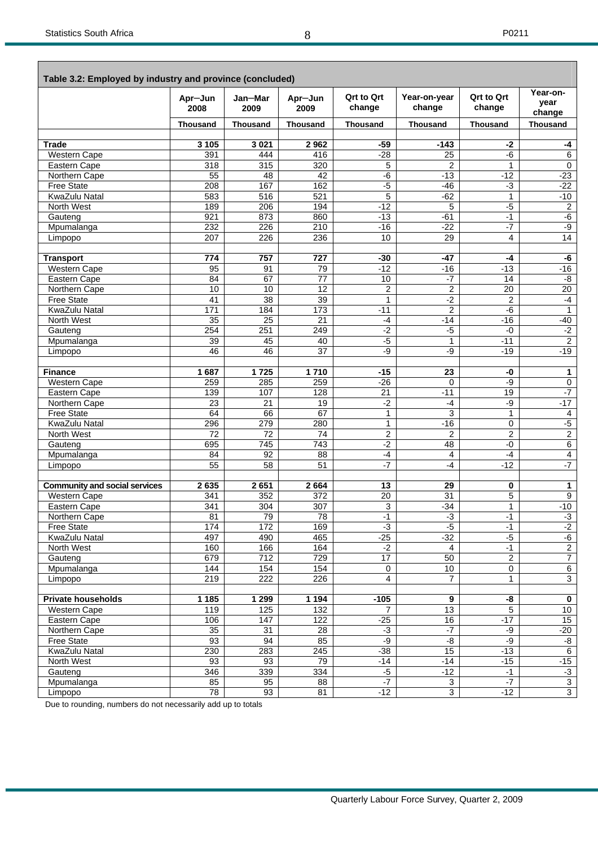Е

 $\overline{\phantom{a}}$ 

| Table 3.2: Employed by industry and province (concluded) |                 |                 |                  |                             |                         |                             |                            |
|----------------------------------------------------------|-----------------|-----------------|------------------|-----------------------------|-------------------------|-----------------------------|----------------------------|
|                                                          | Apr-Jun<br>2008 | Jan-Mar<br>2009 | Apr-Jun<br>2009  | <b>Qrt to Qrt</b><br>change | Year-on-year<br>change  | <b>Qrt to Qrt</b><br>change | Year-on-<br>year<br>change |
|                                                          | <b>Thousand</b> | <b>Thousand</b> | <b>Thousand</b>  | <b>Thousand</b>             | <b>Thousand</b>         | <b>Thousand</b>             | <b>Thousand</b>            |
|                                                          |                 |                 |                  |                             |                         |                             |                            |
| Trade                                                    | 3 1 0 5         | 3 0 21          | 2962             | $-59$                       | $-143$                  | $-2$                        | -4                         |
| <b>Western Cape</b>                                      | 391             | 444             | 416              | $-28$                       | 25                      | $-6$                        | $\overline{6}$             |
| Eastern Cape                                             | 318             | 315             | 320              | 5                           | 2                       | 1                           | 0                          |
| Northern Cape                                            | 55              | 48              | 42               | $-6$                        | $-13$                   | $-12$                       | $-23$                      |
| <b>Free State</b>                                        | 208             | 167             | 162              | $-5$                        | $-46$                   | $-3$                        | $-22$                      |
| KwaZulu Natal                                            | 583             | 516             | 521              | 5                           | $-62$                   | $\mathbf{1}$                | $-10$                      |
| North West                                               | 189             | 206             | 194              | $-12$                       | 5                       | $-5$                        | 2                          |
| Gauteng                                                  | 921             | 873             | 860              | $-13$                       | $-61$                   | $-1$                        | $-6$                       |
| Mpumalanga                                               | 232             | 226             | 210              | $-16$                       | $-22$                   | $-7$                        | -9                         |
| Limpopo                                                  | 207             | 226             | 236              | 10                          | 29                      | 4                           | 14                         |
|                                                          |                 |                 |                  |                             |                         |                             |                            |
| <b>Transport</b>                                         | 774             | 757             | 727              | $-30$                       | $-47$                   | -4                          | -6                         |
| Western Cape                                             | 95              | 91              | 79               | $-12$                       | $-16$                   | $-13$                       | $-16$                      |
| Eastern Cape                                             | 84              | 67              | 77               | 10                          | $-7$                    | 14                          | -8                         |
| Northern Cape                                            | 10              | 10              | $\overline{12}$  | $\overline{2}$              | $\overline{c}$          | $\overline{20}$             | 20                         |
| <b>Free State</b>                                        | 41              | 38              | 39               | 1                           | $-2$                    | $\mathbf 2$                 | $-4$                       |
| KwaZulu Natal                                            | 171             | 184             | 173              | $-11$                       | $\overline{2}$          | -6                          | $\mathbf{1}$               |
| North West                                               | 35              | $\overline{25}$ | 21               | -4                          | $-14$                   | $-16$                       | $-40$                      |
| Gauteng                                                  | 254             | 251             | 249              | $-2$                        | $-5$                    | $-0$                        | $-2$                       |
| Mpumalanga                                               | 39              | 45              | 40               | -5                          | $\mathbf{1}$            | $-11$                       | $\overline{2}$             |
| Limpopo                                                  | 46              | 46              | 37               | -9                          | -9                      | $-19$                       | $-19$                      |
|                                                          |                 |                 |                  |                             |                         |                             |                            |
| <b>Finance</b>                                           | 1687            | 1725            | 1710             | $-15$                       | 23                      | -0                          | 1                          |
| <b>Western Cape</b>                                      | 259<br>139      | 285<br>107      | 259<br>128       | $-26$<br>$\overline{21}$    | $\mathbf 0$<br>$-11$    | -9<br>19                    | 0<br>$-7$                  |
| Eastern Cape<br>Northern Cape                            | 23              | 21              | 19               | $-2$                        | $-4$                    | -9                          | $-17$                      |
| <b>Free State</b>                                        | 64              | 66              | 67               | 1                           | 3                       | $\mathbf{1}$                | 4                          |
| <b>KwaZulu Natal</b>                                     | 296             | 279             | 280              | $\mathbf{1}$                | $-16$                   | 0                           | $-5$                       |
| North West                                               | 72              | 72              | 74               | $\overline{c}$              | 2                       | $\overline{2}$              | $\overline{2}$             |
| Gauteng                                                  | 695             | 745             | 743              | $-2$                        | 48                      | -0                          | $6 \overline{}$            |
| Mpumalanga                                               | 84              | 92              | 88               | -4                          | 4                       | $-4$                        | $\overline{4}$             |
| Limpopo                                                  | 55              | 58              | $\overline{51}$  | $-7$                        | $-4$                    | $-12$                       | $-7$                       |
|                                                          |                 |                 |                  |                             |                         |                             |                            |
| <b>Community and social services</b>                     | 2635            | 2651            | 2664             | 13                          | 29                      | 0                           | 1                          |
| <b>Western Cape</b>                                      | 341             | 352             | $\overline{372}$ | $\overline{20}$             | 31                      | 5                           | $\overline{9}$             |
| Eastern Cape                                             | 341             | 304             | 307              | 3                           | $-34$                   | $\mathbf{1}$                | $-10$                      |
| Northern Cape                                            | 81              | 79              | 78               | $-1$                        | $-3$                    | $-1$                        | $-3$                       |
| <b>Free State</b>                                        | 174             | $\frac{1}{172}$ | 169              | $-3$                        | $-5$                    | $-1$                        | $-2$                       |
| KwaZulu Natal                                            | 497             | 490             | 465              | $-25$                       | $-32$                   | $-5$                        | $-6$                       |
| North West                                               | 160             | 166             | 164              | $-2$                        | $\overline{4}$          | $-1$                        | $\overline{2}$             |
| Gauteng                                                  | 679             | 712             | 729              | 17                          | 50                      | $\overline{2}$              | $\overline{7}$             |
| Mpumalanga                                               | 144             | 154             | 154              | $\pmb{0}$                   | 10                      | $\overline{0}$              | $6\overline{6}$            |
| Limpopo                                                  | 219             | 222             | 226              | $\overline{4}$              | $\overline{7}$          | $\mathbf{1}$                | $\overline{3}$             |
|                                                          |                 |                 |                  |                             |                         |                             |                            |
| <b>Private households</b>                                | 1 1 8 5         | 1 2 9 9         | 1 1 9 4          | $-105$                      | $\overline{\mathbf{g}}$ | -8                          | $\overline{\mathbf{0}}$    |
| Western Cape                                             | 119             | 125             | 132              | $\overline{7}$              | $\overline{13}$         | $\overline{5}$              | 10                         |
| Eastern Cape                                             | 106             | 147             | 122              | $-25$                       | 16                      | $-17$                       | 15                         |
| Northern Cape                                            | 35              | 31              | 28               | $-3$                        | $-7$                    | -9                          | $-20$                      |
| Free State                                               | 93              | 94              | 85               | $-9$                        | $-8$                    | $-9$                        | -8                         |
| KwaZulu Natal                                            | 230             | 283             | $\overline{245}$ | $-38$                       | $\overline{15}$         | $-13$                       | $\overline{6}$             |
| North West                                               | 93              | 93              | 79               | $-14$                       | $-14$                   | $-15$                       | $-15$                      |
| Gauteng                                                  | 346             | 339             | 334              | $-5$                        | $-12$                   | $-1$                        | ر.<br>د                    |
| Mpumalanga                                               | 85              | 95              | 88               | $-7$                        | $\overline{3}$          | $-7$                        | $\overline{3}$             |
| Limpopo                                                  | 78              | 93              | 81               | $-12$                       | $\overline{3}$          | $-12$                       | $\overline{3}$             |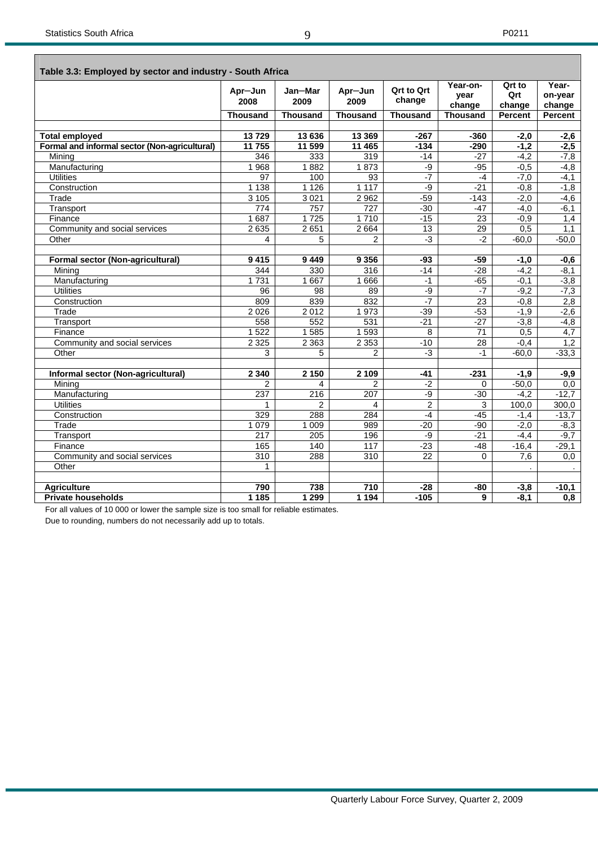| Table 3.3: Employed by sector and industry - South Africa |                 |                 |                  |                             |                            |                         |                            |
|-----------------------------------------------------------|-----------------|-----------------|------------------|-----------------------------|----------------------------|-------------------------|----------------------------|
|                                                           | Apr-Jun<br>2008 | Jan-Mar<br>2009 | Apr-Jun<br>2009  | <b>Qrt to Qrt</b><br>change | Year-on-<br>year<br>change | Qrt to<br>Qrt<br>change | Year-<br>on-year<br>change |
|                                                           | <b>Thousand</b> | <b>Thousand</b> | <b>Thousand</b>  | <b>Thousand</b>             | <b>Thousand</b>            | <b>Percent</b>          | Percent                    |
|                                                           |                 |                 |                  |                             |                            |                         |                            |
| <b>Total employed</b>                                     | 13729           | 13 636          | 13 3 69          | $-267$                      | $-360$                     | $-2,0$                  | $-2,6$                     |
| Formal and informal sector (Non-agricultural)             | 11755           | 11 599          | 11 465           | $-134$                      | $-290$                     | $-1,2$                  | $-2,5$                     |
| Mining                                                    | 346             | 333             | 319              | $-14$                       | $-27$                      | $-4,2$                  | $-7,8$                     |
| Manufacturing                                             | 1968            | 1882            | 1873             | -9                          | $-95$                      | $-0,5$                  | $-4,8$                     |
| <b>Utilities</b>                                          | $\overline{97}$ | 100             | 93               | $-7$                        | $-4$                       | $-7,0$                  | $-4,1$                     |
| Construction                                              | 1 1 3 8         | 1 1 2 6         | 1 1 1 7          | $-9$                        | $-21$                      | $-0,8$                  | $-1,8$                     |
| Trade                                                     | 3105            | 3 0 21          | 2 9 6 2          | $-59$                       | $-143$                     | $-2,0$                  | $-4,6$                     |
| Transport                                                 | 774             | 757             | $\overline{727}$ | $-30$                       | $-47$                      | $-4,0$                  | $-6,1$                     |
| Finance                                                   | 1687            | 1725            | 1710             | $-15$                       | 23                         | $-0.9$                  | 1,4                        |
| Community and social services                             | 2 6 3 5         | 2651            | 2664             | 13                          | 29                         | 0,5                     | 1,1                        |
| Other                                                     | 4               | 5               | 2                | $-3$                        | $-2$                       | $-60,0$                 | $-50,0$                    |
|                                                           |                 |                 |                  |                             |                            |                         |                            |
| Formal sector (Non-agricultural)                          | 9415            | 9449            | 9 3 5 6          | -93                         | $-59$                      | $-1,0$                  | $-0,6$                     |
| Mining                                                    | 344             | 330             | 316              | $-14$                       | $-28$                      | $-4,2$                  | $-8,1$                     |
| Manufacturing                                             | 1731            | 1 6 6 7         | 1666             | $-1$                        | $-65$                      | $-0,1$                  | $-3,8$                     |
| <b>Utilities</b>                                          | 96              | 98              | 89               | $-9$                        | $-7$                       | $-9,2$                  | $-7,3$                     |
| Construction                                              | 809             | 839             | 832              | $-7$                        | 23                         | $-0.8$                  | 2,8                        |
| Trade                                                     | 2026            | 2012            | 1 973            | $-39$                       | $-53$                      | $-1,9$                  | $-2,6$                     |
| Transport                                                 | 558             | 552             | 531              | $-21$                       | $-27$                      | $-3,8$                  | $-4,8$                     |
| Finance                                                   | 1522            | 1585            | 1 5 9 3          | 8                           | $\overline{71}$            | 0,5                     | 4,7                        |
| Community and social services                             | 2 3 2 5         | 2 3 6 3         | 2 3 5 3          | $-10$                       | 28                         | $-0,4$                  | 1,2                        |
| Other                                                     | 3               | 5               | 2                | $-3$                        | $-1$                       | $-60,0$                 | $-33,3$                    |
|                                                           |                 |                 |                  |                             |                            |                         |                            |
| Informal sector (Non-agricultural)                        | 2 3 4 0         | 2 1 5 0         | 2 1 0 9          | $-41$                       | $-231$                     | $-1,9$                  | $-9,9$                     |
| Mining                                                    | $\overline{2}$  | 4               | $\overline{2}$   | $-2$                        | 0                          | $-50,0$                 | 0,0                        |
| Manufacturing                                             | 237             | 216             | 207              | $-9$                        | $-30$                      | $-4,2$                  | $-12,7$                    |
| <b>Utilities</b>                                          |                 | $\overline{2}$  | 4                | $\overline{2}$              | 3                          | 100,0                   | 300,0                      |
| Construction                                              | 329             | 288             | 284              | $-4$                        | $-45$                      | $-1.4$                  | $-13,7$                    |
| Trade                                                     | 1 0 7 9         | 1 0 0 9         | 989              | $-20$                       | $-90$                      | $-2,0$                  | $-8,3$                     |
| Transport                                                 | 217             | 205             | 196              | -9                          | $-21$                      | $-4,4$                  | $-9.7$                     |
| Finance                                                   | 165             | 140             | 117              | $-23$                       | $-48$                      | $-16,4$                 | $-29,1$                    |
| Community and social services                             | 310             | 288             | 310              | $\overline{22}$             | $\Omega$                   | 7.6                     | 0,0                        |
| Other                                                     | 1               |                 |                  |                             |                            |                         |                            |
|                                                           |                 |                 |                  |                             |                            |                         |                            |
| <b>Agriculture</b>                                        | 790             | 738             | 710              | $-28$                       | -80                        | $-3,8$                  | $-10,1$                    |
| <b>Private households</b>                                 | 1 1 8 5         | 1 2 9 9         | 1194             | $-105$                      | 9                          | $-8,1$                  | $\overline{0,8}$           |

For all values of 10 000 or lower the sample size is too small for reliable estimates.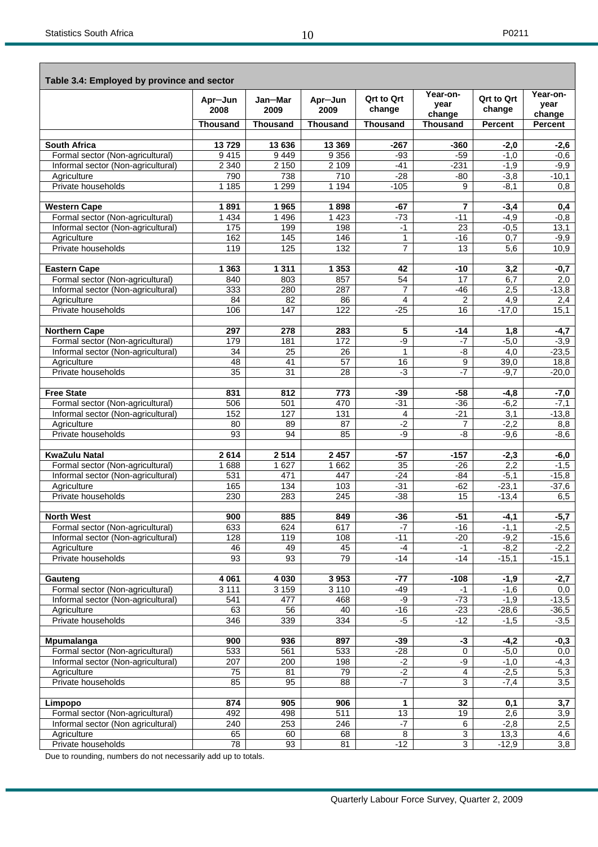| Table 3.4: Employed by province and sector              |                       |                 |                          |                             |                           |                             |                          |  |  |  |
|---------------------------------------------------------|-----------------------|-----------------|--------------------------|-----------------------------|---------------------------|-----------------------------|--------------------------|--|--|--|
|                                                         | Apr-Jun<br>2008       | Jan-Mar<br>2009 | Apr-Jun<br>2009          | <b>Qrt to Qrt</b><br>change | Year-on-<br>vear          | <b>Qrt to Qrt</b><br>change | Year-on-<br>vear         |  |  |  |
|                                                         | <b>Thousand</b>       | <b>Thousand</b> | <b>Thousand</b>          | <b>Thousand</b>             | change<br><b>Thousand</b> | <b>Percent</b>              | change<br><b>Percent</b> |  |  |  |
|                                                         |                       |                 |                          |                             |                           |                             |                          |  |  |  |
| <b>South Africa</b>                                     | 13729                 | 13 636          | 13 3 69                  | -267                        | $-360$                    | $-2,0$                      | $-2,6$                   |  |  |  |
| Formal sector (Non-agricultural)                        | 9415                  | 9449            | 9 3 5 6                  | -93                         | $-59$                     | $-1.0$                      | $-0.6$                   |  |  |  |
| Informal sector (Non-agricultural)<br>Agriculture       | 2 3 4 0<br>790        | 2 1 5 0<br>738  | $2\overline{109}$<br>710 | $-41$<br>$-28$              | $-231$<br>-80             | $-1,9$<br>$-3,8$            | $-9,9$<br>$-10,1$        |  |  |  |
| Private households                                      | 1 1 8 5               | 1 2 9 9         | 1 1 9 4                  | $-105$                      | 9                         | $-8.1$                      | 0.8                      |  |  |  |
|                                                         |                       |                 |                          |                             |                           |                             |                          |  |  |  |
| <b>Western Cape</b><br>Formal sector (Non-agricultural) | 1891<br>1 4 3 4       | 1965<br>1 4 9 6 | 1898<br>1423             | -67<br>$-73$                | 7<br>$-11$                | $-3,4$<br>$-4.9$            | 0,4<br>$-0.8$            |  |  |  |
| Informal sector (Non-agricultural)                      | 175                   | 199             | 198                      | $-1$                        | 23                        | $-0,5$                      | 13,1                     |  |  |  |
| Agriculture                                             | 162                   | 145             | 146                      | 1                           | $-16$                     | 0,7                         | $-9,9$                   |  |  |  |
| Private households                                      | 119                   | 125             | 132                      | 7                           | 13                        | 5,6                         | 10,9                     |  |  |  |
|                                                         | 1 3 6 3               |                 | 1 3 5 3                  |                             |                           |                             |                          |  |  |  |
| <b>Eastern Cape</b><br>Formal sector (Non-agricultural) | 840                   | 1 3 1 1<br>803  | 857                      | 42<br>54                    | $-10$<br>17               | 3,2<br>6,7                  | $-0,7$<br>2,0            |  |  |  |
| Informal sector (Non-agricultural)                      | 333                   | 280             | 287                      | 7                           | $-46$                     | 2,5                         | $-13,8$                  |  |  |  |
| Agriculture                                             | 84                    | 82              | 86                       | 4                           | $\overline{2}$            | 4,9                         | 2,4                      |  |  |  |
| Private households                                      | 106                   | 147             | 122                      | $-25$                       | 16                        | $-17,0$                     | 15,1                     |  |  |  |
| <b>Northern Cape</b>                                    | 297                   | 278             | 283                      | 5                           | $-14$                     | 1,8                         | $-4,7$                   |  |  |  |
| Formal sector (Non-agricultural)                        | 179                   | 181             | 172                      | -9                          | -7                        | $-5,0$                      | $-3.9$                   |  |  |  |
| Informal sector (Non-agricultural)                      | 34                    | 25              | 26                       | 1                           | -8                        | 4,0                         | $-23,5$                  |  |  |  |
| Agriculture                                             | 48                    | 41              | $\overline{57}$          | 16                          | 9                         | 39,0                        | 18,8                     |  |  |  |
| Private households                                      | $\overline{35}$       | $\overline{31}$ | 28                       | $-3$                        | $-7$                      | $-9.7$                      | $-20,0$                  |  |  |  |
| <b>Free State</b>                                       | 831                   | 812             | 773                      | -39                         | $-58$                     | -4,8                        | $-7,0$                   |  |  |  |
| Formal sector (Non-agricultural)                        | 506                   | 501             | 470                      | $-31$                       | $-36$                     | $-6,2$                      | $-7,1$                   |  |  |  |
| Informal sector (Non-agricultural)                      | 152                   | 127             | 131                      | 4                           | $-21$                     | 3,1                         | $-13,8$                  |  |  |  |
| Agriculture                                             | 80                    | 89              | 87                       | $-2$                        | 7                         | $-2,2$                      | 8,8                      |  |  |  |
| Private households                                      | 93                    | 94              | 85                       | -9                          | -8                        | $-9.6$                      | $-8.6$                   |  |  |  |
| <b>KwaZulu Natal</b>                                    | 2614                  | 2514            | 2 4 5 7                  | $-57$                       | $-157$                    | $-2,3$                      | $-6,0$                   |  |  |  |
| Formal sector (Non-agricultural)                        | 1688                  | 1 6 2 7         | 1662                     | 35                          | $-26$                     | 2,2                         | $-1,5$                   |  |  |  |
| Informal sector (Non-agricultural)                      | 531                   | 471             | 447                      | $-24$                       | $-84$                     | $-5,1$                      | $-15,8$                  |  |  |  |
| Agriculture                                             | 165                   | 134             | 103                      | $-31$                       | $-62$                     | $-23,1$                     | $-37,6$                  |  |  |  |
| Private households                                      | 230                   | 283             | 245                      | $-38$                       | 15                        | $-13,4$                     | 6,5                      |  |  |  |
| <b>North West</b>                                       | 900                   | 885             | 849                      | $-36$                       | $-51$                     | $-4,1$                      | -5,7                     |  |  |  |
| Formal sector (Non-agricultural)                        | 633                   | 624             | 617                      | $-7$                        | $-16$                     | $-1,1$                      | $-2,5$                   |  |  |  |
| Informal sector (Non-agricultural)                      | 128                   | 119             | 108                      | $-11$                       | $-20$                     | $-9,2$                      | $-15,6$                  |  |  |  |
| Agriculture                                             | 46                    | 49              | 45                       | -4                          | $-1$                      | $-8,2$                      | $-2,2$                   |  |  |  |
| Private households                                      | $\overline{93}$       | 93              | 79                       | $-14$                       | $-14$                     | $-15,1$                     | $-15,1$                  |  |  |  |
| Gauteng                                                 | 4 0 61                | 4 0 30          | 3 9 5 3                  | $-77$                       | $-108$                    | $-1,9$                      | $-2,7$                   |  |  |  |
| Formal sector (Non-agricultural)                        | 3 1 1 1               | 3 1 5 9         | 3 1 1 0                  | $-49$                       | $-1$                      | $-1,6$                      | 0,0                      |  |  |  |
| Informal sector (Non-agricultural)                      | 541                   | 477             | 468                      | -9                          | $-73$                     | $-1,9$                      | $-13,5$                  |  |  |  |
| Agriculture<br>Private households                       | 63<br>346             | 56<br>339       | 40                       | $-16$<br>$-5$               | $-23$<br>$-12$            | $-28,6$                     | $-36,5$                  |  |  |  |
|                                                         |                       |                 | 334                      |                             |                           | $-1,5$                      | $-3,5$                   |  |  |  |
| Mpumalanga                                              | 900                   | 936             | 897                      | -39                         | -3                        | $-4,2$                      | $-0,3$                   |  |  |  |
| Formal sector (Non-agricultural)                        | 533                   | 561             | 533                      | $-28$                       | $\mathbf 0$               | $-5,0$                      | 0,0                      |  |  |  |
| Informal sector (Non-agricultural)                      | 207                   | 200             | 198                      | $-2$                        | $-9$                      | $-1,0$                      | $-4,3$                   |  |  |  |
| Agriculture<br>Private households                       | $\overline{75}$<br>85 | 81<br>95        | 79<br>88                 | $-2$<br>$-7$                | $\overline{4}$<br>3       | $-2,5$<br>$-7,4$            | 5,3<br>3,5               |  |  |  |
|                                                         |                       |                 |                          |                             |                           |                             |                          |  |  |  |
| Limpopo                                                 | 874                   | 905             | 906                      | 1                           | 32                        | 0,1                         | 3,7                      |  |  |  |
| Formal sector (Non-agricultural)                        | 492                   | 498             | 511                      | 13                          | 19                        | 2,6                         | 3,9                      |  |  |  |
| Informal sector (Non agricultural)                      | 240                   | 253             | 246                      | $-7$                        | $\overline{6}$            | $-2,8$                      | 2,5                      |  |  |  |
| Agriculture<br>Private households                       | 65<br>78              | 60<br>93        | 68<br>81                 | $\overline{8}$<br>$-12$     | $\mathbf{3}$<br>3         | 13,3<br>$-12,9$             | 4,6<br>$\overline{3,8}$  |  |  |  |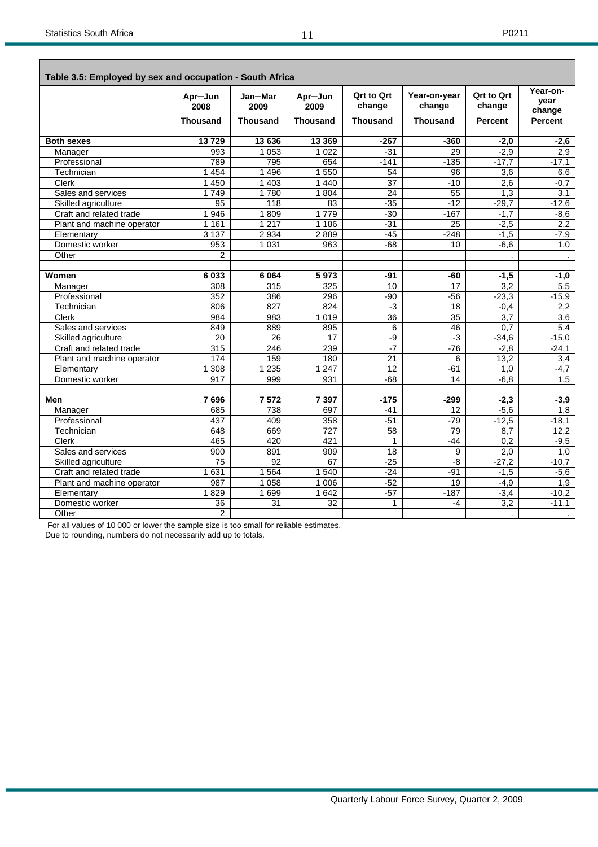$\overline{\phantom{a}}$ 

 $\overline{\phantom{0}}$ 

| Table 3.5: Employed by sex and occupation - South Africa |                 |                 |                 |                             |                        |                             |                            |
|----------------------------------------------------------|-----------------|-----------------|-----------------|-----------------------------|------------------------|-----------------------------|----------------------------|
|                                                          | Apr-Jun<br>2008 | Jan-Mar<br>2009 | Apr-Jun<br>2009 | <b>Qrt to Qrt</b><br>change | Year-on-year<br>change | <b>Ort to Ort</b><br>change | Year-on-<br>vear<br>change |
|                                                          | <b>Thousand</b> | <b>Thousand</b> | <b>Thousand</b> | <b>Thousand</b>             | <b>Thousand</b>        | <b>Percent</b>              | <b>Percent</b>             |
|                                                          |                 |                 |                 |                             |                        |                             |                            |
| <b>Both sexes</b>                                        | 13729           | 13 636          | 13 3 69         | $-267$                      | $-360$                 | $-2,0$                      | $-2,6$                     |
| Manager                                                  | 993             | 1053            | 1 0 2 2         | $-31$                       | 29                     | $-2,9$                      | 2,9                        |
| Professional                                             | 789             | 795             | 654             | $-141$                      | $-135$                 | $-17,7$                     | $-17,1$                    |
| Technician                                               | 1 4 5 4         | 1 4 9 6         | 1 550           | 54                          | 96                     | 3,6                         | 6,6                        |
| <b>Clerk</b>                                             | 1 4 5 0         | 1 4 0 3         | 1 4 4 0         | 37                          | $-10$                  | 2,6                         | $-0,7$                     |
| Sales and services                                       | 1749            | 1780            | 1 804           | 24                          | 55                     | 1,3                         | 3,1                        |
| Skilled agriculture                                      | 95              | 118             | 83              | $-35$                       | $-12$                  | $-29,7$                     | $-12,6$                    |
| Craft and related trade                                  | 1946            | 1809            | 1779            | $-30$                       | $-167$                 | $-1,7$                      | $-8,6$                     |
| Plant and machine operator                               | 1 1 6 1         | 1217            | 1 1 8 6         | $-31$                       | 25                     | $-2,5$                      | 2,2                        |
| Elementary                                               | 3 1 3 7         | 2 9 3 4         | 2889            | $-45$                       | $-248$                 | $-1,5$                      | $-7,9$                     |
| Domestic worker                                          | 953             | 1 0 3 1         | 963             | $-68$                       | 10                     | $-6,6$                      | 1,0                        |
| Other                                                    | 2               |                 |                 |                             |                        |                             |                            |
|                                                          |                 |                 |                 |                             |                        |                             |                            |
| Women                                                    | 6033            | 6 0 64          | 5973            | $-91$                       | $-60$                  | $-1,5$                      | $-1,0$                     |
| Manager                                                  | 308             | 315             | 325             | 10                          | 17                     | 3,2                         | 5,5                        |
| Professional                                             | 352             | 386             | 296             | $-90$                       | $-56$                  | $-23,3$                     | $-15,9$                    |
| Technician                                               | 806             | 827             | 824             | $-3$                        | 18                     | $-0,4$                      | 2,2                        |
| <b>Clerk</b>                                             | 984             | 983             | 1 0 1 9         | 36                          | 35                     | 3,7                         | $\overline{3,6}$           |
| Sales and services                                       | 849             | 889             | 895             | 6                           | 46                     | 0,7                         | 5,4                        |
| Skilled agriculture                                      | 20              | $\overline{26}$ | $\overline{17}$ | $-9$                        | $-3$                   | $-34,6$                     | $-15,0$                    |
| Craft and related trade                                  | 315             | 246             | 239             | $-7$                        | $-76$                  | $-2,8$                      | $-24,1$                    |
| Plant and machine operator                               | 174             | 159             | 180             | 21                          | 6                      | 13,2                        | 3,4                        |
| Elementary                                               | 1 3 0 8         | 1 2 3 5         | 1 2 4 7         | $\overline{12}$             | $-61$                  | 1.0                         | $-4,7$                     |
| Domestic worker                                          | 917             | 999             | 931             | $-68$                       | 14                     | $-6, 8$                     | 1,5                        |
|                                                          |                 |                 |                 |                             |                        |                             |                            |
| Men                                                      | 7696            | 7572            | 7 3 9 7         | $-175$                      | $-299$                 | $-2,3$                      | $-3,9$                     |
| Manager                                                  | 685             | 738             | 697             | $-41$                       | 12                     | $-5,6$                      | 1,8                        |
| Professional                                             | 437             | 409             | 358             | $-51$                       | $-79$                  | $-12,5$                     | $-18,1$                    |
| Technician                                               | 648             | 669             | 727             | 58                          | 79                     | 8,7                         | 12,2                       |
| <b>Clerk</b>                                             | 465             | 420             | 421             | 1                           | $-44$                  | 0,2                         | $-9,5$                     |
| Sales and services                                       | 900             | 891             | 909             | $\overline{18}$             | 9                      | 2,0                         | 1,0                        |
| Skilled agriculture                                      | 75              | 92              | 67              | $-25$                       | $-8$                   | $-27,2$                     | $-10,7$                    |
| Craft and related trade                                  | 1 6 3 1         | 1 5 6 4         | 1 540           | $-24$                       | $-91$                  | $-1,5$                      | $-5,6$                     |
| Plant and machine operator                               | 987             | 1 0 5 8         | 1 0 0 6         | $-52$                       | $\overline{19}$        | $-4,9$                      | 1,9                        |
| Elementary                                               | 1829            | 1699            | 1642            | $-57$                       | $-187$                 | $-3,4$                      | $-10,2$                    |
| Domestic worker                                          | 36              | 31              | 32              | 1                           | -4                     | 3,2                         | $-11,1$                    |
| Other                                                    | $\overline{c}$  |                 |                 |                             |                        |                             |                            |

For all values of 10 000 or lower the sample size is too small for reliable estimates.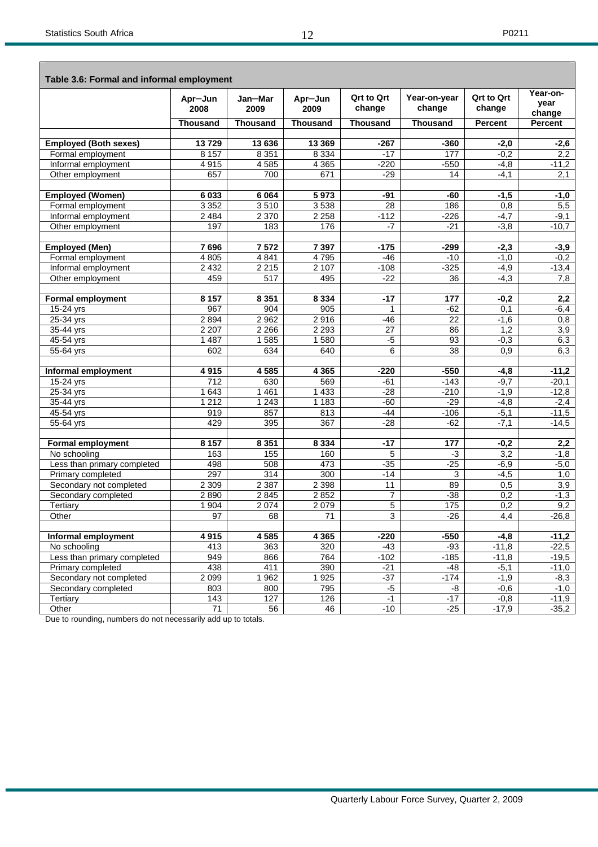| Table 3.6: Formal and informal employment |                  |                 |                 |                      |                        |                             |                            |
|-------------------------------------------|------------------|-----------------|-----------------|----------------------|------------------------|-----------------------------|----------------------------|
|                                           | Apr-Jun<br>2008  | Jan-Mar<br>2009 | Apr-Jun<br>2009 | Qrt to Qrt<br>change | Year-on-year<br>change | <b>Qrt to Qrt</b><br>change | Year-on-<br>vear<br>change |
|                                           | <b>Thousand</b>  | <b>Thousand</b> | <b>Thousand</b> | <b>Thousand</b>      | <b>Thousand</b>        | <b>Percent</b>              | Percent                    |
|                                           |                  |                 |                 |                      |                        |                             |                            |
| <b>Employed (Both sexes)</b>              | 13729            | 13 636          | 13 3 69         | $-267$               | $-360$                 | $-2,0$                      | $-2,6$                     |
| Formal employment                         | 8 1 5 7          | 8 3 5 1         | 8 3 3 4         | $-17$                | 177                    | $-0,2$                      | 2,2                        |
| Informal employment                       | 4915             | 4585            | 4 3 6 5         | $-220$               | $-550$                 | $-4,8$                      | $-11,2$                    |
| Other employment                          | 657              | 700             | 671             | $-29$                | 14                     | $-4,1$                      | 2,1                        |
| <b>Employed (Women)</b>                   | 6033             | 6 0 64          | 5973            | $-91$                | $-60$                  | $-1,5$                      | $-1,0$                     |
| Formal employment                         | 3 3 5 2          | 3510            | 3538            | 28                   | 186                    | 0,8                         | 5,5                        |
| Informal employment                       | 2 4 8 4          | 2 3 7 0         | 2 2 5 8         | $-112$               | $-226$                 | $-4,7$                      | $-9,1$                     |
| Other employment                          | 197              | 183             | 176             | $-7$                 | $-21$                  | $-3,8$                      | $-10,7$                    |
|                                           |                  |                 |                 |                      |                        |                             |                            |
| <b>Employed (Men)</b>                     | 7696             | 7572            | 7 3 9 7         | $-175$               | $-299$                 | $-2,3$                      | $-3,9$                     |
| Formal employment                         | 4 8 0 5          | 4 8 4 1         | 4795            | $-46$                | $-10$                  | $-1,0$                      | $-0,2$                     |
| Informal employment                       | 2 4 3 2          | 2215            | 2 107           | $-108$               | $-325$                 | $-4,9$                      | $-13,4$                    |
| Other employment                          | 459              | 517             | 495             | $-22$                | 36                     | $-4,3$                      | 7,8                        |
|                                           |                  |                 |                 |                      |                        |                             |                            |
| <b>Formal employment</b>                  | 8 1 5 7          | 8 3 5 1         | 8 3 3 4         | $-17$                | 177                    | $-0,2$                      | 2,2                        |
| $15-24$ yrs                               | 967              | 904             | 905             | 1                    | $-62$                  | 0,1                         | -6,4                       |
| 25-34 yrs                                 | 2894             | 2 9 6 2         | 2916            | $-46$                | $\overline{22}$        | $-1,6$                      | 0,8                        |
| 35-44 yrs                                 | 2 2 0 7          | 2 2 6 6         | 2 2 9 3         | 27                   | 86                     | 1,2                         | $\overline{3,9}$           |
| 45-54 yrs                                 | 1 4 8 7          | 1585            | 1580            | $-5$                 | 93                     | $-0,3$                      | 6,3                        |
| 55-64 yrs                                 | 602              | 634             | 640             | 6                    | 38                     | 0,9                         | 6,3                        |
| Informal employment                       | 4915             | 4 5 8 5         | 4 3 6 5         | $-220$               | $-550$                 | $-4,8$                      | $-11,2$                    |
| $15-24$ yrs                               | 712              | 630             | 569             | $-61$                | $-143$                 | $-9,7$                      | $-20,1$                    |
| 25-34 yrs                                 | 1 643            | 1 4 6 1         | 1 4 3 3         | $-28$                | $-210$                 | $-1,9$                      | $-12,8$                    |
| 35-44 yrs                                 | 1212             | 1 2 4 3         | 1 1 8 3         | $-60$                | $-29$                  | $-4,8$                      | $-2,4$                     |
| 45-54 yrs                                 | 919              | 857             | 813             | $-44$                | $-106$                 | $-5,1$                      | $-11,5$                    |
| 55-64 yrs                                 | 429              | 395             | 367             | $-28$                | $-62$                  | $-7,1$                      | $-14,5$                    |
| <b>Formal employment</b>                  | 8 1 5 7          | 8 3 5 1         | 8 3 3 4         | $-17$                | 177                    | $-0,2$                      | 2,2                        |
| No schooling                              | 163              | 155             | 160             | 5                    | $-3$                   | 3,2                         | $-1,8$                     |
| Less than primary completed               | 498              | 508             | 473             | $-35$                | $-25$                  | $-6,9$                      | $-5,0$                     |
| Primary completed                         | 297              | 314             | 300             | $-14$                | 3                      | $-4,5$                      | 1,0                        |
| Secondary not completed                   | 2 3 0 9          | 2 3 8 7         | 2 3 9 8         | 11                   | 89                     | 0,5                         | $\overline{3,9}$           |
| Secondary completed                       | 2890             | 2 8 4 5         | 2852            | 7                    | $-38$                  | 0,2                         | $-1,3$                     |
| Tertiary                                  | 1 9 0 4          | 2074            | 2 0 7 9         | $\overline{5}$       | $\frac{1}{175}$        | 0,2                         | 9,2                        |
| Other                                     | 97               | 68              | 71              | 3                    | $-26$                  | 4,4                         | $-26,8$                    |
|                                           |                  |                 |                 |                      |                        |                             |                            |
| Informal employment                       | 4915             | 4585            | 4 3 6 5         | $-220$               | $-550$                 | $-4,8$                      | $-11,2$                    |
| No schooling                              | 413              | 363             | 320             | $-43$                | $-93$                  | $-11,8$                     | $-22,5$                    |
| Less than primary completed               | 949              | 866             | 764             | $-102$               | $-185$                 | $-11,8$                     | $-19,5$                    |
| Primary completed                         | 438              | 411             | 390             | $-21$                | $-48$                  | $-5,1$                      | $-11,0$                    |
| Secondary not completed                   | 2 0 9 9          | 1 9 6 2         | 1 9 2 5         | $-37$                | $-174$                 | $-1,9$                      | $-8,3$                     |
| Secondary completed                       | 803              | 800             | 795             | $-5$                 | -8                     | $-0,6$                      | $-1,0$                     |
| Tertiary                                  | $\overline{143}$ | 127             | 126             | $-1$<br>$-10$        | $-17$                  | $-0,8$                      | $-11,9$                    |
| Other                                     | $71$             | 56              | 46              |                      | $-25$                  | $-17,9$                     | $-35,2$                    |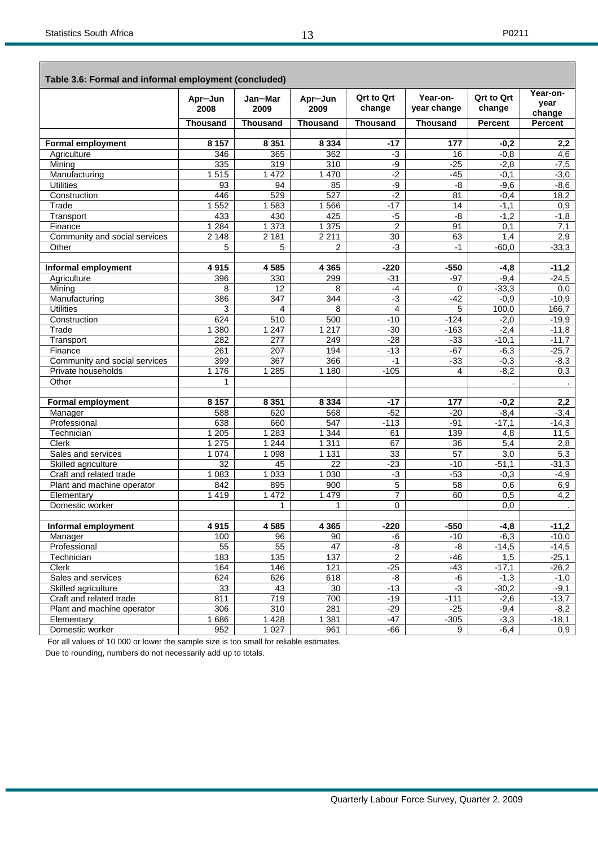$\mathbf{r}$ 

ī

|                               | Apr-Jun<br>2008 | Jan-Mar<br>2009 | Apr-Jun<br>2009 | <b>Qrt to Qrt</b><br>change | Year-on-<br>year change | <b>Qrt to Qrt</b><br>change | Year-on-<br>vear  |
|-------------------------------|-----------------|-----------------|-----------------|-----------------------------|-------------------------|-----------------------------|-------------------|
|                               | <b>Thousand</b> | <b>Thousand</b> | <b>Thousand</b> | <b>Thousand</b>             | <b>Thousand</b>         | <b>Percent</b>              | change<br>Percent |
|                               |                 |                 |                 |                             |                         |                             |                   |
| <b>Formal employment</b>      | 8 1 5 7         | 8 3 5 1         | 8 3 3 4         | $-17$                       | 177                     | $-0,2$                      | 2,2               |
| Agriculture                   | 346             | 365             | 362             | $-3$                        | 16                      | $-0,8$                      | 4,6               |
| Mining                        | 335             | 319             | 310             | -9                          | $-25$                   | $-2,8$                      | $-7,5$            |
| Manufacturing                 | 1515            | 1 472           | 1 4 7 0         | $-2$                        | $-45$                   | $-0,1$                      | $-3,0$            |
| <b>Utilities</b>              | 93              | 94              | 85              | -9                          | -8                      | $-9,6$                      | $-8,6$            |
| Construction                  | 446             | 529             | 527             | $-2$                        | 81                      | $-0,4$                      | 18,2              |
| Trade                         | 552<br>1        | 1583            | 1566            | $-17$                       | 14                      | $-1,1$                      | 0,9               |
| Transport                     | 433             | 430             | 425             | $-5$                        | -8                      | $-1,2$                      | $-1,8$            |
| Finance                       | 1 2 8 4         | 1 373           | 1 3 7 5         | $\overline{2}$              | 91                      | 0,1                         | 7,1               |
| Community and social services | 2 1 4 8         | 2 1 8 1         | 2 2 1 1         | 30                          | 63                      | 1,4                         | 2,9               |
| Other                         | 5               | 5               | $\overline{2}$  | $-3$                        | $-1$                    | $-60,0$                     | $-33,3$           |
| Informal employment           | 4915            | 4585            | 4 3 6 5         | $-220$                      | $-550$                  | $-4,8$                      | $-11,2$           |
|                               | 396             | 330             | 299             | $-31$                       | $-97$                   | $-9,4$                      | $-24,5$           |
| Agriculture<br>Mining         | 8               | $\overline{12}$ | 8               | $-4$                        | 0                       | $-33,3$                     | 0,0               |
| Manufacturing                 | 386             | 347             | 344             | $-3$                        | $-42$                   | $-0,9$                      | $-10,9$           |
| <b>Utilities</b>              | 3               | 4               | 8               | $\overline{4}$              | 5                       | 100,0                       | 166,7             |
| Construction                  | 624             | 510             | 500             | $-10$                       | $-124$                  | $-2,0$                      | $-19,9$           |
| Trade                         | 1 3 8 0         | 1 2 4 7         | 1 2 1 7         | $-30$                       | $-163$                  | $-2,4$                      | $-11,8$           |
| Transport                     | 282             | 277             | 249             | $-28$                       | $-33$                   | $-10,1$                     | $-11,7$           |
| Finance                       | 261             | 207             | 194             | $-13$                       | $-67$                   | $-6,3$                      | $-25,7$           |
| Community and social services | 399             | 367             | 366             | $-1$                        | $-33$                   | $-0,3$                      | $-8,3$            |
| Private households            | 1 1 7 6         | 1 2 8 5         | 1 1 8 0         | $-105$                      | 4                       | $-8,2$                      | 0,3               |
| Other                         | $\mathbf{1}$    |                 |                 |                             |                         |                             |                   |
|                               |                 |                 |                 |                             |                         |                             |                   |
| <b>Formal employment</b>      | 8 1 5 7         | 8 3 5 1         | 8 3 3 4         | $-17$                       | 177                     | $-0,2$                      | 2,2               |
| Manager                       | 588             | 620             | 568             | $-52$                       | $-20$                   | $-8,4$                      | $-3,4$            |
| Professional                  | 638             | 660             | 547             | $-113$                      | $-91$                   | $-17,1$                     | $-14,3$           |
| Technician                    | 1 2 0 5         | 1 2 8 3         | 1 3 4 4         | 61                          | 139                     | 4,8                         | 11,5              |
| <b>Clerk</b>                  | 1 2 7 5         | 1 2 4 4         | 1 3 1 1         | 67                          | 36                      | 5,4                         | 2,8               |
| Sales and services            | 1 0 7 4         | 1098            | 1 1 3 1         | 33                          | 57                      | 3,0                         | 5,3               |
| Skilled agriculture           | 32              | 45              | 22              | $-23$                       | $-10$                   | $-51,1$                     | $-31,3$           |
| Craft and related trade       | 1 0 8 3         | 1 0 3 3         | 1 0 3 0         | $-3$                        | $-53$                   | $-0,3$                      | $-4,9$            |
| Plant and machine operator    | 842             | 895             | 900             | 5                           | 58                      | 0,6                         | 6,9               |
| Elementary                    | 1419            | 1 4 7 2         | 1 4 7 9         | $\overline{7}$              | 60                      | 0,5                         | 4,2               |
| Domestic worker               |                 | $\mathbf{1}$    | 1               | $\Omega$                    |                         | 0,0                         |                   |
| Informal employment           | 4 9 1 5         | 4 5 8 5         | 4 3 6 5         | $-220$                      | $-550$                  | $-4,8$                      | $-11,2$           |
| Manager                       | 100             | 96              | 90              | -6                          | $-10$                   | $-6,3$                      | $-10,0$           |
| Professional                  | 55              | 55              | 47              | -8                          | -8                      | $-14,5$                     | $-14,5$           |
| Technician                    | 183             | 135             | 137             | $\overline{2}$              | -46                     | 1,5                         | $-25,1$           |
| Clerk                         | 164             | 146             | 121             | $-25$                       | $-43$                   | $-17,1$                     | $-26,2$           |
| Sales and services            | 624             | 626             | 618             | -8                          | $-6$                    | $-1,3$                      | $-1,0$            |
| Skilled agriculture           | 33              | 43              | 30              | $-13$                       | $-3$                    | $-30,2$                     | $-9,1$            |
| Craft and related trade       | 811             | 719             | 700             | $-19$                       | $-111$                  | $-2,6$                      | $-13,7$           |
| Plant and machine operator    | 306             | 310             | 281             | $-29$                       | $-25$                   | $-9,4$                      | $-8,2$            |
| Elementary                    | 686<br>1        | 1 4 2 8         | 1 3 8 1         | $-47$                       | $-305$                  | $-3,3$                      | $-18,1$           |
| Domestic worker               | 952             | 1 0 2 7         | 961             | -66                         | 9                       | $-6,4$                      | 0,9               |

For all values of 10 000 or lower the sample size is too small for reliable estimates.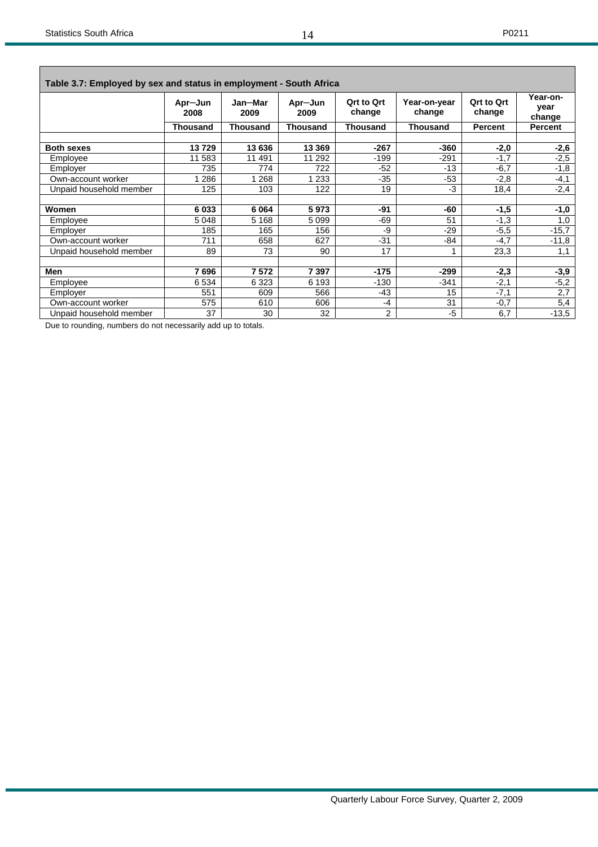| Table 3.7: Employed by sex and status in employment - South Africa |                 |                 |                 |                             |                        |                             |                            |  |  |  |  |
|--------------------------------------------------------------------|-----------------|-----------------|-----------------|-----------------------------|------------------------|-----------------------------|----------------------------|--|--|--|--|
|                                                                    | Apr-Jun<br>2008 | Jan-Mar<br>2009 | Apr-Jun<br>2009 | <b>Qrt to Qrt</b><br>change | Year-on-year<br>change | <b>Qrt to Qrt</b><br>change | Year-on-<br>year<br>change |  |  |  |  |
|                                                                    | <b>Thousand</b> | <b>Thousand</b> | <b>Thousand</b> | <b>Thousand</b>             | <b>Thousand</b>        | <b>Percent</b>              | Percent                    |  |  |  |  |
| <b>Both sexes</b>                                                  | 13729           | 13 636          | 13 3 69         | $-267$                      | $-360$                 | $-2,0$                      | $-2,6$                     |  |  |  |  |
| Employee                                                           | 11 583          | 11 491          | 11 292          | $-199$                      | $-291$                 | $-1,7$                      | $-2,5$                     |  |  |  |  |
| Employer                                                           | 735             | 774             | 722             | $-52$                       | $-13$                  | $-6,7$                      | $-1,8$                     |  |  |  |  |
| Own-account worker                                                 | 286             | 268             | 233             | $-35$                       | $-53$                  | $-2,8$                      | $-4,1$                     |  |  |  |  |
| Unpaid household member                                            | 125             | 103             | 122             | 19                          | -3                     | 18,4                        | $-2,4$                     |  |  |  |  |
|                                                                    |                 |                 |                 |                             |                        |                             |                            |  |  |  |  |
| Women                                                              | 6033            | 6 0 64          | 5973            | -91                         | -60                    | $-1,5$                      | $-1,0$                     |  |  |  |  |
| Employee                                                           | 5 0 4 8         | 5 1 6 8         | 5 0 9 9         | -69                         | 51                     | $-1,3$                      | 1,0                        |  |  |  |  |
| Employer                                                           | 185             | 165             | 156             | -9                          | $-29$                  | $-5.5$                      | $-15,7$                    |  |  |  |  |
| Own-account worker                                                 | 711             | 658             | 627             | $-31$                       | $-84$                  | $-4,7$                      | $-11,8$                    |  |  |  |  |
| Unpaid household member                                            | 89              | 73              | 90              | 17                          |                        | 23,3                        | 1,1                        |  |  |  |  |
| Men                                                                | 7696            | 7572            | 7 3 9 7         | $-175$                      | $-299$                 | $-2,3$                      | $-3,9$                     |  |  |  |  |
| Employee                                                           | 6534            | 6 3 2 3         | 6 1 9 3         | $-130$                      | $-341$                 | $-2,1$                      | $-5,2$                     |  |  |  |  |
| Employer                                                           | 551             | 609             | 566             | $-43$                       | 15                     | $-7,1$                      | 2,7                        |  |  |  |  |
| Own-account worker                                                 | 575             | 610             | 606             | $-4$                        | 31                     | $-0,7$                      | 5,4                        |  |  |  |  |
| Unpaid household member                                            | 37              | 30              | 32              | 2                           | -5                     | 6,7                         | $-13,5$                    |  |  |  |  |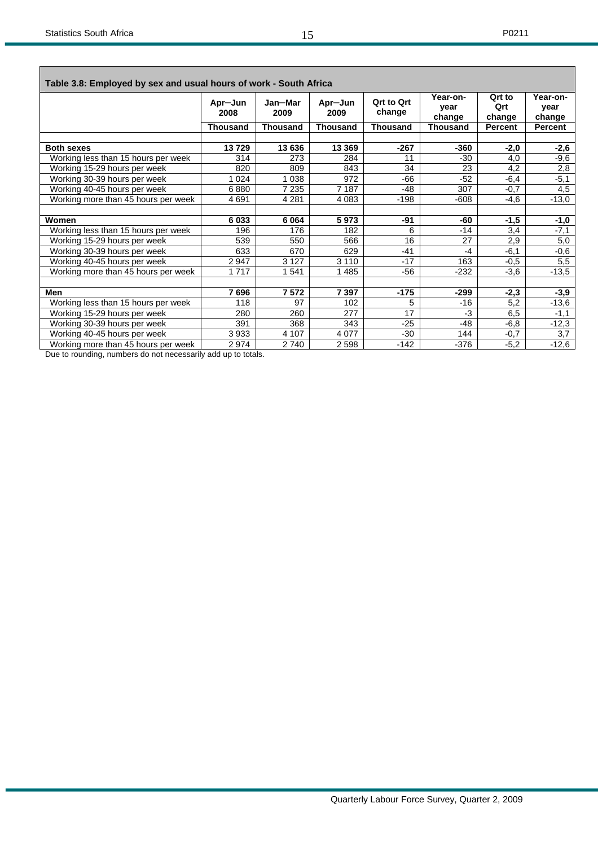| Table 3.8: Employed by sex and usual hours of work - South Africa |                 |                 |                 |                             |                            |                         |                            |
|-------------------------------------------------------------------|-----------------|-----------------|-----------------|-----------------------------|----------------------------|-------------------------|----------------------------|
|                                                                   | Apr-Jun<br>2008 | Jan-Mar<br>2009 | Apr-Jun<br>2009 | <b>Qrt to Qrt</b><br>change | Year-on-<br>year<br>change | Qrt to<br>Qrt<br>change | Year-on-<br>vear<br>change |
|                                                                   | Thousand        | <b>Thousand</b> | <b>Thousand</b> | <b>Thousand</b>             | <b>Thousand</b>            | Percent                 | <b>Percent</b>             |
|                                                                   |                 |                 |                 |                             |                            |                         |                            |
| <b>Both sexes</b>                                                 | 13729           | 13 636          | 13 3 69         | $-267$                      | $-360$                     | $-2,0$                  | $-2,6$                     |
| Working less than 15 hours per week                               | 314             | 273             | 284             | 11                          | $-30$                      | 4,0                     | -9,6                       |
| Working 15-29 hours per week                                      | 820             | 809             | 843             | 34                          | 23                         | 4,2                     | 2,8                        |
| Working 30-39 hours per week                                      | 024             | 1 0 3 8         | 972             | $-66$                       | $-52$                      | $-6,4$                  | $-5,1$                     |
| Working 40-45 hours per week                                      | 6880            | 7 2 3 5         | 7 187           | $-48$                       | 307                        | $-0,7$                  | 4,5                        |
| Working more than 45 hours per week                               | 4691            | 4 2 8 1         | 4 0 8 3         | $-198$                      | $-608$                     | $-4,6$                  | $-13,0$                    |
|                                                                   |                 |                 |                 |                             |                            |                         |                            |
| Women                                                             | 6033            | 6 0 64          | 5973            | -91                         | -60                        | $-1,5$                  | $-1,0$                     |
| Working less than 15 hours per week                               | 196             | 176             | 182             | 6                           | $-14$                      | 3,4                     | $-7,1$                     |
| Working 15-29 hours per week                                      | 539             | 550             | 566             | 16                          | 27                         | 2,9                     | 5,0                        |
| Working 30-39 hours per week                                      | 633             | 670             | 629             | $-41$                       | $-4$                       | $-6,1$                  | -0,6                       |
| Working 40-45 hours per week                                      | 2947            | 3 1 2 7         | 3 1 1 0         | $-17$                       | 163                        | $-0,5$                  | 5,5                        |
| Working more than 45 hours per week                               | 1717            | 1541            | 1485            | $-56$                       | -232                       | -3,6                    | $-13,5$                    |
|                                                                   |                 |                 |                 |                             |                            |                         |                            |
| <b>Men</b>                                                        | 7696            | 7572            | 7 3 9 7         | $-175$                      | -299                       | -2,3                    | -3,9                       |
| Working less than 15 hours per week                               | 118             | 97              | 102             | 5                           | $-16$                      | 5,2                     | $-13,6$                    |
| Working 15-29 hours per week                                      | 280             | 260             | 277             | 17                          | -3                         | 6,5                     | $-1,1$                     |
| Working 30-39 hours per week                                      | 391             | 368             | 343             | $-25$                       | $-48$                      | $-6,8$                  | $-12,3$                    |
| Working 40-45 hours per week                                      | 3933            | 4 107           | 4 0 7 7         | $-30$                       | 144                        | $-0,7$                  | 3,7                        |
| Working more than 45 hours per week                               | 2974            | 2740            | 2 5 9 8         | $-142$                      | -376                       | $-5,2$                  | $-12,6$                    |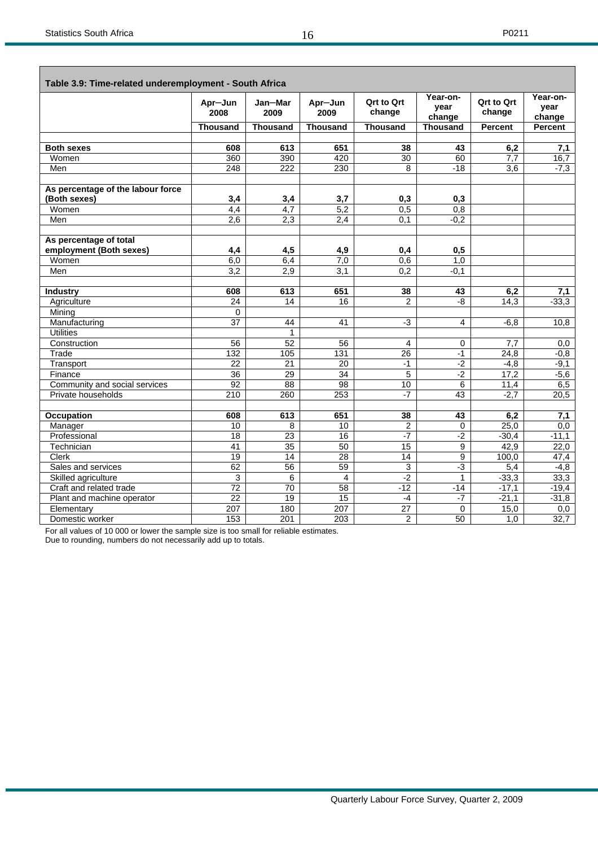Г

|                                   | Apr-Jun<br>2008 | Jan-Mar<br>2009 | Apr-Jun<br>2009 | <b>Qrt to Qrt</b><br>change | Year-on-<br>year<br>change | Qrt to Qrt<br>change | Year-on-<br>year<br>change |
|-----------------------------------|-----------------|-----------------|-----------------|-----------------------------|----------------------------|----------------------|----------------------------|
|                                   | <b>Thousand</b> | <b>Thousand</b> | <b>Thousand</b> | <b>Thousand</b>             | <b>Thousand</b>            | Percent              | <b>Percent</b>             |
|                                   |                 |                 |                 |                             |                            |                      |                            |
| <b>Both sexes</b>                 | 608             | 613             | 651             | 38                          | 43                         | 6,2                  | 7,1                        |
| Women                             | 360             | 390             | 420             | $\overline{30}$             | 60                         | 7,7                  | 16,7                       |
| Men                               | 248             | 222             | 230             | 8                           | $-18$                      | 3,6                  | $-7,3$                     |
| As percentage of the labour force |                 |                 |                 |                             |                            |                      |                            |
| (Both sexes)                      | 3,4             | 3,4             | 3,7             | 0,3                         | 0,3                        |                      |                            |
| Women                             | 4,4             | 4,7             | 5,2             | 0.5                         | $\overline{0.8}$           |                      |                            |
| Men                               | 2,6             | 2,3             | 2,4             | 0,1                         | $-0,2$                     |                      |                            |
| As percentage of total            |                 |                 |                 |                             |                            |                      |                            |
| employment (Both sexes)           | 4,4             | 4,5             | 4,9             | 0,4                         | 0,5                        |                      |                            |
| Women                             | 6,0             | 6,4             | 7,0             | 0,6                         | 1,0                        |                      |                            |
| Men                               | 3,2             | 2,9             | 3,1             | $\overline{0.2}$            | $-0,1$                     |                      |                            |
| <b>Industry</b>                   | 608             | 613             | 651             | 38                          | 43                         | 6,2                  | 7,1                        |
| Agriculture                       | 24              | 14              | 16              | $\overline{2}$              | -8                         | 14,3                 | $-33,3$                    |
| Mining                            | $\Omega$        |                 |                 |                             |                            |                      |                            |
| Manufacturing                     | $\overline{37}$ | 44              | 41              | د.                          | $\overline{4}$             | $-6.8$               | 10,8                       |
| <b>Utilities</b>                  |                 | $\mathbf{1}$    |                 |                             |                            |                      |                            |
| Construction                      | 56              | 52              | $\overline{56}$ | $\overline{4}$              | $\mathbf 0$                | 7,7                  | 0,0                        |
| Trade                             | 132             | 105             | 131             | 26                          | $-1$                       | 24,8                 | $-0,8$                     |
| Transport                         | 22              | 21              | 20              | $-1$                        | $-2$                       | $-4,8$               | $-9,1$                     |
| Finance                           | 36              | 29              | $\overline{34}$ | $\overline{5}$              | $-2$                       | 17,2                 | $-5,6$                     |
| Community and social services     | 92              | 88              | 98              | 10                          | 6                          | 11,4                 | 6,5                        |
| Private households                | 210             | 260             | 253             | $-7$                        | 43                         | $-2,7$               | 20,5                       |
| <b>Occupation</b>                 | 608             | 613             | 651             | 38                          | 43                         | 6,2                  | 7,1                        |
| Manager                           | 10              | 8               | 10              | $\overline{2}$              | $\mathbf 0$                | 25,0                 | 0,0                        |
| Professional                      | 18              | 23              | 16              | $-7$                        | $-2$                       | $-30,4$              | $-11,1$                    |
| Technician                        | 41              | $\overline{35}$ | 50              | 15                          | 9                          | 42,9                 | 22,0                       |
| <b>Clerk</b>                      | 19              | 14              | 28              | 14                          | 9                          | 100,0                | 47,4                       |
| Sales and services                | 62              | $\overline{56}$ | 59              | 3                           | ٠J                         | 5,4                  | $-4,8$                     |
| Skilled agriculture               | 3               | 6               | 4               | $-2$                        | $\mathbf{1}$               | $-33,3$              | 33,3                       |
| Craft and related trade           | $\overline{72}$ | 70              | 58              | $-12$                       | $-14$                      | $-17,1$              | $-19,4$                    |
| Plant and machine operator        | $\overline{22}$ | 19              | $\overline{15}$ | $-4$                        | $-7$                       | $-21,1$              | $-31,8$                    |
| Elementary                        | 207             | 180             | 207             | 27                          | $\Omega$                   | 15,0                 | 0,0                        |
| Domestic worker                   | 153             | 201             | 203             | $\overline{2}$              | 50                         | 1,0                  | 32,7                       |

For all values of 10 000 or lower the sample size is too small for reliable estimates.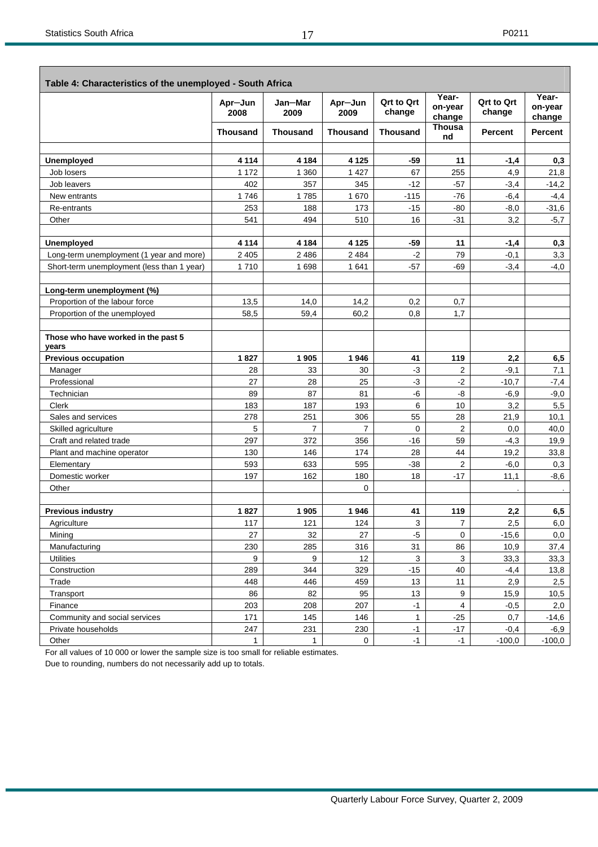|                                              | Apr-Jun<br>2008 | Jan-Mar<br>2009 | Apr-Jun<br>2009 | <b>Qrt to Qrt</b><br>change | Year-<br>on-year<br>change | <b>Qrt to Qrt</b><br>change | Year-<br>on-year<br>change |
|----------------------------------------------|-----------------|-----------------|-----------------|-----------------------------|----------------------------|-----------------------------|----------------------------|
|                                              | <b>Thousand</b> | <b>Thousand</b> | Thousand        | <b>Thousand</b>             | Thousa<br>nd               | <b>Percent</b>              | <b>Percent</b>             |
| Unemployed                                   | 4 1 1 4         | 4 1 8 4         | 4 1 2 5         | -59                         | 11                         | $-1,4$                      | 0.3                        |
| Job losers                                   | 1 1 7 2         | 1 3 6 0         | 1 4 2 7         | 67                          | 255                        | 4,9                         | 21,8                       |
| Job leavers                                  | 402             | 357             | 345             | $-12$                       | $-57$                      | $-3,4$                      | $-14,2$                    |
| New entrants                                 | 1746            | 1785            | 1670            | $-115$                      | $-76$                      | -6,4                        | $-4,4$                     |
| Re-entrants                                  | 253             | 188             | 173             | $-15$                       | $-80$                      | $-8,0$                      | $-31,6$                    |
| Other                                        | 541             | 494             | 510             | 16                          | $-31$                      | 3,2                         | $-5,7$                     |
| <b>Unemployed</b>                            | 4 1 1 4         | 4 184           | 4 1 2 5         | -59                         | 11                         | $-1,4$                      | 0,3                        |
| Long-term unemployment (1 year and more)     | 2 4 0 5         | 2 4 8 6         | 2 4 8 4         | $-2$                        | 79                         | $-0,1$                      | 3,3                        |
| Short-term unemployment (less than 1 year)   | 1710            | 1698            | 1641            | $-57$                       | $-69$                      | $-3,4$                      | $-4,0$                     |
| Long-term unemployment (%)                   |                 |                 |                 |                             |                            |                             |                            |
| Proportion of the labour force               | 13,5            | 14,0            | 14,2            | 0,2                         | 0,7                        |                             |                            |
| Proportion of the unemployed                 | 58,5            | 59,4            | 60,2            | 0,8                         | 1,7                        |                             |                            |
| Those who have worked in the past 5<br>years |                 |                 |                 |                             |                            |                             |                            |
| <b>Previous occupation</b>                   | 1827            | 1 905           | 1946            | 41                          | 119                        | 2,2                         | 6,5                        |
| Manager                                      | 28              | 33              | 30              | $-3$                        | $\overline{2}$             | $-9,1$                      | 7,1                        |
| Professional                                 | 27              | 28              | 25              | $-3$                        | $-2$                       | $-10,7$                     | $-7,4$                     |
| Technician                                   | 89              | 87              | 81              | -6                          | -8                         | $-6,9$                      | $-9,0$                     |
| Clerk                                        | 183             | 187             | 193             | 6                           | 10                         | 3,2                         | 5,5                        |
| Sales and services                           | 278             | 251             | 306             | 55                          | 28                         | 21,9                        | 10,1                       |
| Skilled agriculture                          | 5               | $\overline{7}$  | $\overline{7}$  | 0                           | 2                          | 0,0                         | 40,0                       |
| Craft and related trade                      | 297             | 372             | 356             | $-16$                       | 59                         | $-4,3$                      | 19,9                       |
| Plant and machine operator                   | 130             | 146             | 174             | 28                          | 44                         | 19,2                        | 33,8                       |
| Elementary                                   | 593             | 633             | 595             | $-38$                       | 2                          | $-6,0$                      | 0,3                        |
| Domestic worker                              | 197             | 162             | 180             | 18                          | $-17$                      | 11,1                        | $-8,6$                     |
| Other                                        |                 |                 | 0               |                             |                            |                             | $\cdot$                    |
| <b>Previous industry</b>                     | 1827            | 1905            | 1946            | 41                          | 119                        | 2,2                         | 6,5                        |
| Agriculture                                  | 117             | 121             | 124             | 3                           | 7                          | 2,5                         | 6,0                        |
| Mining                                       | 27              | 32              | 27              | $-5$                        | 0                          | $-15,6$                     | 0,0                        |
| Manufacturing                                | 230             | 285             | 316             | 31                          | 86                         | 10,9                        | 37,4                       |
| <b>Utilities</b>                             | 9               | 9               | 12              | 3                           | 3                          | 33,3                        | 33,3                       |
| Construction                                 | 289             | 344             | 329             | $-15$                       | 40                         | $-4,4$                      | 13,8                       |
| Trade                                        | 448             | 446             | 459             | 13                          | 11                         | 2,9                         | 2,5                        |
| Transport                                    | 86              | 82              | 95              | 13                          | 9                          | 15,9                        | 10,5                       |
| Finance                                      | 203             | 208             | 207             | $-1$                        | 4                          | $-0,5$                      | 2,0                        |
| Community and social services                | 171             | 145             | 146             | 1                           | $-25$                      | 0,7                         | $-14,6$                    |
| Private households                           | 247             | 231             | 230             | $-1$                        | $-17$                      | $-0,4$                      | $-6,9$                     |
| Other                                        | $\mathbf{1}$    | $\mathbf{1}$    | 0               | $-1$                        | $-1$                       | $-100,0$                    | $-100,0$                   |

For all values of 10 000 or lower the sample size is too small for reliable estimates.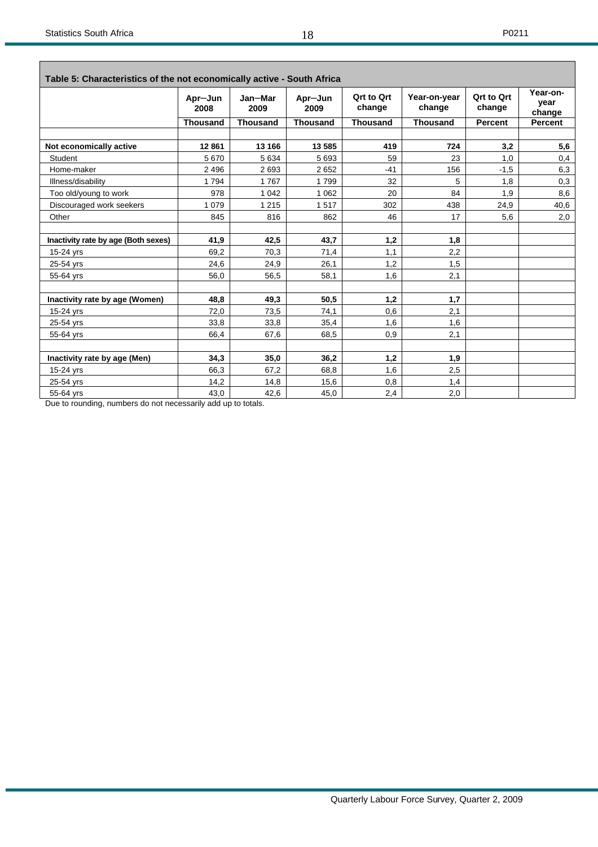$\overline{\phantom{0}}$ 

| Table 5: Characteristics of the not economically active - South Africa |                 |                 |                 |                             |                        |                             |                            |
|------------------------------------------------------------------------|-----------------|-----------------|-----------------|-----------------------------|------------------------|-----------------------------|----------------------------|
|                                                                        | Apr-Jun<br>2008 | Jan-Mar<br>2009 | Apr-Jun<br>2009 | <b>Qrt to Qrt</b><br>change | Year-on-year<br>change | <b>Qrt to Qrt</b><br>change | Year-on-<br>year<br>change |
|                                                                        | <b>Thousand</b> | <b>Thousand</b> | <b>Thousand</b> | <b>Thousand</b>             | <b>Thousand</b>        | <b>Percent</b>              | <b>Percent</b>             |
|                                                                        | 12861           | 13 166          | 13 585          | 419                         | 724                    |                             |                            |
| Not economically active                                                |                 |                 |                 |                             |                        | 3,2                         | 5,6                        |
| <b>Student</b>                                                         | 5670            | 5 6 3 4         | 5693            | 59                          | 23                     | 1,0                         | 0,4                        |
| Home-maker                                                             | 2 4 9 6         | 2693            | 2652            | $-41$                       | 156                    | $-1.5$                      | 6,3                        |
| Illness/disability                                                     | 1794            | 1767            | 1799            | 32                          | 5                      | 1,8                         | 0,3                        |
| Too old/young to work                                                  | 978             | 1 0 4 2         | 1 0 6 2         | 20                          | 84                     | 1,9                         | 8,6                        |
| Discouraged work seekers                                               | 1 0 7 9         | 1 2 1 5         | 1517            | 302                         | 438                    | 24,9                        | 40,6                       |
| Other                                                                  | 845             | 816             | 862             | 46                          | 17                     | 5,6                         | 2,0                        |
| Inactivity rate by age (Both sexes)                                    | 41.9            | 42,5            | 43.7            | 1,2                         | 1,8                    |                             |                            |
| 15-24 yrs                                                              | 69.2            | 70,3            | 71,4            | 1.1                         | 2,2                    |                             |                            |
| 25-54 yrs                                                              | 24,6            | 24,9            | 26,1            | 1.2                         | 1,5                    |                             |                            |
| 55-64 yrs                                                              | 56,0            | 56,5            | 58,1            | 1,6                         | 2,1                    |                             |                            |
| Inactivity rate by age (Women)                                         | 48.8            | 49.3            | 50.5            | 1.2                         | 1,7                    |                             |                            |
| 15-24 yrs                                                              | 72,0            | 73,5            | 74,1            | 0,6                         | 2,1                    |                             |                            |
| 25-54 yrs                                                              | 33,8            | 33,8            | 35,4            | 1,6                         | 1,6                    |                             |                            |
| 55-64 yrs                                                              | 66,4            | 67,6            | 68,5            | 0,9                         | 2,1                    |                             |                            |
|                                                                        |                 |                 |                 |                             |                        |                             |                            |
| Inactivity rate by age (Men)                                           | 34,3            | 35,0            | 36,2            | 1,2                         | 1,9                    |                             |                            |
| 15-24 yrs                                                              | 66,3            | 67,2            | 68,8            | 1,6                         | 2,5                    |                             |                            |
| 25-54 yrs                                                              | 14,2            | 14,8            | 15,6            | 0,8                         | 1,4                    |                             |                            |
| 55-64 yrs                                                              | 43.0            | 42,6            | 45,0            | 2,4                         | 2,0                    |                             |                            |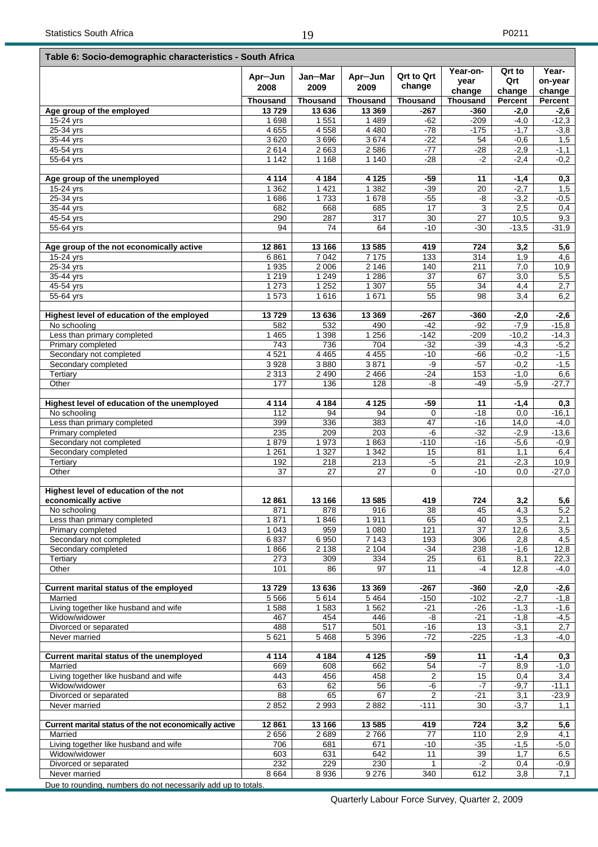$\overline{1}$ 

┑

|                                                                              | Table 6: Socio-demographic characteristics - South Africa |                    |                  |                             |                            |                         |                            |  |  |  |  |  |
|------------------------------------------------------------------------------|-----------------------------------------------------------|--------------------|------------------|-----------------------------|----------------------------|-------------------------|----------------------------|--|--|--|--|--|
|                                                                              | Apr-Jun<br>2008                                           | Jan-Mar<br>2009    | Apr-Jun<br>2009  | <b>Qrt to Qrt</b><br>change | Year-on-<br>year<br>change | Qrt to<br>Qrt<br>change | Year-<br>on-year<br>change |  |  |  |  |  |
|                                                                              | Thousand                                                  | <b>Thousand</b>    | <b>Thousand</b>  | <b>Thousand</b>             | <b>Thousand</b>            | Percent                 | Percent                    |  |  |  |  |  |
| Age group of the employed                                                    | 13729                                                     | 13 636             | 13 3 69          | $-267$                      | $-360$                     | $-2,0$                  | $-2,6$                     |  |  |  |  |  |
| 15-24 yrs                                                                    | 1698                                                      | 1 5 5 1            | 1 4 8 9          | -62                         | $-209$                     | $-4,0$                  | $-12,3$                    |  |  |  |  |  |
| 25-34 yrs                                                                    | 4655                                                      | 4 5 5 8            | 4 4 8 0          | $-78$                       | $-175$                     | $-1,7$                  | $-3,8$                     |  |  |  |  |  |
| 35-44 yrs                                                                    | 3620                                                      | 3696               | 3674             | $-22$                       | 54                         | $-0,6$                  | 1,5                        |  |  |  |  |  |
| 45-54 yrs                                                                    | 2614                                                      | 2 6 6 3            | 2586             | $-77$                       | $-28$                      | $-2,9$                  | $-1,1$                     |  |  |  |  |  |
| 55-64 yrs                                                                    | 1 1 4 2                                                   | 1 1 6 8            | 1 140            | $-28$                       | $-2$                       | $-2,4$                  | $-0,2$                     |  |  |  |  |  |
| Age group of the unemployed                                                  | 4 1 1 4                                                   | 4 1 8 4            | 4 1 2 5          | $-59$                       | 11                         | $-1,4$                  | 0,3                        |  |  |  |  |  |
| 15-24 yrs                                                                    | 1 3 6 2                                                   | 1 4 2 1<br>1733    | 1 3 8 2<br>1 678 | $-39$                       | 20<br>-8                   | $-2,7$                  | 1,5                        |  |  |  |  |  |
| 25-34 yrs<br>35-44 yrs                                                       | 1686<br>682                                               | 668                | 685              | $-55$<br>17                 | 3                          | $-3,2$<br>2,5           | $-0,5$<br>0,4              |  |  |  |  |  |
| 45-54 yrs                                                                    | 290                                                       | 287                | 317              | 30                          | 27                         | 10,5                    | 9,3                        |  |  |  |  |  |
| 55-64 yrs                                                                    | 94                                                        | 74                 | 64               | $-10$                       | $-30$                      | $-13,5$                 | $-31,9$                    |  |  |  |  |  |
|                                                                              |                                                           |                    |                  |                             |                            |                         |                            |  |  |  |  |  |
| Age group of the not economically active                                     | 12861                                                     | 13 16 6            | 13 5 85          | 419                         | 724                        | 3,2                     | 5,6                        |  |  |  |  |  |
| 15-24 yrs                                                                    | 6861                                                      | 7 0 4 2            | 7 1 7 5          | 133                         | 314                        | 1,9                     | 4,6                        |  |  |  |  |  |
| $25-34$ yrs                                                                  | 1935                                                      | 2 0 0 6            | 2 1 4 6          | 140                         | 211                        | 7,0                     | 10,9                       |  |  |  |  |  |
| 35-44 yrs                                                                    | 1 2 1 9                                                   | 1 2 4 9            | 1 2 8 6          | 37                          | 67                         | 3,0                     | 5,5                        |  |  |  |  |  |
| 45-54 yrs                                                                    | 1 273<br>1573                                             | 1 2 5 2<br>1616    | 1 307<br>1671    | 55<br>55                    | 34<br>98                   | 4,4<br>3,4              | 2,7<br>6,2                 |  |  |  |  |  |
| 55-64 yrs                                                                    |                                                           |                    |                  |                             |                            |                         |                            |  |  |  |  |  |
| Highest level of education of the employed                                   | 13729                                                     | 13 636             | 13 3 69          | $-267$                      | -360                       | $-2,0$                  | $-2,6$                     |  |  |  |  |  |
| No schooling                                                                 | 582                                                       | 532                | 490              | $-42$                       | -92                        | $-7,9$                  | $-15,8$                    |  |  |  |  |  |
| Less than primary completed                                                  | 1 4 6 5                                                   | 1 3 9 8            | 1 2 5 6          | $-142$                      | $-209$                     | $-10,2$                 | $-14,3$                    |  |  |  |  |  |
| Primary completed                                                            | 743                                                       | 736                | 704              | $-32$                       | $-39$                      | $-4,3$                  | $-5,2$                     |  |  |  |  |  |
| Secondary not completed                                                      | 4 5 21                                                    | 4 4 6 5            | 4 4 5 5          | $-10$                       | $-66$                      | $-0,2$                  | $-1,5$                     |  |  |  |  |  |
| Secondary completed                                                          | 3928                                                      | 3880               | 3871             | -9                          | $-57$                      | $-0,2$                  | $-1,5$                     |  |  |  |  |  |
| Tertiary                                                                     | 2 3 1 3                                                   | 2 4 9 0            | 2466             | $-24$                       | 153                        | $-1,0$                  | 6,6                        |  |  |  |  |  |
| Other                                                                        | 177                                                       | 136                | 128              | -8                          | $-49$                      | $-5,9$                  | $-27,7$                    |  |  |  |  |  |
| Highest level of education of the unemployed                                 | 4 1 1 4                                                   | 4 1 8 4            | 4 1 2 5          | -59                         | 11                         | $-1,4$                  | 0,3                        |  |  |  |  |  |
| No schooling                                                                 | 112                                                       | 94                 | 94               | 0                           | $-18$                      | 0,0                     | $-16,1$                    |  |  |  |  |  |
| Less than primary completed                                                  | 399                                                       | 336                | 383              | 47                          | $-16$                      | 14,0                    | $-4,0$                     |  |  |  |  |  |
| Primary completed                                                            | 235                                                       | 209                | 203              | -6                          | $-32$                      | $-2,9$                  | $-13,6$                    |  |  |  |  |  |
| Secondary not completed                                                      | 1879                                                      | 1973               | 1863             | $-110$                      | $-16$                      | $-5,6$                  | $-0,9$                     |  |  |  |  |  |
| Secondary completed                                                          | 1 2 6 1                                                   | 1 3 2 7            | 1 3 4 2          | 15                          | 81                         | 1,1                     | 6,4                        |  |  |  |  |  |
| Tertiary                                                                     | 192                                                       | 218                | 213              | $-5$                        | 21                         | $-2,3$                  | 10,9                       |  |  |  |  |  |
| Other                                                                        | 37                                                        | 27                 | 27               | 0                           | $-10$                      | 0,0                     | $-27,0$                    |  |  |  |  |  |
| Highest level of education of the not                                        |                                                           |                    |                  |                             |                            |                         |                            |  |  |  |  |  |
| economically active                                                          | 12861                                                     | 13 166             | 13 5 85          | 419                         | 724                        | 3,2                     | 5,6                        |  |  |  |  |  |
| No schooling                                                                 | 871                                                       | 878                | 916              | 38                          | 45                         | 4,3                     | 5,2                        |  |  |  |  |  |
| Less than primary completed                                                  | 1871                                                      | 1846               | 1911             | 65                          | 40                         | 3,5                     | 2,1                        |  |  |  |  |  |
| Primary completed                                                            | 1 0 4 3                                                   | 959                | 1 0 8 0          | 121                         | $\overline{37}$            | 12,6                    | 3,5                        |  |  |  |  |  |
| Secondary not completed                                                      | 6837                                                      | 6950               | 7 1 4 3          | 193                         | 306                        | 2,8                     | 4,5                        |  |  |  |  |  |
| Secondary completed                                                          | 1866<br>273                                               | 2 1 3 8            | 2 104            | $-34$<br>25                 | 238                        | $-1,6$                  | 12,8                       |  |  |  |  |  |
| Tertiary<br>Other                                                            | 101                                                       | 309<br>86          | 334<br>97        | 11                          | 61<br>-4                   | 8,1<br>12,8             | 22,3<br>$-4,0$             |  |  |  |  |  |
|                                                                              |                                                           |                    |                  |                             |                            |                         |                            |  |  |  |  |  |
| Current marital status of the employed                                       | 13729                                                     | 13 636             | 13 3 69          | $-267$                      | $-360$                     | $-2,0$                  | $-2,6$                     |  |  |  |  |  |
| Married                                                                      | 5 5 6 6                                                   | 5614               | 5464             | $-150$                      | $-102$                     | $-2,7$                  | $-1,8$                     |  |  |  |  |  |
| Living together like husband and wife<br>Widow/widower                       | 1588<br>467                                               | 1583<br>454        | 1562<br>446      | $-21$<br>$-8$               | $-26$<br>$-21$             | $-1,3$<br>$-1,8$        | $-1,6$<br>$-4,5$           |  |  |  |  |  |
| Divorced or separated                                                        | 488                                                       | 517                | 501              | $-16$                       | 13                         | $-3,1$                  | 2,7                        |  |  |  |  |  |
| Never married                                                                | 5621                                                      | $\overline{5}$ 468 | 5 3 9 6          | $-72$                       | $-225$                     | $-1,3$                  | $-4,0$                     |  |  |  |  |  |
|                                                                              |                                                           |                    |                  |                             |                            |                         |                            |  |  |  |  |  |
| Current marital status of the unemployed                                     | 4 1 1 4                                                   | 4 1 8 4            | 4 1 2 5          | $-59$                       | 11                         | $-1,4$                  | 0,3                        |  |  |  |  |  |
| Married                                                                      | 669                                                       | 608                | 662              | 54                          | $-7$                       | 8,9                     | $-1,0$                     |  |  |  |  |  |
| Living together like husband and wife<br>Widow/widower                       | 443<br>63                                                 | 456<br>62          | 458<br>56        | 2<br>$-\overline{6}$        | 15<br>$-7$                 | 0,4<br>$-9,7$           | 3,4<br>$-11,1$             |  |  |  |  |  |
| Divorced or separated                                                        | 88                                                        | 65                 | 67               | $\overline{c}$              | $-21$                      | 3,1                     | $-23,9$                    |  |  |  |  |  |
| Never married                                                                | 2852                                                      | 2993               | 2882             | $-111$                      | 30                         | $-3,7$                  | 1,1                        |  |  |  |  |  |
|                                                                              |                                                           |                    |                  |                             |                            |                         |                            |  |  |  |  |  |
| Current marital status of the not economically active                        | 12861                                                     | 13 166             | 13 5 8 5         | 419                         | 724                        | 3,2                     | 5,6                        |  |  |  |  |  |
| Married                                                                      | 2656                                                      | 2689               | 2766             | 77                          | 110                        | 2,9                     | 4,1                        |  |  |  |  |  |
| Living together like husband and wife                                        | 706                                                       | 681                | 671              | $-10$                       | $-35$                      | $-1,5$                  | $-5,0$                     |  |  |  |  |  |
| Widow/widower                                                                | 603                                                       | 631                | 642              | 11                          | 39                         | 1,7                     | 6,5                        |  |  |  |  |  |
| Divorced or separated                                                        | 232                                                       | 229                | 230              | 1                           | $-2$                       | 0,4                     | $-0,9$                     |  |  |  |  |  |
| Never married<br>Due to rounding numbers do not necessarily add up to totals | 8 6 6 4                                                   | 8 9 3 6            | 9 2 7 6          | 340                         | 612                        | 3,8                     | 7,1                        |  |  |  |  |  |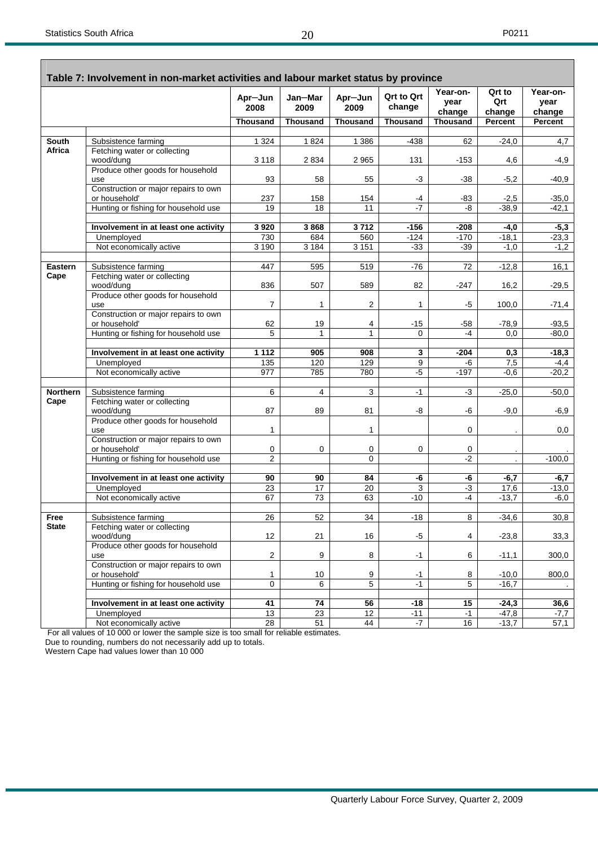٦

|                 | Table 7: Involvement in non-market activities and labour market status by province |                  |                 |                 |                             | Year-on-        | Qrt to             | Year-on-       |
|-----------------|------------------------------------------------------------------------------------|------------------|-----------------|-----------------|-----------------------------|-----------------|--------------------|----------------|
|                 |                                                                                    | Apr-Jun<br>2008  | Jan-Mar<br>2009 | Apr-Jun<br>2009 | <b>Qrt to Qrt</b><br>change | year<br>change  | Qrt<br>change      | year<br>change |
|                 |                                                                                    | <b>Thousand</b>  | <b>Thousand</b> | <b>Thousand</b> | <b>Thousand</b>             | <b>Thousand</b> | <b>Percent</b>     | <b>Percent</b> |
| <b>South</b>    | Subsistence farming                                                                | 1 3 2 4          | 1824            | 1 3 8 6         | $-438$                      | 62              | $-24,0$            | 4,7            |
| Africa          | Fetching water or collecting                                                       |                  |                 |                 |                             |                 |                    |                |
|                 | wood/dung                                                                          | 3 1 1 8          | 2 8 3 4         | 2 9 6 5         | 131                         | $-153$          | 4,6                | -4,9           |
|                 | Produce other goods for household                                                  |                  |                 |                 |                             |                 |                    |                |
|                 | use                                                                                | 93               | 58              | 55              | $-3$                        | $-38$           | $-5,2$             | $-40,9$        |
|                 | Construction or major repairs to own<br>or household'                              | 237              | 158             | 154             | -4                          | -83             | $-2,5$             | $-35,0$        |
|                 | Hunting or fishing for household use                                               | 19               | 18              | 11              | $-7$                        | -8              | $-38,9$            | $-42,1$        |
|                 |                                                                                    |                  |                 |                 |                             |                 |                    |                |
|                 | Involvement in at least one activity                                               | 3920             | 3868            | 3712            | $-156$                      | $-208$          | $-4,0$             | $-5,3$         |
|                 | Unemployed                                                                         | 730              | 684             | 560             | $-124$                      | $-170$          | $-18,1$            | $-23,3$        |
|                 | Not economically active                                                            | 3 1 9 0          | 3 1 8 4         | 3 1 5 1         | $-33$                       | $-39$           | $-1,0$             | $-1,2$         |
| <b>Eastern</b>  | Subsistence farming                                                                | 447              | 595             | 519             | $-76$                       | 72              | $-12,8$            | 16,1           |
| Cape            | Fetching water or collecting                                                       |                  |                 |                 |                             |                 |                    |                |
|                 | wood/dung                                                                          | 836              | 507             | 589             | 82                          | $-247$          | 16,2               | $-29,5$        |
|                 | Produce other goods for household                                                  |                  |                 |                 |                             |                 |                    |                |
|                 | use                                                                                | $\overline{7}$   | $\mathbf{1}$    | 2               | $\mathbf{1}$                | -5              | 100,0              | $-71,4$        |
|                 | Construction or major repairs to own<br>or household'                              | 62               | 19              | 4               | $-15$                       | -58             | $-78.9$            | $-93,5$        |
|                 | Hunting or fishing for household use                                               | 5                | $\mathbf{1}$    | $\mathbf{1}$    | $\Omega$                    | -4              | 0,0                | $-80,0$        |
|                 |                                                                                    |                  |                 |                 |                             |                 |                    |                |
|                 | Involvement in at least one activity                                               | 1112             | 905             | 908             | 3                           | $-204$          | 0,3                | $-18,3$        |
|                 | Unemployed                                                                         | 135              | 120             | 129             | 9                           | -6              | 7,5                | $-4,4$         |
|                 | Not economically active                                                            | $\overline{977}$ | 785             | 780             | $-5$                        | $-197$          | $-0,6$             | $-20,2$        |
| <b>Northern</b> | Subsistence farming                                                                | 6                | $\overline{4}$  | 3               | $-1$                        | -3              | $-25,0$            | $-50,0$        |
| Cape            | Fetching water or collecting                                                       |                  |                 |                 |                             |                 |                    |                |
|                 | wood/dung                                                                          | 87               | 89              | 81              | -8                          | -6              | $-9,0$             | $-6,9$         |
|                 | Produce other goods for household                                                  |                  |                 |                 |                             |                 |                    |                |
|                 | use                                                                                | 1                |                 | 1               |                             | 0               |                    | 0,0            |
|                 | Construction or major repairs to own<br>or household'                              | 0                | $\mathbf 0$     | 0               | $\mathbf 0$                 | 0               |                    |                |
|                 | Hunting or fishing for household use                                               | $\overline{2}$   |                 | $\mathbf 0$     |                             | $-2$            |                    | $-100,0$       |
|                 |                                                                                    |                  |                 |                 |                             |                 |                    |                |
|                 | Involvement in at least one activity                                               | 90               | 90              | 84              | -6                          | -6              | $-6,7$             | $-6,7$         |
|                 | Unemployed                                                                         | 23               | 17              | 20              | 3                           | -3              | 17,6               | $-13,0$        |
|                 | Not economically active                                                            | 67               | $\overline{73}$ | 63              | $-10$                       | $-4$            | $-13,7$            | $-6,0$         |
| Free            | Subsistence farming                                                                | 26               | 52              | 34              | $-18$                       | 8               | $-34,6$            | 30,8           |
| <b>State</b>    | Fetching water or collecting                                                       |                  |                 |                 |                             |                 |                    |                |
|                 | wood/dung                                                                          | 12               | 21              | 16              | $-5$                        | 4               | $-23,8$            | 33,3           |
|                 | Produce other goods for household<br>use                                           | $\sqrt{2}$       | 9               | 8               | $-1$                        | 6               | $-11,1$            | 300,0          |
|                 | Construction or major repairs to own                                               |                  |                 |                 |                             |                 |                    |                |
|                 | or household'                                                                      | 1                | 10              | 9               | $-1$                        | 8               | $-10,0$            | 800,0          |
|                 | Hunting or fishing for household use                                               | 0                | 6               | 5               | $-1$                        | $\overline{5}$  | $-16,7$            |                |
|                 |                                                                                    |                  |                 |                 |                             |                 |                    |                |
|                 | Involvement in at least one activity<br>Unemployed                                 | 41<br>13         | 74<br>23        | 56<br>12        | $-18$<br>$-11$              | 15<br>$-1$      | $-24,3$<br>$-47,8$ | 36,6<br>$-7,7$ |
|                 | Not economically active                                                            | 28               | 51              | 44              | $-7$                        | 16              | $-13,7$            | 57,1           |
|                 |                                                                                    |                  |                 |                 |                             |                 |                    |                |

For all values of 10 000 or lower the sample size is too small for reliable estimates.

Due to rounding, numbers do not necessarily add up to totals.

Western Cape had values lower than 10 000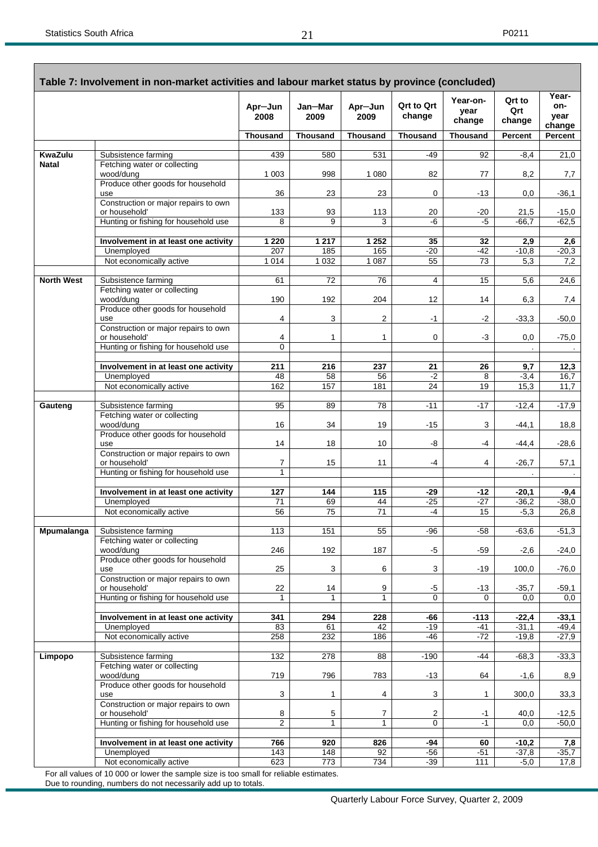г

|                   | Table 7: Involvement in non-market activities and labour market status by province (concluded) |                   |                 |                 |                             |                            |                         |                                |
|-------------------|------------------------------------------------------------------------------------------------|-------------------|-----------------|-----------------|-----------------------------|----------------------------|-------------------------|--------------------------------|
|                   |                                                                                                | Apr-Jun<br>2008   | Jan-Mar<br>2009 | Apr-Jun<br>2009 | <b>Qrt to Qrt</b><br>change | Year-on-<br>year<br>change | Qrt to<br>Qrt<br>change | Year-<br>on-<br>year<br>change |
|                   |                                                                                                | <b>Thousand</b>   | <b>Thousand</b> | <b>Thousand</b> | <b>Thousand</b>             | <b>Thousand</b>            | Percent                 | Percent                        |
| <b>KwaZulu</b>    | Subsistence farming                                                                            | 439               | 580             | 531             | -49                         | 92                         | $-8,4$                  | 21,0                           |
| <b>Natal</b>      | Fetching water or collecting<br>wood/dung                                                      | 1 0 0 3           | 998             | 1 0 8 0         | 82                          | 77                         | 8,2                     | 7,7                            |
|                   | Produce other goods for household<br>use                                                       | 36                | 23              | 23              | 0                           | $-13$                      | 0,0                     | $-36,1$                        |
|                   | Construction or major repairs to own<br>or household'                                          | 133               | 93              | 113             | 20                          | $-20$                      | 21,5                    | $-15,0$                        |
|                   | Hunting or fishing for household use                                                           | 8                 | 9               | 3               | -6                          | -5                         | $-66,7$                 | $-62,5$                        |
|                   | Involvement in at least one activity                                                           | 1 2 2 0           | 1 2 1 7         | 1 2 5 2         | 35                          | 32                         | 2,9                     | 2,6                            |
|                   | Unemployed                                                                                     | 207               | 185             | 165             | $-20$                       | $-42$                      | $-10,8$                 | $-20,3$                        |
|                   | Not economically active                                                                        | 1 0 1 4           | 1 0 3 2         | 1 0 8 7         | 55                          | 73                         | 5,3                     | 7,2                            |
| <b>North West</b> | Subsistence farming                                                                            | 61                | 72              | 76              | 4                           | 15                         | 5,6                     | 24,6                           |
|                   | Fetching water or collecting<br>wood/dung                                                      | 190               | 192             | 204             | 12                          | 14                         | 6,3                     | 7,4                            |
|                   | Produce other goods for household<br>use                                                       | 4                 | 3               | $\overline{2}$  | $-1$                        | $-2$                       | $-33,3$                 | -50,0                          |
|                   | Construction or major repairs to own                                                           |                   |                 |                 |                             |                            |                         |                                |
|                   | or household'<br>Hunting or fishing for household use                                          | 4<br>$\mathbf 0$  | $\mathbf{1}$    | $\mathbf{1}$    | 0                           | $-3$                       | $_{0,0}$                | $-75,0$                        |
|                   |                                                                                                |                   |                 |                 |                             |                            |                         |                                |
|                   | Involvement in at least one activity                                                           | 211               | 216             | 237             | 21                          | 26                         | 9,7                     | 12,3                           |
|                   | Unemployed                                                                                     | 48                | 58              | 56              | $-2$                        | 8                          | $-3,4$                  | 16,7                           |
|                   | Not economically active                                                                        | 162               | 157             | 181             | $\overline{24}$             | 19                         | 15,3                    | 11,7                           |
| Gauteng           | Subsistence farming                                                                            | 95                | 89              | 78              | $-11$                       | $-17$                      | $-12,4$                 | $-17,9$                        |
|                   | Fetching water or collecting                                                                   |                   |                 |                 |                             |                            |                         |                                |
|                   | wood/dung<br>Produce other goods for household                                                 | 16                | 34              | 19              | $-15$                       | 3                          | $-44,1$                 | 18,8                           |
|                   | use<br>Construction or major repairs to own                                                    | 14                | 18              | 10              | -8                          | -4                         | $-44,4$                 | $-28,6$                        |
|                   | or household'<br>Hunting or fishing for household use                                          | 7<br>$\mathbf{1}$ | 15              | 11              | -4                          | 4                          | $-26,7$                 | 57,1                           |
|                   | Involvement in at least one activity                                                           | 127               | 144             | 115             | -29                         | $-12$                      | $-20,1$                 | $-9,4$                         |
|                   | Unemployed                                                                                     | 71                | 69              | 44              | $-25$                       | $-27$                      | $-36,2$                 | $-38,0$                        |
|                   | Not economically active                                                                        | 56                | 75              | 71              | $-4$                        | 15                         | $-5,3$                  | 26,8                           |
| Mpumalanga        | Subsistence farming                                                                            | 113               | 151             | 55              | $-96$                       | $-58$                      | $-63,6$                 | $-51,3$                        |
|                   | Fetching water or collecting<br>wood/dung                                                      | 246               | 192             | 187             | $-5$                        | $-59$                      | $-2,6$                  | $-24,0$                        |
|                   | Produce other goods for household                                                              |                   |                 |                 |                             |                            |                         |                                |
|                   | use<br>Construction or major repairs to own                                                    | 25                | 3               | 6               | 3                           | $-19$                      | 100,0                   | -76,0                          |
|                   | or household'                                                                                  | 22                | 14              | 9               | $-5$                        | $-13$                      | $-35,7$                 | $-59,1$                        |
|                   | Hunting or fishing for household use                                                           | $\mathbf{1}$      | $\mathbf{1}$    | $\mathbf{1}$    | $\overline{0}$              | 0                          | 0,0                     | 0,0                            |
|                   | Involvement in at least one activity                                                           | 341               | 294             | 228             | -66                         | $-113$                     | $-22,4$                 | $-33,1$                        |
|                   | Unemployed                                                                                     | 83                | 61              | 42              | $-19$                       | $-41$                      | $-31,1$                 | -49,4                          |
|                   | Not economically active                                                                        | 258               | 232             | 186             | $-46$                       | $-72$                      | $-19,8$                 | $-27,9$                        |
| Limpopo           | Subsistence farming                                                                            | 132               | 278             | 88              | $-190$                      | -44                        | $-68,3$                 | $-33,3$                        |
|                   | Fetching water or collecting<br>wood/dung                                                      | 719               | 796             | 783             | $-13$                       | 64                         | $-1,6$                  | 8,9                            |
|                   | Produce other goods for household<br>use                                                       | 3                 | 1               | 4               | 3                           | 1                          | 300,0                   | 33,3                           |
|                   | Construction or major repairs to own<br>or household'                                          | 8                 | 5               | $\overline{7}$  | $\overline{a}$              | -1                         | 40,0                    | $-12,5$                        |
|                   | Hunting or fishing for household use                                                           | $\overline{2}$    | 1               | $\mathbf{1}$    | $\mathbf 0$                 | $-1$                       | 0,0                     | -50.0                          |
|                   |                                                                                                |                   |                 |                 |                             |                            |                         |                                |
|                   | Involvement in at least one activity<br>Unemployed                                             | 766<br>143        | 920<br>148      | 826<br>92       | $-94$<br>$-56$              | 60<br>$-51$                | $-10,2$                 | 7,8<br>$-35,7$                 |
|                   | Not economically active                                                                        | 623               | 773             | 734             | $-39$                       | 111                        | $-37,8$<br>$-5,0$       | 17,8                           |
|                   |                                                                                                |                   |                 |                 |                             |                            |                         |                                |

For all values of 10 000 or lower the sample size is too small for reliable estimates.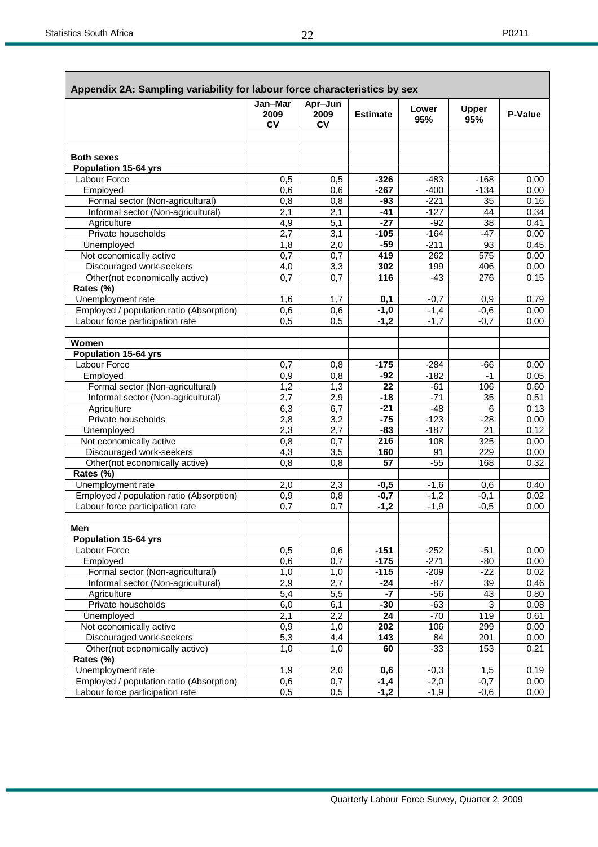|                                          | Appendix 2A: Sampling variability for labour force characteristics by sex |                              |                 |                  |                     |              |  |  |  |  |  |  |
|------------------------------------------|---------------------------------------------------------------------------|------------------------------|-----------------|------------------|---------------------|--------------|--|--|--|--|--|--|
|                                          | Jan-Mar<br>2009<br><b>CV</b>                                              | Apr-Jun<br>2009<br><b>CV</b> | <b>Estimate</b> | Lower<br>95%     | <b>Upper</b><br>95% | P-Value      |  |  |  |  |  |  |
|                                          |                                                                           |                              |                 |                  |                     |              |  |  |  |  |  |  |
|                                          |                                                                           |                              |                 |                  |                     |              |  |  |  |  |  |  |
| <b>Both sexes</b>                        |                                                                           |                              |                 |                  |                     |              |  |  |  |  |  |  |
| <b>Population 15-64 yrs</b>              |                                                                           |                              |                 |                  |                     |              |  |  |  |  |  |  |
| Labour Force                             | 0,5                                                                       | 0,5                          | $-326$          | $-483$           | $-168$              | 0,00         |  |  |  |  |  |  |
| Employed                                 | 0,6                                                                       | 0,6                          | $-267$          | $-400$           | $-134$              | 0,00         |  |  |  |  |  |  |
| Formal sector (Non-agricultural)         | 0,8                                                                       | 0,8                          | $-93$<br>$-41$  | $-221$<br>$-127$ | 35                  | 0,16         |  |  |  |  |  |  |
| Informal sector (Non-agricultural)       | 2,1<br>4,9                                                                | 2,1<br>$\overline{5,1}$      | $-27$           | $-92$            | 44<br>38            | 0,34         |  |  |  |  |  |  |
| Agriculture<br>Private households        |                                                                           | 3,1                          |                 | $-164$           | $-47$               | 0,41         |  |  |  |  |  |  |
| Unemployed                               | 2,7<br>1,8                                                                | 2,0                          | $-105$<br>$-59$ | $-211$           | 93                  | 0,00<br>0,45 |  |  |  |  |  |  |
| Not economically active                  | 0,7                                                                       | $\overline{0,7}$             | 419             | 262              | 575                 | 0,00         |  |  |  |  |  |  |
| Discouraged work-seekers                 | 4,0                                                                       | $\overline{3,3}$             | 302             | 199              | 406                 | 0,00         |  |  |  |  |  |  |
| Other(not economically active)           | 0.7                                                                       | 0,7                          | 116             | $-43$            | 276                 | 0,15         |  |  |  |  |  |  |
| Rates (%)                                |                                                                           |                              |                 |                  |                     |              |  |  |  |  |  |  |
| Unemployment rate                        | 1,6                                                                       | 1,7                          | 0,1             | $-0,7$           | 0,9                 | 0,79         |  |  |  |  |  |  |
| Employed / population ratio (Absorption) | 0,6                                                                       | 0,6                          | $-1,0$          | $-1,4$           | $-0,6$              | 0,00         |  |  |  |  |  |  |
| Labour force participation rate          | 0,5                                                                       | $\overline{0,5}$             | $-1,2$          | $-1,7$           | $-0,7$              | 0,00         |  |  |  |  |  |  |
|                                          |                                                                           |                              |                 |                  |                     |              |  |  |  |  |  |  |
| Women                                    |                                                                           |                              |                 |                  |                     |              |  |  |  |  |  |  |
| <b>Population 15-64 yrs</b>              |                                                                           |                              |                 |                  |                     |              |  |  |  |  |  |  |
| Labour Force                             | 0,7                                                                       | 0,8                          | $-175$          | $-284$           | -66                 | 0,00         |  |  |  |  |  |  |
| Employed                                 | 0,9                                                                       | 0,8                          | $-92$           | $-182$           | $-1$                | 0,05         |  |  |  |  |  |  |
| Formal sector (Non-agricultural)         | 1,2                                                                       | 1,3                          | 22              | $-61$            | 106                 | 0,60         |  |  |  |  |  |  |
| Informal sector (Non-agricultural)       | 2,7                                                                       | 2,9                          | $-18$           | $-71$            | 35                  | 0,51         |  |  |  |  |  |  |
| Agriculture                              | 6,3                                                                       | 6,7                          | $-21$           | $-48$            | 6                   | 0,13         |  |  |  |  |  |  |
| Private households                       | 2,8                                                                       | 3,2                          | $-75$           | $-123$           | $-28$               | 0,00         |  |  |  |  |  |  |
| Unemployed                               | 2,3                                                                       | 2,7                          | $-83$           | $-187$           | 21                  | 0,12         |  |  |  |  |  |  |
| Not economically active                  | 0,8                                                                       | $\overline{0,7}$             | 216             | 108              | 325                 | 0,00         |  |  |  |  |  |  |
| Discouraged work-seekers                 | 4,3                                                                       | 3,5                          | 160             | 91               | 229                 | 0,00         |  |  |  |  |  |  |
| Other(not economically active)           | 0,8                                                                       | 0,8                          | 57              | $-55$            | 168                 | 0,32         |  |  |  |  |  |  |
| Rates (%)                                |                                                                           |                              |                 |                  |                     |              |  |  |  |  |  |  |
| Unemployment rate                        | 2,0                                                                       | 2,3                          | $-0,5$          | $-1,6$           | 0,6                 | 0,40         |  |  |  |  |  |  |
| Employed / population ratio (Absorption) | 0,9                                                                       | 0,8                          | $-0,7$          | $-1,2$           | $-0,1$              | 0,02         |  |  |  |  |  |  |
| Labour force participation rate          | 0,7                                                                       | 0,7                          | $-1,2$          | $-1,9$           | $-0,5$              | 0,00         |  |  |  |  |  |  |
|                                          |                                                                           |                              |                 |                  |                     |              |  |  |  |  |  |  |
| Men                                      |                                                                           |                              |                 |                  |                     |              |  |  |  |  |  |  |
| <b>Population 15-64 yrs</b>              |                                                                           |                              |                 |                  |                     |              |  |  |  |  |  |  |
| Labour Force                             | 0,5                                                                       | 0,6                          | $-151$          | $-252$           | $-51$               | 0,00         |  |  |  |  |  |  |
| Employed                                 | 0,6                                                                       | 0,7                          | $-175$          | $-271$           | $-80$               | 0,00         |  |  |  |  |  |  |
| Formal sector (Non-agricultural)         | 1,0                                                                       | 1,0                          | $-115$          | $-209$           | $-22$               | 0,02         |  |  |  |  |  |  |
| Informal sector (Non-agricultural)       | 2,9                                                                       | 2,7                          | $-24$           | $-87$            | 39                  | 0,46         |  |  |  |  |  |  |
| Agriculture                              | $\overline{5,4}$                                                          | $\overline{5,5}$             | $-7$            | $-56$            | 43                  | 0,80         |  |  |  |  |  |  |
| Private households                       | 6,0                                                                       | 6,1                          | $-30$           | $-63$            | $\overline{3}$      | 0,08         |  |  |  |  |  |  |
| Unemployed                               | 2,1                                                                       | 2,2                          | 24              | $-70$            | 119                 | 0,61         |  |  |  |  |  |  |
| Not economically active                  | $\overline{0,9}$                                                          | 1,0                          | 202             | 106              | 299                 | 0,00         |  |  |  |  |  |  |
| Discouraged work-seekers                 | 5,3                                                                       | 4,4                          | 143             | 84               | 201                 | 0,00         |  |  |  |  |  |  |
| Other(not economically active)           | 1,0                                                                       | 1,0                          | 60              | $-33$            | 153                 | 0,21         |  |  |  |  |  |  |
| Rates (%)                                |                                                                           |                              |                 |                  |                     |              |  |  |  |  |  |  |
| Unemployment rate                        | 1,9                                                                       | 2,0                          | 0,6             | $-0,3$           | 1,5                 | 0,19         |  |  |  |  |  |  |
| Employed / population ratio (Absorption) | 0,6                                                                       | 0,7                          | $-1,4$          | $-2,0$           | $-0,7$              | 0,00         |  |  |  |  |  |  |
| Labour force participation rate          | 0,5                                                                       | 0,5                          | $-1,2$          | $-1,9$           | $-0,6$              | 0,00         |  |  |  |  |  |  |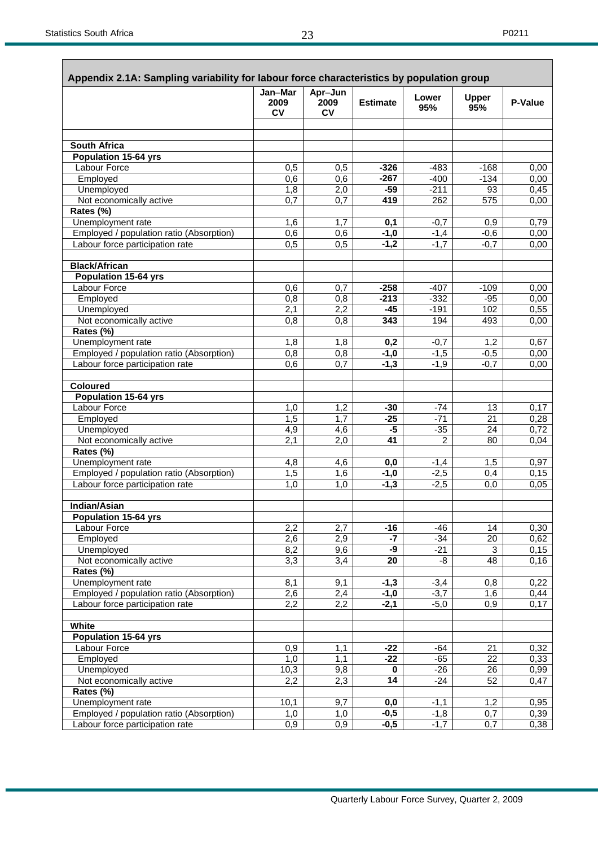|                                          | Jan-Mar<br>2009  | Apr-Jun<br>2009 | <b>Estimate</b> | Lower  | <b>Upper</b>              | P-Value |
|------------------------------------------|------------------|-----------------|-----------------|--------|---------------------------|---------|
|                                          | <b>CV</b>        | <b>CV</b>       |                 | 95%    | 95%                       |         |
|                                          |                  |                 |                 |        |                           |         |
| South Africa                             |                  |                 |                 |        |                           |         |
| <b>Population 15-64 yrs</b>              |                  |                 |                 |        |                           |         |
| Labour Force                             | 0,5              | 0,5             | $-326$          | $-483$ | $-168$                    | 0,00    |
| Employed                                 | 0,6              | 0,6             | $-267$          | $-400$ | $-134$                    | 0,00    |
| Unemployed                               | 1,8              | 2,0             | $-59$           | $-211$ | 93                        | 0,45    |
| Not economically active                  | 0,7              | 0,7             | 419             | 262    | 575                       | 0,00    |
| Rates (%)                                |                  |                 |                 |        |                           |         |
| Unemployment rate                        | 1,6              | 1,7             | 0,1             | $-0,7$ | 0,9                       | 0,79    |
| Employed / population ratio (Absorption) | 0,6              | 0,6             | $-1,0$          | $-1,4$ | $-0,6$                    | 0,00    |
| Labour force participation rate          | 0,5              | 0,5             | $-1,2$          | $-1,7$ | $-0,7$                    | 0,00    |
| <b>Black/African</b>                     |                  |                 |                 |        |                           |         |
| <b>Population 15-64 yrs</b>              |                  |                 |                 |        |                           |         |
| <b>Labour Force</b>                      | 0,6              | 0,7             | $-258$          | $-407$ | $-109$                    | 0,00    |
| Employed                                 | $0,\overline{8}$ | 0,8             | $-213$          | $-332$ | $-95$                     | 0,00    |
| Unemployed                               | 2,1              | 2,2             | $-45$           | $-191$ | 102                       | 0,55    |
| Not economically active                  | 0,8              | 0,8             | 343             | 194    | 493                       | 0,00    |
| Rates (%)                                |                  |                 |                 |        |                           |         |
| Unemployment rate                        | 1,8              | 1,8             | 0,2             | $-0,7$ | 1,2                       | 0,67    |
| Employed / population ratio (Absorption) | 0,8              | 0,8             | $-1,0$          | $-1,5$ | $-0,5$                    | 0,00    |
| Labour force participation rate          | 0,6              | 0,7             | $-1,3$          | $-1,9$ | $-0,7$                    | 0,00    |
| <b>Coloured</b>                          |                  |                 |                 |        |                           |         |
| Population 15-64 yrs                     |                  |                 |                 |        |                           |         |
| <b>Labour Force</b>                      | 1,0              | 1,2             | $-30$           | -74    | 13                        | 0,17    |
| Employed                                 | 1,5              | 1,7             | $-25$           | $-71$  | $\overline{21}$           | 0,28    |
| Unemployed                               | 4,9              | 4,6             | $-5$            | $-35$  | 24                        | 0,72    |
| Not economically active                  | 2,1              | 2,0             | 41              | 2      | 80                        | 0,04    |
| Rates (%)                                |                  |                 |                 |        |                           |         |
| Unemployment rate                        | 4,8              | 4,6             | 0,0             | $-1,4$ | 1,5                       | 0,97    |
| Employed / population ratio (Absorption) | $1,\overline{5}$ | 1,6             | $-1,0$          | $-2,5$ | 0,4                       | 0,15    |
| Labour force participation rate          | 1,0              | 1,0             | $-1,3$          | $-2,5$ | 0,0                       | 0,05    |
| Indian/Asian                             |                  |                 |                 |        |                           |         |
| <b>Population 15-64 yrs</b>              |                  |                 |                 |        |                           |         |
| Labour Force                             | $\overline{2,2}$ | 2,7             | $-16$           | $-46$  | 14                        | 0,30    |
| Employed                                 | 2,6              | 2,9             | -7              | $-34$  | 20                        | 0,62    |
| Unemployed                               | 8,2              | 9,6             | -9              | $-21$  | $\ensuremath{\mathsf{3}}$ | 0,15    |
| Not economically active                  | 3,3              | 3,4             | 20              | -8     | 48                        | 0,16    |
| Rates (%)                                |                  |                 |                 |        |                           |         |
| Unemployment rate                        | 8,1              | 9,1             | $-1,3$          | $-3,4$ | 0,8                       | 0,22    |
| Employed / population ratio (Absorption) | 2,6              | 2,4             | $-1,0$          | $-3,7$ | 1,6                       | 0,44    |
| Labour force participation rate          | 2,2              | 2,2             | $-2,1$          | $-5,0$ | 0,9                       | 0,17    |
| White                                    |                  |                 |                 |        |                           |         |
| Population 15-64 yrs                     |                  |                 |                 |        |                           |         |
| Labour Force                             | 0,9              | 1,1             | $-22$           | $-64$  | 21                        | 0,32    |
| Employed                                 | 1,0              | 1,1             | $-22$           | $-65$  | 22                        | 0,33    |
| Unemployed                               | 10,3             | 9,8             | $\bf{0}$        | $-26$  | 26                        | 0,99    |
| Not economically active                  | 2,2              | 2,3             | 14              | $-24$  | 52                        | 0,47    |
| Rates (%)                                |                  |                 |                 |        |                           |         |
| Unemployment rate                        | 10,1             | 9,7             | 0,0             | $-1,1$ | 1,2                       | 0,95    |
| Employed / population ratio (Absorption) | 1,0              | 1,0             | $-0,5$          | $-1,8$ | 0,7                       | 0,39    |
| Labour force participation rate          | 0,9              | 0,9             | $-0,5$          | $-1,7$ | $\overline{0,7}$          | 0,38    |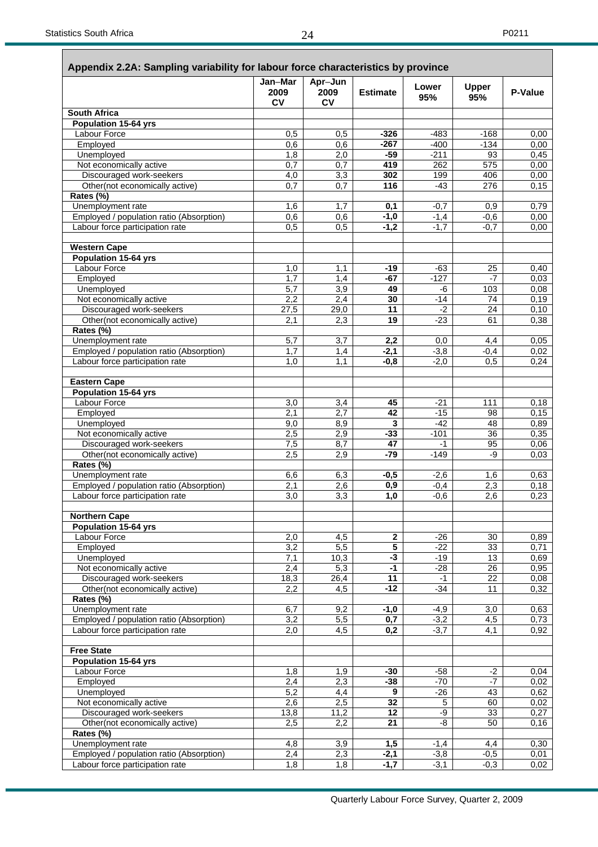|                                                            | Jan-Mar           | Apr-Jun                 |                         | Lower            | <b>Upper</b>          |               |
|------------------------------------------------------------|-------------------|-------------------------|-------------------------|------------------|-----------------------|---------------|
|                                                            | 2009<br><b>CV</b> | 2009<br><b>CV</b>       | <b>Estimate</b>         | 95%              | 95%                   | P-Value       |
| <b>South Africa</b>                                        |                   |                         |                         |                  |                       |               |
| <b>Population 15-64 yrs</b>                                |                   |                         |                         |                  |                       |               |
| <b>Labour Force</b>                                        | 0,5               | 0,5                     | $-326$                  | $-483$           | $-168$                | 0.00          |
| Employed                                                   | 0,6               | 0,6                     | $-267$                  | $-400$           | $-134$                | 0,00          |
| Unemployed                                                 | 1,8               | 2,0                     | $-59$                   | $-211$           | 93                    | 0,45          |
| Not economically active                                    | 0,7<br>4,0        | 0,7                     | 419<br>302              | 262<br>199       | 575<br>406            | 0,00          |
| Discouraged work-seekers<br>Other(not economically active) | 0,7               | 3,3<br>$\overline{0,7}$ | 116                     | $-43$            | $\frac{276}{ }$       | 0,00<br>0,15  |
| Rates (%)                                                  |                   |                         |                         |                  |                       |               |
| Unemployment rate                                          | 1,6               | 1,7                     | 0,1                     | $-0,7$           | 0,9                   | 0,79          |
| Employed / population ratio (Absorption)                   | 0,6               | 0,6                     | $-1,0$                  | $-1,4$           | $-0,6$                | 0,00          |
| Labour force participation rate                            | 0,5               | $\overline{0,5}$        | $-1,2$                  | $-1,7$           | $-0,7$                | 0,00          |
| <b>Western Cape</b>                                        |                   |                         |                         |                  |                       |               |
| <b>Population 15-64 yrs</b>                                |                   |                         |                         |                  |                       |               |
| <b>Labour Force</b>                                        | 1,0               | 1,1                     | $-19$                   | -63              | 25                    | 0,40          |
| Employed                                                   | 1,7               | 1,4                     | $-67$                   | $-127$           | $-7$                  | 0,03          |
| Unemployed                                                 | 5,7               | 3,9                     | 49                      | -6               | 103                   | 0,08          |
| Not economically active<br>Discouraged work-seekers        | 2,2               | 2,4                     | 30<br>11                | $-14$            | 74<br>24              | 0, 19         |
| Other(not economically active)                             | 27,5<br>2.1       | 29,0<br>2,3             | 19                      | $-2$<br>$-23$    | 61                    | 0, 10<br>0,38 |
| Rates (%)                                                  |                   |                         |                         |                  |                       |               |
| Unemployment rate                                          | 5,7               | 3,7                     | 2,2                     | 0,0              | 4,4                   | 0,05          |
| Employed / population ratio (Absorption)                   | 1,7               | 1,4                     | $-2,1$                  | $-3,8$           | $-0,4$                | 0,02          |
| Labour force participation rate                            | 1,0               | 1,1                     | $-0,8$                  | $-2,0$           | 0,5                   | 0,24          |
| Eastern Cape                                               |                   |                         |                         |                  |                       |               |
| <b>Population 15-64 yrs</b>                                |                   |                         |                         |                  |                       |               |
| <b>Labour Force</b>                                        | 3,0               | 3,4                     | 45                      | $-21$            | 111                   | 0,18          |
| Employed                                                   | 2,1               | 2,7                     | 42                      | $-15$            | 98                    | 0,15          |
| Unemployed                                                 | 9,0               | 8,9                     | 3                       | $-42$            | 48                    | 0,89          |
| Not economically active                                    | 2,5               | 2,9                     | $-33$                   | $-101$           | 36                    | 0,35          |
| Discouraged work-seekers<br>Other(not economically active) | 7,5<br>2,5        | 8,7<br>2,9              | 47<br>$-79$             | $-1$<br>$-149$   | 95<br>-9              | 0,06<br>0,03  |
| Rates (%)                                                  |                   |                         |                         |                  |                       |               |
| Unemployment rate                                          | 6,6               | 6,3                     | $-0,5$                  | $-2,6$           | 1,6                   | 0,63          |
| Employed / population ratio (Absorption)                   | 2,1               | 2,6                     | $\overline{0,9}$        | $-0,4$           | 2,3                   | 0,18          |
| Labour force participation rate                            | 3,0               | 3,3                     | 1,0                     | $-0,6$           | 2,6                   | 0,23          |
| <b>Northern Cape</b>                                       |                   |                         |                         |                  |                       |               |
| <b>Population 15-64 yrs</b>                                |                   |                         |                         |                  |                       |               |
| Labour Force                                               | 2,0               | 4,5                     | $\overline{\mathbf{2}}$ | -26              | 30                    | 0,89          |
| Employed                                                   | 3,2               | $\overline{5,5}$        | $\overline{5}$          | $-22$            | 33                    | 0.71          |
| Unemployed                                                 | 7,1               | 10,3                    | ٠J                      | $-19$            | 13                    | 0,69          |
| Not economically active                                    | 2,4               | 5,3                     | $-1$<br>11              | $-28$<br>$-1$    | 26<br>$\overline{22}$ | 0,95          |
| Discouraged work-seekers<br>Other(not economically active) | 18,3<br>2,2       | 26,4<br>4,5             | $-12$                   | $-34$            | 11                    | 0,08<br>0,32  |
| Rates (%)                                                  |                   |                         |                         |                  |                       |               |
| Unemployment rate                                          | 6,7               | 9,2                     | $-1,0$                  | $-4,9$           | 3,0                   | 0,63          |
| Employed / population ratio (Absorption)                   | 3,2               | 5,5                     | $\overline{0,7}$        | $-3,2$           | 4,5                   | 0,73          |
| Labour force participation rate                            | 2,0               | 4,5                     | 0,2                     | $-3,7$           | 4,1                   | 0,92          |
| <b>Free State</b>                                          |                   |                         |                         |                  |                       |               |
| <b>Population 15-64 yrs</b>                                |                   |                         |                         |                  |                       |               |
| Labour Force                                               | 1,8               | 1,9                     | -30                     | $-58$            | $-2$                  | 0,04          |
| Employed                                                   | 2,4               | 2,3                     | -38                     | $-70$            | $-7$                  | 0,02          |
| Unemployed                                                 | 5,2               | 4,4                     | 9                       | $-26$            | 43                    | 0,62          |
| Not economically active                                    | 2,6               | 2,5                     | 32                      | $\sqrt{5}$       | 60                    | 0,02          |
| Discouraged work-seekers                                   | 13,8              | 11,2                    | 12                      | $-9$             | 33                    | 0,27          |
| Other(not economically active)                             | 2,5               | 2,2                     | $\overline{21}$         | -8               | 50                    | 0,16          |
| Rates (%)<br>Unemployment rate                             | 4,8               |                         | 1,5                     |                  | 4,4                   | 0,30          |
| Employed / population ratio (Absorption)                   | 2,4               | 3,9<br>2,3              | $-2,1$                  | $-1,4$<br>$-3,8$ | $-0,5$                | 0,01          |
| Labour force participation rate                            | 1,8               | 1,8                     | $-1,7$                  | $-3,1$           | $-0,3$                | 0,02          |
|                                                            |                   |                         |                         |                  |                       |               |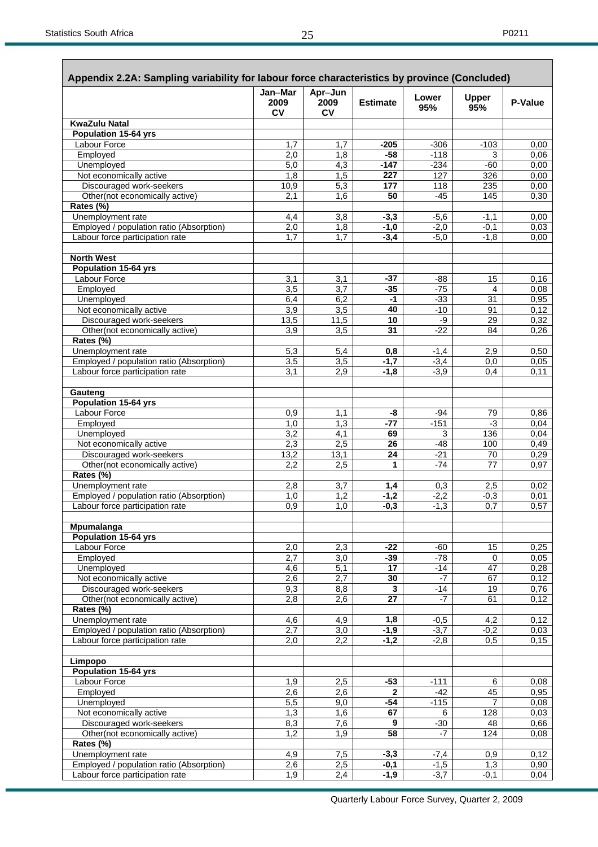| Appendix 2.2A: Sampling variability for labour force characteristics by province (Concluded) | Jan-Mar           | Apr-Jun                 |                  | Lower            | <b>Upper</b>   |              |
|----------------------------------------------------------------------------------------------|-------------------|-------------------------|------------------|------------------|----------------|--------------|
|                                                                                              | 2009<br><b>CV</b> | 2009<br><b>CV</b>       | <b>Estimate</b>  | 95%              | 95%            | P-Value      |
| <b>KwaZulu Natal</b>                                                                         |                   |                         |                  |                  |                |              |
| <b>Population 15-64 yrs</b>                                                                  |                   |                         |                  |                  |                |              |
| Labour Force<br>Employed                                                                     | 1,7<br>2,0        | 1,7<br>1,8              | $-205$<br>$-58$  | $-306$<br>$-118$ | $-103$<br>3    | 0,00<br>0,06 |
| Unemployed                                                                                   | $\overline{5,0}$  | 4,3                     | $-147$           | $-234$           | $-60$          | 0,00         |
| Not economically active                                                                      | 1,8               | 1,5                     | 227              | 127              | 326            | 0,00         |
| Discouraged work-seekers                                                                     | 10,9              | 5,3                     | 177              | 118              | 235            | 0,00         |
| Other(not economically active)<br>Rates (%)                                                  | 2,1               | 1,6                     | 50               | $-45$            | 145            | 0,30         |
| Unemployment rate                                                                            | 4,4               | 3,8                     | $-3,3$           | $-5,6$           | $-1,1$         | 0,00         |
| Employed / population ratio (Absorption)                                                     | 2,0               | 1,8                     | -1,0             | $-2,0$           | $-0,1$         | 0,03         |
| Labour force participation rate                                                              | 1,7               | 1.7                     | $-3,4$           | $-5,0$           | $-1,8$         | 0,00         |
| <b>North West</b>                                                                            |                   |                         |                  |                  |                |              |
| <b>Population 15-64 yrs</b><br><b>Labour Force</b>                                           |                   |                         |                  |                  |                |              |
| Employed                                                                                     | 3,1<br>3,5        | 3,1<br>$\overline{3,7}$ | $-37$<br>$-35$   | $-88$<br>$-75$   | 15<br>4        | 0,16<br>0,08 |
| Unemployed                                                                                   | 6,4               | 6,2                     | -1               | $-33$            | 31             | 0,95         |
| Not economically active                                                                      | $\overline{3,9}$  | $\overline{3,5}$        | 40               | $-10$            | 91             | 0,12         |
| Discouraged work-seekers                                                                     | 13,5              | 11,5                    | 10               | -9               | 29             | 0,32         |
| Other(not economically active)                                                               | 3,9               | 3,5                     | 31               | $-22$            | 84             | 0,26         |
| Rates (%)                                                                                    |                   |                         |                  |                  |                |              |
| Unemployment rate                                                                            | 5,3               | 5,4                     | 0,8              | $-1,4$           | 2,9            | 0,50         |
| Employed / population ratio (Absorption)                                                     | 3,5               | $\overline{3,5}$        | $-1,7$           | $-3,4$           | 0,0            | 0,05         |
| Labour force participation rate                                                              | 3,1               | 2,9                     | $-1,8$           | $-3.9$           | 0.4            | 0,11         |
| Gauteng<br><b>Population 15-64 yrs</b>                                                       |                   |                         |                  |                  |                |              |
| Labour Force                                                                                 | 0,9               | 1,1                     | -8               | -94              | 79             | 0,86         |
| Employed                                                                                     | 1,0               | 1,3                     | $-77$            | $-151$           | -3             | 0,04         |
| Unemployed                                                                                   | 3,2               | 4,1                     | 69               | 3                | 136            | 0,04         |
| Not economically active                                                                      | 2,3               | 2,5                     | 26               | $-48$            | 100            | 0,49         |
| Discouraged work-seekers                                                                     | 13,2              | 13,1                    | 24               | $-21$            | 70             | 0,29         |
| Other(not economically active)<br>Rates (%)                                                  | 2,2               | 2,5                     | 1                | $-74$            | 77             | 0,97         |
| Unemployment rate                                                                            | 2,8               | 3,7                     | 1,4              | 0,3              | 2,5            | 0,02         |
| Employed / population ratio (Absorption)                                                     | 1,0               | 1,2                     | $-1,2$           | $-2,2$           | $-0,3$         | 0,01         |
| Labour force participation rate                                                              | 0,9               | 1,0                     | $-0.3$           | $-1,3$           | 0,7            | 0,57         |
| Mpumalanga                                                                                   |                   |                         |                  |                  |                |              |
| <b>Population 15-64 yrs</b><br>Labour Force                                                  |                   |                         |                  |                  |                |              |
| Employed                                                                                     | 2,0<br>2,7        | 2,3<br>3,0              | -22<br>$-39$     | -60<br>$-78$     | 15<br>0        | 0,25<br>0,05 |
| Unemployed                                                                                   | 4,6               | 5,1                     | 17               | $-14$            | 47             | 0,28         |
| Not economically active                                                                      | 2,6               | 2,7                     | 30               | $-7$             | 67             | 0,12         |
| Discouraged work-seekers                                                                     | 9,3               | 8,8                     | $\mathbf{3}$     | $-14$            | 19             | 0,76         |
| Other(not economically active)                                                               | 2,8               | 2,6                     | 27               | $-7$             | 61             | 0,12         |
| Rates (%)                                                                                    |                   |                         |                  |                  |                |              |
| Unemployment rate                                                                            | 4,6               | 4,9                     | 1,8              | $-0,5$<br>$-3,7$ | 4,2            | 0,12         |
| Employed / population ratio (Absorption)<br>Labour force participation rate                  | 2,7<br>2,0        | $\overline{3,0}$<br>2,2 | $-1,9$<br>$-1,2$ | $-2,8$           | $-0,2$<br>0,5  | 0,03<br>0,15 |
| Limpopo                                                                                      |                   |                         |                  |                  |                |              |
| <b>Population 15-64 yrs</b>                                                                  |                   |                         |                  |                  |                |              |
| <b>Labour Force</b>                                                                          | 1,9               | 2,5                     | $-53$            | $-111$           | 6              | 0.08         |
| Employed                                                                                     | 2,6               | 2,6                     | 2                | $-42$            | 45             | 0,95         |
| Unemployed                                                                                   | $\overline{5,5}$  | $\overline{9,0}$        | $-54$            | $-115$           | $\overline{7}$ | 0,08         |
| Not economically active<br>Discouraged work-seekers                                          | 1,3<br>8,3        | 1,6<br>7,6              | 67<br>9          | 6                | 128<br>48      | 0,03<br>0,66 |
| Other(not economically active)                                                               | 1,2               | 1,9                     | 58               | $-30$<br>-7      | 124            | 0,08         |
| Rates (%)                                                                                    |                   |                         |                  |                  |                |              |
| Unemployment rate                                                                            | 4,9               | 7,5                     | $-3,3$           | $-7,4$           | 0,9            | 0,12         |
| Employed / population ratio (Absorption)                                                     | 2,6               | 2,5                     | -0,1             | $-1,5$           | 1,3            | 0,90         |
| Labour force participation rate                                                              | 1,9               | 2,4                     | $-1,9$           | $-3,7$           | $-0,1$         | 0,04         |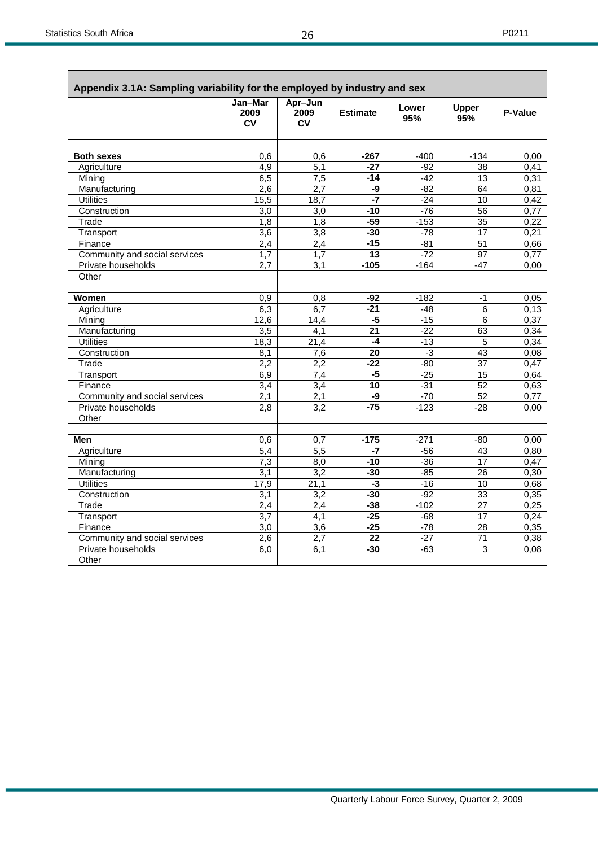| ۰, |  |
|----|--|
|----|--|

| Appendix 3.1A: Sampling variability for the employed by industry and sex |                         |                                      |                 |                |                        |              |
|--------------------------------------------------------------------------|-------------------------|--------------------------------------|-----------------|----------------|------------------------|--------------|
|                                                                          | Jan-Mar<br>2009<br>CV   | Apr-Jun<br>2009<br><b>CV</b>         | <b>Estimate</b> | Lower<br>95%   | Upper<br>95%           | P-Value      |
|                                                                          |                         |                                      |                 |                |                        |              |
|                                                                          |                         |                                      |                 |                |                        |              |
| <b>Both sexes</b>                                                        | 0,6                     | 0,6                                  | $-267$          | $-400$         | $-134$                 | 0.00         |
| Agriculture                                                              | 4,9                     | $\overline{5,1}$                     | $-27$           | $-92$          | 38                     | 0,41         |
| Mining                                                                   | 6,5                     | $\overline{7,5}$                     | $-14$           | $-42$          | $\overline{13}$        | 0,31         |
| Manufacturing<br><b>Utilities</b>                                        | 2,6                     | 2,7                                  | -9<br>$-7$      | $-82$<br>$-24$ | 64<br>10               | 0,81         |
|                                                                          | 15,5                    | 18,7                                 |                 |                |                        | 0,42         |
| Construction                                                             | 3,0                     | $\overline{3,0}$                     | $-10$           | $-76$          | 56                     | 0,77         |
| Trade                                                                    | 1,8                     | 1,8                                  | $-59$           | $-153$         | $\overline{35}$        | 0,22         |
| Transport<br>Finance                                                     | $\overline{3,6}$        | $\overline{3,8}$                     | $-30$           | $-78$<br>$-81$ | 17<br>51               | 0,21         |
|                                                                          | 2,4                     | 2,4                                  | $-15$           | $-72$          |                        | 0.66         |
| Community and social services                                            | 1,7                     | 1,7                                  | $\overline{13}$ |                | 97                     | 0.77         |
| Private households                                                       | 2.7                     | 3,1                                  | $-105$          | $-164$         | $-47$                  | 0,00         |
| Other                                                                    |                         |                                      |                 |                |                        |              |
|                                                                          |                         |                                      |                 |                |                        |              |
| Women                                                                    | 0,9                     | 0,8                                  | -92             | $-182$         | $-1$<br>$\overline{6}$ | 0.05         |
| Agriculture                                                              | 6,3<br>12,6             | 6,7                                  | $-21$<br>$-5$   | $-48$<br>$-15$ | $\overline{6}$         | 0,13         |
| Mining                                                                   |                         | 14,4                                 | $\overline{21}$ | $-22$          |                        | 0.37         |
| Manufacturing                                                            | $\overline{3,5}$        | 4,1                                  | $-4$            |                | 63<br>$\overline{5}$   | 0,34         |
| <b>Utilities</b>                                                         | 18,3                    | 21,4<br>$\overline{7,6}$             | $\overline{20}$ | $-13$<br>لې.   | 43                     | 0,34<br>0,08 |
| Construction                                                             | 8,1                     |                                      |                 |                |                        |              |
| Trade                                                                    | 2,2                     | 2,2                                  | $-22$           | -80            | $\overline{37}$        | 0,47         |
| Transport                                                                | 6,9                     | $\overline{7,4}$                     | $-5$            | $-25$          | $\overline{15}$        | 0,64         |
| Finance                                                                  | 3,4                     | 3,4                                  | 10              | $-31$          | 52                     | 0,63         |
| Community and social services                                            | 2,1                     | 2,1                                  | -9<br>$-75$     | $-70$          | 52                     | 0,77         |
| Private households<br>Other                                              | $\overline{2,8}$        | $\overline{3.2}$                     |                 | $-123$         | $-28$                  | 0,00         |
|                                                                          |                         |                                      |                 |                |                        |              |
|                                                                          |                         |                                      | $-175$          | $-271$         |                        |              |
| Men<br>Agriculture                                                       | 0,6                     | 0,7<br>$\overline{5,5}$              | -7              |                | $-80$                  | 0,00         |
| Mining                                                                   | 5,4<br>7,3              | $\overline{8,0}$                     | $-10$           | -56<br>$-36$   | 43<br>$\overline{17}$  | 0.80         |
|                                                                          |                         |                                      | $-30$           |                |                        | 0,47         |
| Manufacturing                                                            | 3,1                     | $\overline{3,2}$                     |                 | $-85$          | $\overline{26}$        | 0,30         |
| <b>Utilities</b>                                                         | 17,9                    | 21,1                                 | $-3$            | $-16$          | 10                     | 0.68         |
| Construction<br>Trade                                                    | 3,1<br>$\overline{2,4}$ | $\overline{3,2}$<br>$\overline{2,4}$ | $-30$           | $-92$          | $\overline{33}$        | 0,35<br>0,25 |
|                                                                          |                         |                                      | $-38$           | $-102$         | 27                     |              |
| Transport                                                                | 3,7                     | 4,1                                  | $-25$           | $-68$          | $\overline{17}$        | 0,24         |
| Finance                                                                  | 3,0                     | $\overline{3,6}$                     | $-25$           | $-78$          | $\overline{28}$        | 0,35         |
| Community and social services                                            | 2,6                     | 2,7                                  | 22              | $-27$          | 71                     | 0,38         |
| Private households                                                       | 6,0                     | 6,1                                  | $-30$           | -63            | 3                      | 0,08         |
| Other                                                                    |                         |                                      |                 |                |                        |              |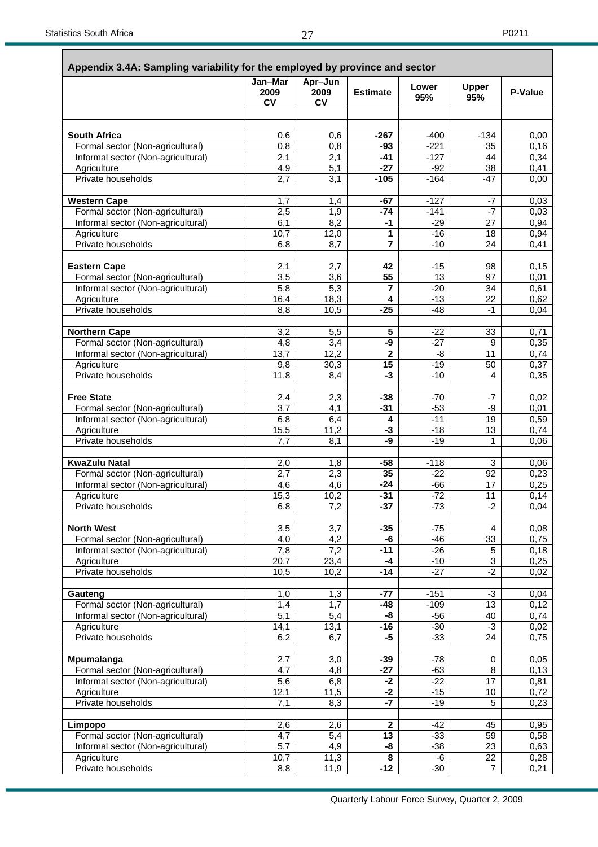|                                    | Jan-Mar           | Apr-Jun           |                 |                 |                     |         |
|------------------------------------|-------------------|-------------------|-----------------|-----------------|---------------------|---------|
|                                    | 2009<br><b>CV</b> | 2009<br><b>CV</b> | <b>Estimate</b> | Lower<br>95%    | <b>Upper</b><br>95% | P-Value |
|                                    |                   |                   |                 |                 |                     |         |
| <b>South Africa</b>                | 0,6               | 0,6               | $-267$          | $-400$          | $-134$              | 0,00    |
| Formal sector (Non-agricultural)   | 0,8               | 0,8               | -93             | $-221$          | 35                  | 0,16    |
| Informal sector (Non-agricultural) | $\overline{2,1}$  | 2,1               | $-41$           | $-127$          | 44                  | 0,34    |
| Agriculture                        | 4,9               | $\overline{5,1}$  | $-27$           | $-92$           | 38                  | 0,41    |
| Private households                 | $\overline{2,7}$  | 3,1               | $-105$          | $-164$          | $-47$               | 0,00    |
| <b>Western Cape</b>                | 1,7               | 1,4               | -67             | $-127$          | -7                  | 0,03    |
| Formal sector (Non-agricultural)   | 2,5               | 1,9               | -74             | $-141$          | $-7$                | 0,03    |
| Informal sector (Non-agricultural) | $\overline{6,1}$  | 8,2               | $-1$            | $-29$           | 27                  | 0,94    |
| Agriculture                        | 10,7              | 12,0              | 1               | $-16$           | 18                  | 0,94    |
| Private households                 | 6,8               | 8,7               | 7               | $-10$           | 24                  | 0,41    |
| <b>Eastern Cape</b>                | 2,1               | 2,7               | 42              | $-15$           | 98                  | 0,15    |
| Formal sector (Non-agricultural)   | 3,5               | $\overline{3,6}$  | $\overline{55}$ | $\overline{13}$ | 97                  | 0,01    |
| Informal sector (Non-agricultural) | 5,8               | 5,3               | $\overline{7}$  | $-20$           | 34                  | 0,61    |
| Agriculture                        | 16,4              | 18,3              | 4               | $-13$           | 22                  | 0,62    |
| Private households                 | 8,8               | 10,5              | $-25$           | $-48$           | -1                  | 0,04    |
| <b>Northern Cape</b>               | 3,2               | 5,5               | 5               | $-22$           | 33                  | 0,71    |
| Formal sector (Non-agricultural)   | 4,8               | 3,4               | -9              | $-27$           | 9                   | 0,35    |
| Informal sector (Non-agricultural) | 13,7              | 12,2              | $\overline{2}$  | -8              | 11                  | 0,74    |
| Agriculture                        | 9,8               | 30,3              | $\overline{15}$ | $-19$           | 50                  | 0,37    |
| Private households                 | 11,8              | 8,4               | -3              | $-10$           | 4                   | 0,35    |
| <b>Free State</b>                  | 2,4               | 2,3               | $-38$           | -70             | -7                  | 0,02    |
| Formal sector (Non-agricultural)   | $\overline{3,7}$  | 4,1               | $-31$           | $-53$           | -9                  | 0,01    |
| Informal sector (Non-agricultural) | 6,8               | 6,4               | 4               | $-11$           | 19                  | 0,59    |
| Agriculture                        | 15,5              | 11,2              | -3              | -18             | 13                  | 0,74    |
| Private households                 | 7.7               | 8,1               | -9              | $-19$           | 1                   | 0,06    |
| <b>KwaZulu Natal</b>               | 2,0               | 1,8               | $-58$           | $-118$          | 3                   | 0,06    |
| Formal sector (Non-agricultural)   | $\overline{2,7}$  | $\overline{2,3}$  | 35              | $-22$           | 92                  | 0,23    |
| Informal sector (Non-agricultural) | 4,6               | 4,6               | $-24$           | -66             | 17                  | 0,25    |
| Agriculture                        | 15,3              | 10,2              | $-31$           | $-72$           | 11                  | 0,14    |
| Private households                 | 6,8               | 7,2               | $-37$           | $-73$           | $-2$                | 0,04    |
| <b>North West</b>                  | 3,5               | 3,7               | $-35$           | $-75$           | $\overline{4}$      | 0,08    |
| Formal sector (Non-agricultural)   | 4,0               | 4,2               | -6              | $-46$           | 33                  | 0,75    |
| Informal sector (Non-agricultural) | 7,8               | 7,2               | $-11$           | $-26$           | 5                   | 0,18    |
| Agriculture                        | $\overline{20,7}$ | 23,4              | $-4$            | $-10$           | $\overline{3}$      | 0,25    |
| Private households                 | 10,5              | 10,2              | $-14$           | $-27$           | $-2$                | 0,02    |
| Gauteng                            | 1,0               | 1,3               | $-77$           | $-151$          | $-3$                | 0,04    |
| Formal sector (Non-agricultural)   | 1,4               | 1,7               | -48             | $-109$          | 13                  | 0,12    |
| Informal sector (Non-agricultural) | $\overline{5,1}$  | 5,4               | -8              | $-56$           | 40                  | 0,74    |
| Agriculture                        | 14,1              | 13,1              | $-16$           | $-30$           | $-3$                | 0,02    |
| Private households                 | 6,2               | 6,7               | $-5$            | $-33$           | $\overline{24}$     | 0,75    |
| Mpumalanga                         | 2,7               | 3,0               | $-39$           | -78             | 0                   | 0,05    |
| Formal sector (Non-agricultural)   | $\overline{4,7}$  | 4,8               | $-27$           | $-63$           | 8                   | 0,13    |
| Informal sector (Non-agricultural) | 5,6               | 6,8               | $-2$            | $-22$           | 17                  | 0,81    |
| Agriculture                        | 12,1              | 11,5              | $-2$            | $-15$           | 10                  | 0,72    |
| Private households                 | 7,1               | 8,3               | $-7$            | $-19$           | 5                   | 0,23    |
| Limpopo                            | 2,6               | 2,6               | $\mathbf{2}$    | $-42$           | 45                  | 0,95    |
| Formal sector (Non-agricultural)   | $\overline{4,7}$  | 5,4               | $\overline{13}$ | $-33$           | 59                  | 0,58    |
| Informal sector (Non-agricultural) | 5,7               | $\overline{4,9}$  | -8              | $-38$           | $\overline{23}$     | 0,63    |
| Agriculture                        | 10,7              | $\overline{1}1,3$ | 8               | -6              | 22                  | 0,28    |
| Private households                 | 8,8               | 11,9              | $-12$           | $-30$           | $\overline{7}$      | 0,21    |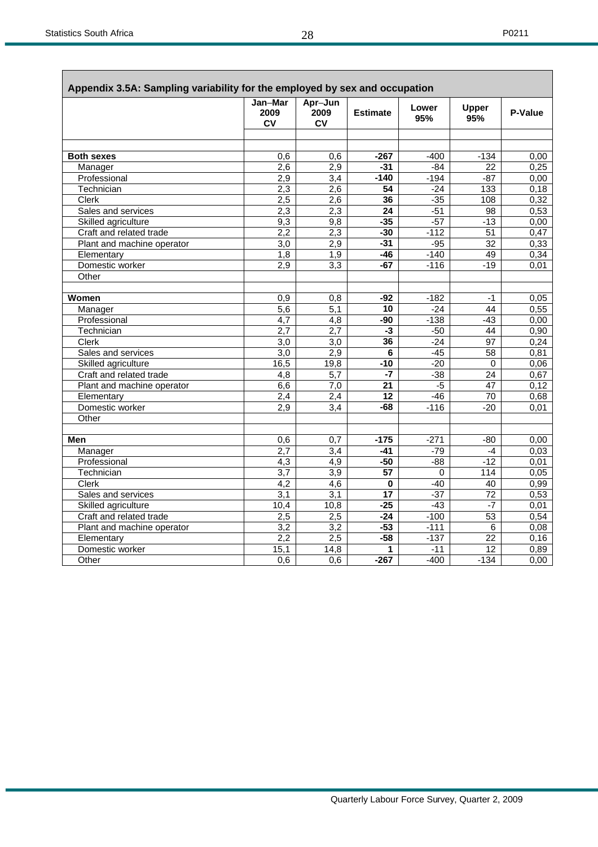Г

ī

| Jan-Mar<br>Apr-Jun<br>Lower<br>Upper<br>2009<br>2009<br><b>Estimate</b><br>95%<br>95%<br><b>CV</b><br>CV<br>$-267$<br>$-400$<br>$-134$<br><b>Both sexes</b><br>0.6<br>0.6<br>2,6<br>2,9<br>$-31$<br>$-84$<br>22<br>Manager<br>Professional<br>2,9<br>3,4<br>$-140$<br>$-87$<br>$-194$<br>2,3<br>2,6<br>Technician<br>$\overline{54}$<br>$-24$<br>133<br>2,5<br>2,6<br>36<br>$-35$<br>Clerk<br>108<br>Sales and services<br>2,3<br>2,3<br>$-51$<br>24<br>98<br>$-35$<br>$-57$<br>Skilled agriculture<br>9,3<br>9,8<br>$-13$<br>2,3<br>$-30$<br>51<br>Craft and related trade<br>2,2<br>$-112$<br>Plant and machine operator<br>3,0<br>2,9<br>$-31$<br>$-95$<br>$\overline{32}$<br>1,8<br>$-46$<br>$-140$<br>49<br>Elementary<br>1,9<br>2,9<br>$\overline{3,3}$<br>$-67$<br>$-116$<br>$-19$<br>Domestic worker<br>Other<br>Women<br>0,9<br>0,8<br>$-92$<br>$-182$<br>$-1$<br>5,1<br>$\overline{5,6}$<br>Manager<br>10<br>$-24$<br>44 | Appendix 3.5A: Sampling variability for the employed by sex and occupation |                  |                  |     |        |       |         |
|------------------------------------------------------------------------------------------------------------------------------------------------------------------------------------------------------------------------------------------------------------------------------------------------------------------------------------------------------------------------------------------------------------------------------------------------------------------------------------------------------------------------------------------------------------------------------------------------------------------------------------------------------------------------------------------------------------------------------------------------------------------------------------------------------------------------------------------------------------------------------------------------------------------------------------|----------------------------------------------------------------------------|------------------|------------------|-----|--------|-------|---------|
|                                                                                                                                                                                                                                                                                                                                                                                                                                                                                                                                                                                                                                                                                                                                                                                                                                                                                                                                    |                                                                            |                  |                  |     |        |       | P-Value |
|                                                                                                                                                                                                                                                                                                                                                                                                                                                                                                                                                                                                                                                                                                                                                                                                                                                                                                                                    |                                                                            |                  |                  |     |        |       |         |
|                                                                                                                                                                                                                                                                                                                                                                                                                                                                                                                                                                                                                                                                                                                                                                                                                                                                                                                                    |                                                                            |                  |                  |     |        |       |         |
|                                                                                                                                                                                                                                                                                                                                                                                                                                                                                                                                                                                                                                                                                                                                                                                                                                                                                                                                    |                                                                            |                  |                  |     |        |       | 0,00    |
|                                                                                                                                                                                                                                                                                                                                                                                                                                                                                                                                                                                                                                                                                                                                                                                                                                                                                                                                    |                                                                            |                  |                  |     |        |       | 0,25    |
|                                                                                                                                                                                                                                                                                                                                                                                                                                                                                                                                                                                                                                                                                                                                                                                                                                                                                                                                    |                                                                            |                  |                  |     |        |       | 0,00    |
|                                                                                                                                                                                                                                                                                                                                                                                                                                                                                                                                                                                                                                                                                                                                                                                                                                                                                                                                    |                                                                            |                  |                  |     |        |       | 0,18    |
|                                                                                                                                                                                                                                                                                                                                                                                                                                                                                                                                                                                                                                                                                                                                                                                                                                                                                                                                    |                                                                            |                  |                  |     |        |       | 0,32    |
|                                                                                                                                                                                                                                                                                                                                                                                                                                                                                                                                                                                                                                                                                                                                                                                                                                                                                                                                    |                                                                            |                  |                  |     |        |       | 0,53    |
|                                                                                                                                                                                                                                                                                                                                                                                                                                                                                                                                                                                                                                                                                                                                                                                                                                                                                                                                    |                                                                            |                  |                  |     |        |       | 0,00    |
|                                                                                                                                                                                                                                                                                                                                                                                                                                                                                                                                                                                                                                                                                                                                                                                                                                                                                                                                    |                                                                            |                  |                  |     |        |       | 0,47    |
|                                                                                                                                                                                                                                                                                                                                                                                                                                                                                                                                                                                                                                                                                                                                                                                                                                                                                                                                    |                                                                            |                  |                  |     |        |       | 0,33    |
|                                                                                                                                                                                                                                                                                                                                                                                                                                                                                                                                                                                                                                                                                                                                                                                                                                                                                                                                    |                                                                            |                  |                  |     |        |       | 0,34    |
|                                                                                                                                                                                                                                                                                                                                                                                                                                                                                                                                                                                                                                                                                                                                                                                                                                                                                                                                    |                                                                            |                  |                  |     |        |       | 0,01    |
|                                                                                                                                                                                                                                                                                                                                                                                                                                                                                                                                                                                                                                                                                                                                                                                                                                                                                                                                    |                                                                            |                  |                  |     |        |       |         |
|                                                                                                                                                                                                                                                                                                                                                                                                                                                                                                                                                                                                                                                                                                                                                                                                                                                                                                                                    |                                                                            |                  |                  |     |        |       |         |
|                                                                                                                                                                                                                                                                                                                                                                                                                                                                                                                                                                                                                                                                                                                                                                                                                                                                                                                                    |                                                                            |                  |                  |     |        |       | 0,05    |
|                                                                                                                                                                                                                                                                                                                                                                                                                                                                                                                                                                                                                                                                                                                                                                                                                                                                                                                                    |                                                                            |                  |                  |     |        |       | 0,55    |
|                                                                                                                                                                                                                                                                                                                                                                                                                                                                                                                                                                                                                                                                                                                                                                                                                                                                                                                                    | Professional                                                               | $\overline{4,7}$ | $\overline{4,8}$ | -90 | $-138$ | $-43$ | 0,00    |
| 2,7<br>2,7<br>$-3$<br>$-50$<br>$\overline{44}$<br>Technician                                                                                                                                                                                                                                                                                                                                                                                                                                                                                                                                                                                                                                                                                                                                                                                                                                                                       |                                                                            |                  |                  |     |        |       | 0,90    |
| Clerk<br>3,0<br>3,0<br>36<br>$-24$<br>97                                                                                                                                                                                                                                                                                                                                                                                                                                                                                                                                                                                                                                                                                                                                                                                                                                                                                           |                                                                            |                  |                  |     |        |       | 0,24    |
| 2,9<br>$\overline{3,0}$<br>6<br>$-45$<br>58<br>Sales and services                                                                                                                                                                                                                                                                                                                                                                                                                                                                                                                                                                                                                                                                                                                                                                                                                                                                  |                                                                            |                  |                  |     |        |       | 0,81    |
| 16,5<br>19,8<br>$-10$<br>$-20$<br>Skilled agriculture<br>$\mathbf 0$                                                                                                                                                                                                                                                                                                                                                                                                                                                                                                                                                                                                                                                                                                                                                                                                                                                               |                                                                            |                  |                  |     |        |       | 0,06    |
| Craft and related trade<br>$\overline{5,7}$<br>$-7$<br>$-38$<br>4,8<br>24                                                                                                                                                                                                                                                                                                                                                                                                                                                                                                                                                                                                                                                                                                                                                                                                                                                          |                                                                            |                  |                  |     |        |       | 0,67    |
| Plant and machine operator<br>7,0<br>21<br>$-5$<br>47<br>6,6                                                                                                                                                                                                                                                                                                                                                                                                                                                                                                                                                                                                                                                                                                                                                                                                                                                                       |                                                                            |                  |                  |     |        |       | 0,12    |
| 2,4<br>12<br>$-46$<br>Elementary<br>2,4<br>70                                                                                                                                                                                                                                                                                                                                                                                                                                                                                                                                                                                                                                                                                                                                                                                                                                                                                      |                                                                            |                  |                  |     |        |       | 0,68    |
| 2,9<br>$\overline{3,4}$<br>$-68$<br>$-20$<br>Domestic worker<br>$-116$                                                                                                                                                                                                                                                                                                                                                                                                                                                                                                                                                                                                                                                                                                                                                                                                                                                             |                                                                            |                  |                  |     |        |       | 0,01    |
| Other                                                                                                                                                                                                                                                                                                                                                                                                                                                                                                                                                                                                                                                                                                                                                                                                                                                                                                                              |                                                                            |                  |                  |     |        |       |         |
|                                                                                                                                                                                                                                                                                                                                                                                                                                                                                                                                                                                                                                                                                                                                                                                                                                                                                                                                    |                                                                            |                  |                  |     |        |       |         |
| Men<br>$-175$<br>0,6<br>0,7<br>$-271$<br>$-80$                                                                                                                                                                                                                                                                                                                                                                                                                                                                                                                                                                                                                                                                                                                                                                                                                                                                                     |                                                                            |                  |                  |     |        |       | 0,00    |
| 2,7<br>$\overline{3.4}$<br>$-79$<br>Manager<br>$-41$<br>$-4$                                                                                                                                                                                                                                                                                                                                                                                                                                                                                                                                                                                                                                                                                                                                                                                                                                                                       |                                                                            |                  |                  |     |        |       | 0,03    |
| $-88$<br>$-12$<br>$\overline{4,3}$<br>$\overline{4,9}$<br>$-50$<br>Professional                                                                                                                                                                                                                                                                                                                                                                                                                                                                                                                                                                                                                                                                                                                                                                                                                                                    |                                                                            |                  |                  |     |        |       | 0,01    |
| Technician<br>$\overline{3,7}$<br>3,9<br>$\overline{57}$<br>$\Omega$<br>114                                                                                                                                                                                                                                                                                                                                                                                                                                                                                                                                                                                                                                                                                                                                                                                                                                                        |                                                                            |                  |                  |     |        |       | 0,05    |
| 4,2<br>Clerk<br>4,6<br>$\bf{0}$<br>$-40$<br>40                                                                                                                                                                                                                                                                                                                                                                                                                                                                                                                                                                                                                                                                                                                                                                                                                                                                                     |                                                                            |                  |                  |     |        |       | 0,99    |
| 3,1<br>$-37$<br>$\overline{72}$<br>Sales and services<br>3,1<br>17                                                                                                                                                                                                                                                                                                                                                                                                                                                                                                                                                                                                                                                                                                                                                                                                                                                                 |                                                                            |                  |                  |     |        |       | 0.53    |
| Skilled agriculture<br>10,4<br>$-25$<br>$-43$<br>10,8<br>$-7$                                                                                                                                                                                                                                                                                                                                                                                                                                                                                                                                                                                                                                                                                                                                                                                                                                                                      |                                                                            |                  |                  |     |        |       | 0,01    |
| Craft and related trade<br>2,5<br>2,5<br>$-24$<br>$-100$<br>53                                                                                                                                                                                                                                                                                                                                                                                                                                                                                                                                                                                                                                                                                                                                                                                                                                                                     |                                                                            |                  |                  |     |        |       | 0,54    |
| 3,2<br>$-53$<br>$\overline{3,2}$<br>$-111$<br>6<br>Plant and machine operator                                                                                                                                                                                                                                                                                                                                                                                                                                                                                                                                                                                                                                                                                                                                                                                                                                                      |                                                                            |                  |                  |     |        |       | 0,08    |
| 2,2<br>2,5<br>$-58$<br>$-137$<br>Elementary<br>22                                                                                                                                                                                                                                                                                                                                                                                                                                                                                                                                                                                                                                                                                                                                                                                                                                                                                  |                                                                            |                  |                  |     |        |       | 0,16    |
| Domestic worker<br>15,1<br>14,8<br>$-11$<br>12<br>1                                                                                                                                                                                                                                                                                                                                                                                                                                                                                                                                                                                                                                                                                                                                                                                                                                                                                |                                                                            |                  |                  |     |        |       | 0,89    |
| $-400$<br>0,6<br>0,6<br>$-267$<br>$-134$<br>Other                                                                                                                                                                                                                                                                                                                                                                                                                                                                                                                                                                                                                                                                                                                                                                                                                                                                                  |                                                                            |                  |                  |     |        |       | 0,00    |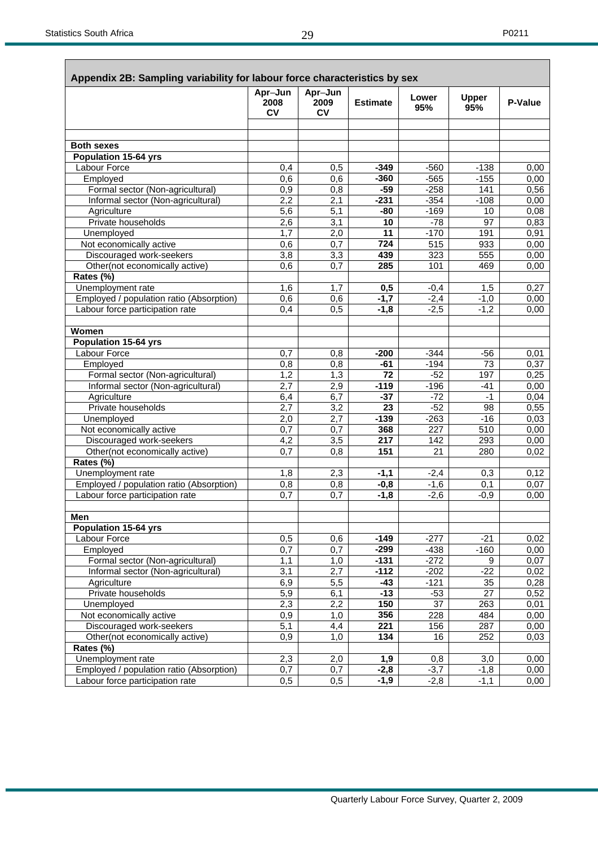| Appendix 2B: Sampling variability for labour force characteristics by sex | Apr-Jun           | Apr-Jun           |                  |                 |                     |         |
|---------------------------------------------------------------------------|-------------------|-------------------|------------------|-----------------|---------------------|---------|
|                                                                           | 2008<br><b>CV</b> | 2009<br><b>CV</b> | <b>Estimate</b>  | Lower<br>95%    | <b>Upper</b><br>95% | P-Value |
|                                                                           |                   |                   |                  |                 |                     |         |
| <b>Both sexes</b>                                                         |                   |                   |                  |                 |                     |         |
| <b>Population 15-64 yrs</b>                                               |                   |                   |                  |                 |                     |         |
| Labour Force                                                              | 0,4               | 0,5               | $-349$           | $-560$          | $-138$              | 0,00    |
| Employed                                                                  | 0,6               | 0,6               | $-360$           | $-565$          | $-155$              | 0,00    |
| Formal sector (Non-agricultural)                                          | 0,9               | 0,8               | $-59$            | $-258$          | 141                 | 0,56    |
| Informal sector (Non-agricultural)                                        | 2,2               | 2,1               | $-231$           | $-354$          | $-108$              | 0,00    |
| Agriculture                                                               | 5,6               | 5,1               | -80              | $-169$          | 10                  | 0,08    |
| Private households                                                        | 2,6               | 3,1               | 10               | $-78$           | 97                  | 0,83    |
| Unemployed                                                                | 1,7               | 2,0               | 11               | $-170$          | 191                 | 0,91    |
| Not economically active                                                   | 0,6               | 0,7               | 724              | 515             | 933                 | 0,00    |
| Discouraged work-seekers                                                  | 3,8               | 3,3               | 439              | 323             | 555                 | 0,00    |
| Other(not economically active)                                            | 0,6               | 0,7               | 285              | 101             | 469                 | 0,00    |
| Rates (%)                                                                 |                   |                   |                  |                 |                     |         |
|                                                                           |                   |                   |                  |                 |                     |         |
| Unemployment rate                                                         | 1,6               | 1,7               | 0,5              | $-0,4$          | 1,5                 | 0,27    |
| Employed / population ratio (Absorption)                                  | 0,6               | 0,6               | $-1,7$           | $-2,4$          | $-1,0$              | 0,00    |
| Labour force participation rate                                           | 0,4               | 0,5               | $-1,8$           | $-2,5$          | $-1,2$              | 0,00    |
| Women                                                                     |                   |                   |                  |                 |                     |         |
| <b>Population 15-64 yrs</b>                                               |                   |                   |                  |                 |                     |         |
| Labour Force                                                              | 0,7               | 0,8               | $-200$           | $-344$          | $-56$               | 0,01    |
| Employed                                                                  | 0,8               | 0,8               | $-61$            | $-194$          | 73                  | 0,37    |
| Formal sector (Non-agricultural)                                          | 1,2               | 1,3               | 72               | $-52$           | 197                 | 0,25    |
| Informal sector (Non-agricultural)                                        | 2,7               | 2,9               | $-119$           | $-196$          | -41                 | 0,00    |
| Agriculture                                                               | 6,4               | 6,7               | $-37$            | $-72$           | $-1$                | 0,04    |
| Private households                                                        | $\overline{2,7}$  | 3,2               | 23               | $-52$           | 98                  | 0,55    |
| Unemployed                                                                | 2,0               | 2,7               | $-139$           | $-263$          | $-16$               | 0,03    |
| Not economically active                                                   | 0,7               | 0,7               | 368              | 227             | 510                 | 0,00    |
| Discouraged work-seekers                                                  | 4,2               | 3,5               | 217              | 142             | 293                 | 0,00    |
| Other(not economically active)                                            | 0,7               | 0,8               | 151              | 21              | 280                 | 0,02    |
| Rates (%)                                                                 |                   |                   |                  |                 |                     |         |
| Unemployment rate                                                         | 1,8               | 2,3               | $-1,1$           | $-2,4$          | 0,3                 | 0,12    |
| Employed / population ratio (Absorption)                                  | 0,8               | 0,8               | $-0,8$           | $-1,6$          | 0,1                 | 0,07    |
| Labour force participation rate                                           | 0,7               | 0,7               | $-1,8$           | $-2,6$          | $-0,9$              | 0,00    |
|                                                                           |                   |                   |                  |                 |                     |         |
| Men                                                                       |                   |                   |                  |                 |                     |         |
| <b>Population 15-64 yrs</b>                                               |                   |                   |                  |                 |                     |         |
| Labour Force                                                              | 0,5               | 0,6               | $-149$           | $-277$          | $-21$               | 0,02    |
| Employed                                                                  | 0,7               | 0,7               | $-299$           | $-438$          | $-160$              | 0,00    |
| Formal sector (Non-agricultural)                                          | 1,1               | 1,0               | $-131$           | $-272$          | 9                   | 0,07    |
| Informal sector (Non-agricultural)                                        | 3,1               | 2,7               | $-112$           | $-202$          | $-22$               | 0,02    |
| Agriculture                                                               | 6,9               | 5,5               | -43              | $-121$          | 35                  | 0,28    |
| Private households                                                        | $\overline{5,9}$  | 6,1               | $-13$            | $-53$           | $\overline{27}$     | 0,52    |
| Unemployed                                                                | 2,3               | 2,2               | 150              | $\overline{37}$ | 263                 | 0,01    |
| Not economically active                                                   | 0,9               | 1,0               | 356              | 228             | 484                 | 0,00    |
| Discouraged work-seekers                                                  | 5,1               | 4,4               | $\overline{221}$ | 156             | 287                 | 0,00    |
| Other(not economically active)                                            | 0,9               | 1,0               | 134              | 16              | 252                 | 0,03    |
| Rates (%)                                                                 |                   |                   |                  |                 |                     |         |
| Unemployment rate                                                         | 2,3               | 2,0               | 1,9              | 0,8             | 3,0                 | 0,00    |
| Employed / population ratio (Absorption)                                  | 0,7               | 0,7               | $-2,8$           | $-3,7$          | $-1,8$              | 0,00    |
| Labour force participation rate                                           | 0,5               | 0,5               | $-1,9$           | $-2,8$          | $-1,1$              | 0,00    |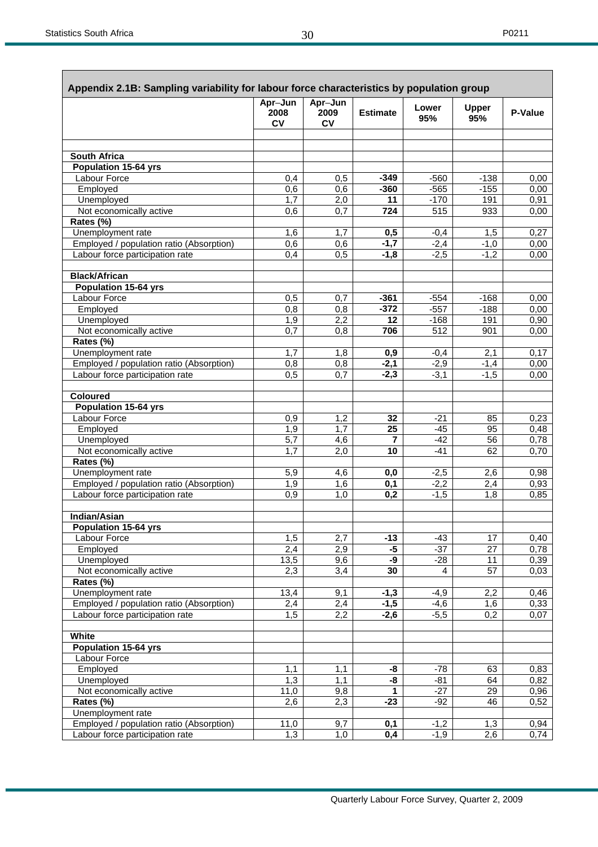Г

| Appendix 2.1B: Sampling variability for labour force characteristics by population group |                       |                              |                 |                |                     |                |
|------------------------------------------------------------------------------------------|-----------------------|------------------------------|-----------------|----------------|---------------------|----------------|
|                                                                                          | Apr-Jun<br>2008<br>CV | Apr-Jun<br>2009<br><b>CV</b> | <b>Estimate</b> | Lower<br>95%   | <b>Upper</b><br>95% | <b>P-Value</b> |
|                                                                                          |                       |                              |                 |                |                     |                |
|                                                                                          |                       |                              |                 |                |                     |                |
| South Africa                                                                             |                       |                              |                 |                |                     |                |
| Population 15-64 yrs                                                                     |                       |                              |                 |                |                     |                |
| <b>Labour Force</b>                                                                      | 0,4                   | 0,5                          | $-349$          | $-560$         | $-138$              | 0,00           |
| Employed                                                                                 | 0,6                   | 0,6                          | $-360$          | $-565$         | $-155$              | 0,00           |
| Unemployed                                                                               | 1,7                   | 2,0                          | 11              | $-170$         | 191                 | 0,91           |
| Not economically active                                                                  | 0,6                   | 0,7                          | 724             | 515            | 933                 | 0,00           |
| Rates (%)                                                                                |                       |                              |                 |                |                     |                |
| Unemployment rate                                                                        | 1,6                   | 1,7                          | 0,5             | $-0,4$         | 1,5                 | 0,27           |
| Employed / population ratio (Absorption)                                                 | 0,6                   | 0,6                          | $-1,7$          | $-2,4$         | $-1,0$              | 0,00           |
| Labour force participation rate                                                          | 0,4                   | 0,5                          | $-1,8$          | $-2,5$         | $-1,2$              | 0,00           |
| <b>Black/African</b>                                                                     |                       |                              |                 |                |                     |                |
| Population 15-64 yrs                                                                     |                       |                              |                 |                |                     |                |
| Labour Force                                                                             | 0,5                   | 0,7                          | $-361$          | $-554$         | $-168$              | 0,00           |
| Employed                                                                                 | 0,8                   | 0,8                          | $-372$          | $-557$         | $-188$              | 0,00           |
| Unemployed                                                                               | 1,9                   | $\overline{2,2}$             | 12              | $-168$         | 191                 | 0,90           |
| Not economically active                                                                  | 0,7                   | 0,8                          | 706             | 512            | 901                 | 0,00           |
| Rates (%)                                                                                |                       |                              |                 |                |                     |                |
| Unemployment rate                                                                        | 1,7                   | 1,8                          | 0,9             | $-0,4$         | 2,1                 | 0,17           |
| Employed / population ratio (Absorption)                                                 | 0,8                   | 0,8                          | $-2,1$          | $-2,9$         | $-1,4$              | 0,00           |
| Labour force participation rate                                                          | 0,5                   | 0,7                          | $-2,3$          | $-3,1$         | $-1,5$              | 0,00           |
| <b>Coloured</b>                                                                          |                       |                              |                 |                |                     |                |
| <b>Population 15-64 yrs</b>                                                              |                       |                              |                 |                |                     |                |
| Labour Force                                                                             | 0,9                   | 1,2                          | 32              | $-21$          | 85                  | 0,23           |
| Employed                                                                                 | 1,9                   | 1,7                          | $\overline{25}$ | $-45$          | 95                  | 0,48           |
| Unemployed                                                                               | $\overline{5,7}$      | 4,6                          | $\overline{7}$  | $-42$          | 56                  | 0,78           |
| Not economically active                                                                  | 1,7                   | 2,0                          | 10              | $-41$          | 62                  | 0,70           |
| Rates (%)                                                                                |                       |                              |                 |                |                     |                |
| Unemployment rate                                                                        | 5,9                   | 4,6                          | 0,0             | $-2,5$         | 2,6                 | 0,98           |
| Employed / population ratio (Absorption)                                                 | 1,9                   | 1,6                          | 0,1             | $-2,2$         | 2,4                 | 0,93           |
| Labour force participation rate                                                          | 0,9                   | $\overline{1,0}$             | 0,2             | $-1,5$         | $\overline{1,8}$    | 0,85           |
| <b>Indian/Asian</b>                                                                      |                       |                              |                 |                |                     |                |
| <b>Population 15-64 yrs</b>                                                              |                       |                              |                 |                |                     |                |
| Labour Force                                                                             | 1,5                   | 2,7                          | $-13$           | $-43$          | 17                  | 0,40           |
| Employed                                                                                 | 2,4                   | 2,9                          | $-5$            | $-37$          | $\overline{27}$     | 0,78           |
| Unemployed                                                                               | 13,5                  | 9,6                          | -9              | $-28$          | 11                  | 0,39           |
| Not economically active                                                                  | 2,3                   | 3,4                          | 30              | $\overline{4}$ | $\overline{57}$     | 0,03           |
| Rates (%)                                                                                |                       |                              |                 |                |                     |                |
| Unemployment rate                                                                        | 13,4                  | 9,1                          | $-1,3$          | $-4,9$         | 2,2                 | 0,46           |
| Employed / population ratio (Absorption)                                                 | 2,4                   | 2,4                          | $-1,5$          | $-4,6$         | 1,6                 | 0,33           |
| Labour force participation rate                                                          | 1,5                   | 2,2                          | $-2,6$          | $-5,5$         | $\overline{0,2}$    | 0,07           |
|                                                                                          |                       |                              |                 |                |                     |                |
| White                                                                                    |                       |                              |                 |                |                     |                |
| <b>Population 15-64 yrs</b>                                                              |                       |                              |                 |                |                     |                |
| Labour Force                                                                             |                       |                              |                 |                |                     |                |
| Employed                                                                                 | 1,1                   | 1,1                          | -8              | $-78$          | 63                  | 0,83           |
| Unemployed                                                                               | 1,3                   | 1,1                          | -8              | $-81$          | 64                  | 0,82           |
| Not economically active                                                                  | 11,0                  | 9,8                          | 1               | $-27$          | 29                  | 0,96           |
| Rates (%)                                                                                | 2,6                   | 2,3                          | $-23$           | $-92$          | 46                  | 0,52           |
| Unemployment rate                                                                        |                       |                              |                 |                |                     |                |
| Employed / population ratio (Absorption)                                                 | 11,0                  | 9,7                          | 0,1             | $-1,2$         | 1,3                 | 0,94           |
| Labour force participation rate                                                          | 1,3                   | 1,0                          | 0,4             | $-1,9$         | 2,6                 | 0,74           |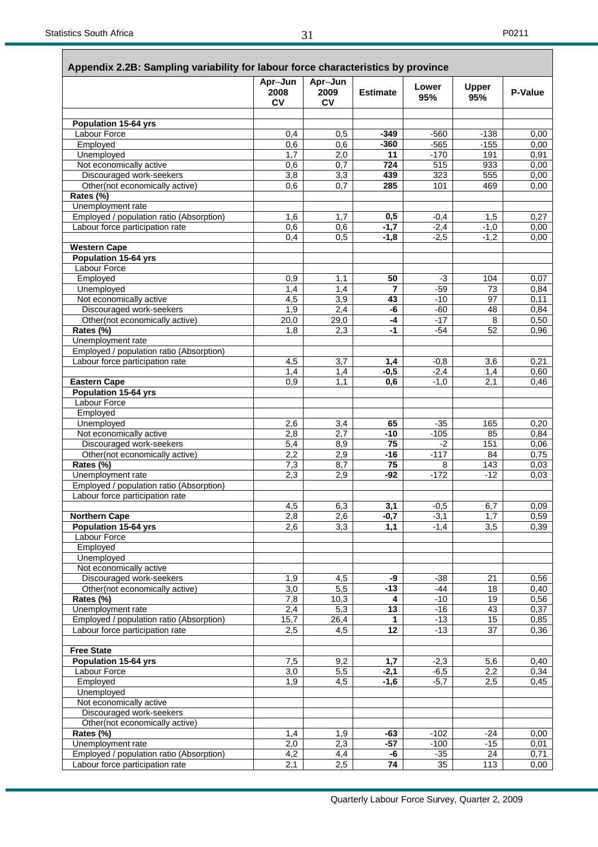|                                                               | Apr-Jun<br>2008         | Apr-Jun<br>2009 | <b>Estimate</b> | Lower<br>95%     | <b>Upper</b><br>95% | <b>P-Value</b> |
|---------------------------------------------------------------|-------------------------|-----------------|-----------------|------------------|---------------------|----------------|
|                                                               | <b>CV</b>               | <b>CV</b>       |                 |                  |                     |                |
| <b>Population 15-64 yrs</b>                                   |                         |                 |                 |                  |                     |                |
| Labour Force                                                  | 0,4                     | 0,5             | $-349$          | $-560$           | $-138$              | 0,00           |
| Employed                                                      | 0,6                     | 0,6             | $-360$          | $-565$           | $-155$              | 0,00           |
| Unemployed                                                    | 1,7                     | 2,0             | 11              | $-170$           | 191                 | 0,91           |
| Not economically active<br>Discouraged work-seekers           | 0,6<br>$\overline{3,8}$ | 0,7<br>3,3      | 724<br>439      | 515<br>323       | 933<br>555          | 0,00<br>0,00   |
| Other(not economically active)                                | 0,6                     | 0,7             | 285             | 101              | 469                 | 0,00           |
| Rates (%)                                                     |                         |                 |                 |                  |                     |                |
| Unemployment rate                                             |                         |                 |                 |                  |                     |                |
| Employed / population ratio (Absorption)                      | 1,6                     | 1,7             | 0,5             | $-0,4$           | 1,5                 | 0,27           |
| Labour force participation rate                               | 0,6                     | 0,6             | $-1,7$          | $-2,4$           | $-1,0$              | 0,00           |
|                                                               | 0,4                     | 0,5             | $-1,8$          | $-2,5$           | $-1,\overline{2}$   | 0,00           |
| <b>Western Cape</b>                                           |                         |                 |                 |                  |                     |                |
| <b>Population 15-64 yrs</b>                                   |                         |                 |                 |                  |                     |                |
| Labour Force<br>Employed                                      | 0,9                     | 1,1             | 50              | $-3$             | 104                 | 0,07           |
| Unemployed                                                    | 1,4                     | 1,4             | $\overline{7}$  | $-59$            | 73                  | 0,84           |
| Not economically active                                       | 4,5                     | 3,9             | 43              | $-10$            | 97                  | 0,11           |
| Discouraged work-seekers                                      | 1,9                     | 2,4             | -6              | $-60$            | 48                  | 0,84           |
| Other(not economically active)                                | 20,0                    | 29,0            | $-4$            | $-17$            | 8                   | 0,50           |
| Rates (%)                                                     | 1,8                     | 2,3             | $-1$            | $-54$            | 52                  | 0,96           |
| Unemployment rate                                             |                         |                 |                 |                  |                     |                |
| Employed / population ratio (Absorption)                      |                         |                 |                 |                  |                     |                |
| Labour force participation rate                               | 4,5                     | 3,7             | 1,4             | $-0,8$           | 3,6                 | 0,21           |
| <b>Eastern Cape</b>                                           | 1,4<br>0,9              | 1,4<br>1,1      | $-0,5$<br>0,6   | $-2,4$<br>$-1,0$ | 1,4<br>2,1          | 0,60<br>0,46   |
| <b>Population 15-64 yrs</b>                                   |                         |                 |                 |                  |                     |                |
| <b>Labour Force</b>                                           |                         |                 |                 |                  |                     |                |
| Employed                                                      |                         |                 |                 |                  |                     |                |
| Unemployed                                                    | 2,6                     | 3,4             | 65              | $-35$            | 165                 | 0,20           |
| Not economically active                                       | 2,8                     | 2,7             | $-10$           | $-105$           | 85                  | 0,84           |
| Discouraged work-seekers                                      | 5,4                     | 8,9             | 75              | $-2$             | 151                 | 0,06           |
| Other(not economically active)                                | 2,2                     | 2,9             | $-16$           | $-117$           | 84                  | 0,75           |
| Rates (%)                                                     | 7,3                     | 8,7             | 75              | 8                | 143                 | 0,03           |
| Unemployment rate<br>Employed / population ratio (Absorption) | 2,3                     | 2,9             | $-92$           | $-172$           | $-12$               | 0,03           |
| Labour force participation rate                               |                         |                 |                 |                  |                     |                |
|                                                               | 4,5                     | 6,3             | 3,1             | $-0,5$           | 6,7                 | 0,09           |
| <b>Northern Cape</b>                                          | 2,8                     | 2,6             | $-0,7$          | $-3,1$           | 1,7                 | 0,59           |
| <b>Population 15-64 yrs</b>                                   | 2,6                     | 3,3             | 1,1             | $-1,4$           | 3,5                 | 0,39           |
| Labour Force                                                  |                         |                 |                 |                  |                     |                |
| Employed                                                      |                         |                 |                 |                  |                     |                |
| Unemployed                                                    |                         |                 |                 |                  |                     |                |
| Not economically active<br>Discouraged work-seekers           |                         |                 | -9              | $-38$            | 21                  |                |
| Other(not economically active)                                | 1,9<br>3,0              | 4,5<br>5,5      | $-13$           | $-44$            | 18                  | 0,56<br>0,40   |
| Rates (%)                                                     | 7,8                     | 10,3            | 4               | $-10$            | 19                  | 0,56           |
| Unemployment rate                                             | 2,4                     | 5,3             | 13              | $-16$            | 43                  | 0,37           |
| Employed / population ratio (Absorption)                      | 15,7                    | 26,4            | 1               | $-13$            | 15                  | 0,85           |
| Labour force participation rate                               | 2,5                     | 4,5             | 12              | $-13$            | 37                  | 0,36           |
| <b>Free State</b>                                             |                         |                 |                 |                  |                     |                |
| <b>Population 15-64 yrs</b>                                   | 7,5                     | 9,2             | 1,7             | $-2,3$           | 5,6                 | 0,40           |
| <b>Labour Force</b>                                           | 3,0                     | 5,5             | $-2,1$          | $-6,5$           | 2,2                 | 0,34           |
| Employed                                                      | $\overline{1,9}$        | 4,5             | $-1,6$          | $-5,7$           | 2,5                 | 0,45           |
| Unemployed                                                    |                         |                 |                 |                  |                     |                |
| Not economically active                                       |                         |                 |                 |                  |                     |                |
| Discouraged work-seekers                                      |                         |                 |                 |                  |                     |                |
| Other(not economically active)<br>Rates (%)                   | 1,4                     | 1,9             | $-63$           | $-102$           | $-24$               | 0,00           |
| Unemployment rate                                             | 2,0                     | 2,3             | $-57$           | $-100$           | $-15$               | 0,01           |
| Employed / population ratio (Absorption)                      | 4,2                     | 4,4             | -6              | $-35$            | 24                  | 0,71           |
| Labour force participation rate                               | 2,1                     | 2,5             | 74              | 35               | 113                 | 0,00           |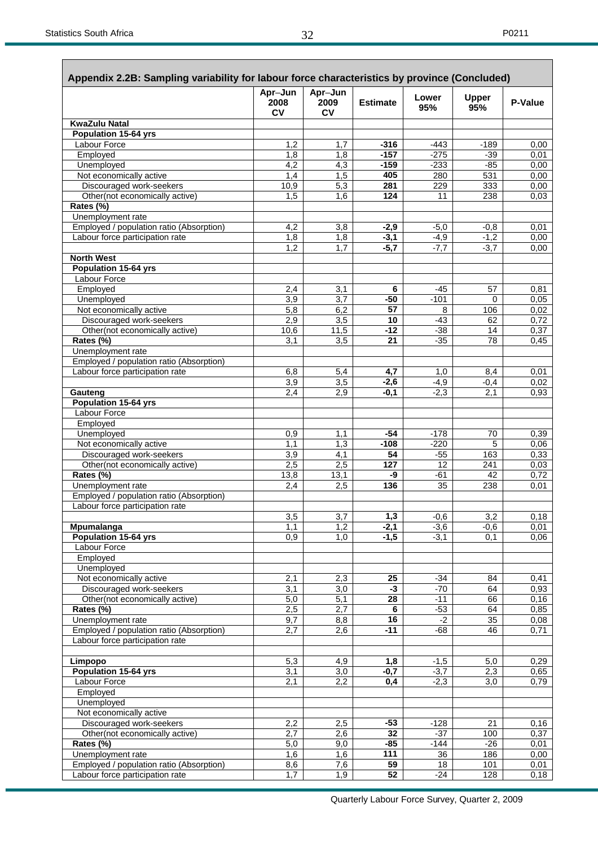| Appendix 2.2B: Sampling variability for labour force characteristics by province (Concluded) | Apr-Jun           | Apr-Jun           |                  |                  |                     |              |
|----------------------------------------------------------------------------------------------|-------------------|-------------------|------------------|------------------|---------------------|--------------|
|                                                                                              | 2008<br><b>CV</b> | 2009<br><b>CV</b> | <b>Estimate</b>  | Lower<br>95%     | <b>Upper</b><br>95% | P-Value      |
| <b>KwaZulu Natal</b>                                                                         |                   |                   |                  |                  |                     |              |
| <b>Population 15-64 yrs</b>                                                                  |                   |                   |                  |                  |                     |              |
| Labour Force<br>Employed                                                                     | 1,2<br>1,8        | 1,7               | $-316$<br>$-157$ | $-443$<br>$-275$ | $-189$<br>$-39$     | 0,00         |
| Unemployed                                                                                   | 4,2               | 1,8<br>4,3        | $-159$           | $-233$           | $-85$               | 0,01<br>0,00 |
| Not economically active                                                                      | 1,4               | 1,5               | 405              | 280              | 531                 | 0,00         |
| Discouraged work-seekers                                                                     | 10,9              | 5,3               | 281              | 229              | 333                 | 0,00         |
| Other(not economically active)<br>Rates (%)                                                  | 1.5               | 1,6               | 124              | 11               | 238                 | 0,03         |
| Unemployment rate                                                                            |                   |                   |                  |                  |                     |              |
| Employed / population ratio (Absorption)                                                     | 4,2               | 3,8               | $-2,9$           | $-5,0$           | $-0,8$              | 0,01         |
| Labour force participation rate                                                              | $\overline{1,8}$  | 1,8               | $-3,1$           | $-4,9$           | $-1,2$              | 0,00         |
|                                                                                              | 1,2               | $\overline{1,7}$  | $-5,7$           | $-7,7$           | $-3,7$              | 0,00         |
| <b>North West</b>                                                                            |                   |                   |                  |                  |                     |              |
| <b>Population 15-64 yrs</b><br>Labour Force                                                  |                   |                   |                  |                  |                     |              |
| Employed                                                                                     | 2,4               | 3,1               | 6                | $-45$            | 57                  | 0,81         |
| Unemployed                                                                                   | 3,9               | 3,7               | $-50$            | $-101$           | 0                   | 0,05         |
| Not economically active                                                                      | $\overline{5,8}$  | 6,2               | 57               | 8                | 106                 | 0,02         |
| Discouraged work-seekers                                                                     | 2,9               | 3,5               | 10               | $-43$            | 62                  | 0,72         |
| Other(not economically active)                                                               | 10,6              | 11,5              | -12              | $-38$            | 14                  | 0,37         |
| Rates (%)                                                                                    | 3.1               | 3.5               | 21               | $-35$            | 78                  | 0,45         |
| Unemployment rate                                                                            |                   |                   |                  |                  |                     |              |
| Employed / population ratio (Absorption)                                                     |                   |                   |                  |                  |                     |              |
| Labour force participation rate                                                              | 6,8<br>3,9        | 5,4<br>3,5        | 4,7<br>$-2,6$    | 1,0<br>$-4,9$    | 8,4<br>$-0,4$       | 0,01<br>0,02 |
| Gauteng                                                                                      | 2,4               | 2,9               | $-0,1$           | $-2,3$           | 2,1                 | 0,93         |
| <b>Population 15-64 yrs</b>                                                                  |                   |                   |                  |                  |                     |              |
| Labour Force                                                                                 |                   |                   |                  |                  |                     |              |
| Employed                                                                                     |                   |                   |                  |                  |                     |              |
| Unemployed                                                                                   | 0,9               | 1,1               | -54              | $-178$           | 70                  | 0,39         |
| Not economically active                                                                      | 1,1               | 1,3               | $-108$           | $-220$           | 5                   | 0,06         |
| Discouraged work-seekers                                                                     | 3,9               | $\overline{4,1}$  | 54               | $-55$            | 163                 | 0,33         |
| Other(not economically active)<br>Rates (%)                                                  | 2,5               | 2,5               | 127              | 12               | 241<br>42           | 0,03         |
| Unemployment rate                                                                            | 13,8<br>2,4       | 13,1<br>2,5       | -9<br>136        | -61<br>35        | 238                 | 0,72<br>0,01 |
| Employed / population ratio (Absorption)                                                     |                   |                   |                  |                  |                     |              |
| Labour force participation rate                                                              |                   |                   |                  |                  |                     |              |
|                                                                                              | 3,5               | 3,7               | 1,3              | $-0,6$           | 3,2                 | 0,18         |
| <b>Mpumalanga</b>                                                                            | 1,1               | 1,2               | $-2,1$           | $-3,6$           | $-0,6$              | 0,01         |
| Population 15-64 yrs                                                                         | 0,9               | 1,0               | $-1,5$           | $-3,1$           | 0,1                 | 0,06         |
| Labour Force                                                                                 |                   |                   |                  |                  |                     |              |
| Employed                                                                                     |                   |                   |                  |                  |                     |              |
| Unemployed<br>Not economically active                                                        | 2,1               | 2,3               | 25               | $-34$            | 84                  | 0,41         |
| Discouraged work-seekers                                                                     | 3,1               | 3,0               | $-3$             | $-70$            | 64                  | 0,93         |
| Other(not economically active)                                                               | $\overline{5,0}$  | $\overline{5,1}$  | 28               | $-11$            | 66                  | 0, 16        |
| Rates (%)                                                                                    | 2,5               | 2,7               | $\bf 6$          | $-53$            | 64                  | 0,85         |
| Unemployment rate                                                                            | 9,7               | 8,8               | 16               | $-2$             | 35                  | 0,08         |
| Employed / population ratio (Absorption)                                                     | 2,7               | 2,6               | $-11$            | $-68$            | 46                  | 0,71         |
| Labour force participation rate                                                              |                   |                   |                  |                  |                     |              |
| Limpopo                                                                                      | 5,3               | 4,9               | 1,8              | $-1,5$           | 5,0                 | 0,29         |
| Population 15-64 yrs                                                                         | 3,1               | $\overline{3,0}$  | $-0,7$           | $-3,7$           | 2,3                 | 0,65         |
| <b>Labour Force</b>                                                                          | 2,1               | 2,2               | 0,4              | $-2,3$           | 3,0                 | 0,79         |
| Employed                                                                                     |                   |                   |                  |                  |                     |              |
| Unemployed<br>Not economically active                                                        |                   |                   |                  |                  |                     |              |
| Discouraged work-seekers                                                                     | 2,2               | 2,5               | $-53$            | $-128$           | 21                  | 0, 16        |
| Other(not economically active)                                                               | 2,7               | 2,6               | 32               | $-37$            | 100                 | 0,37         |
| Rates (%)                                                                                    | 5,0               | 9,0               | $-85$            | $-144$           | $-26$               | 0,01         |
| Unemployment rate                                                                            | 1,6               | 1,6               | 111              | 36               | 186                 | 0,00         |
| Employed / population ratio (Absorption)                                                     | 8,6               | 7,6               | 59               | 18               | 101                 | 0,01         |
| Labour force participation rate                                                              | $\overline{1,7}$  | 1,9               | $\overline{52}$  | $-24$            | 128                 | 0,18         |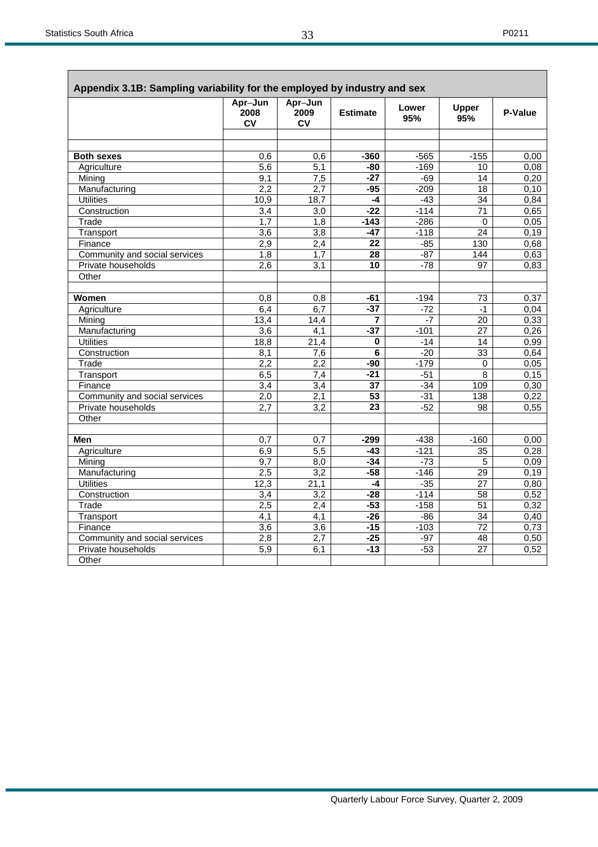| Appendix 3.1B: Sampling variability for the employed by industry and sex |                              |                              |                 |                 |                     |              |
|--------------------------------------------------------------------------|------------------------------|------------------------------|-----------------|-----------------|---------------------|--------------|
|                                                                          | Apr-Jun<br>2008<br><b>CV</b> | Apr-Jun<br>2009<br><b>CV</b> | <b>Estimate</b> | Lower<br>95%    | <b>Upper</b><br>95% | P-Value      |
|                                                                          |                              |                              |                 |                 |                     |              |
|                                                                          |                              |                              |                 |                 |                     |              |
| <b>Both sexes</b>                                                        | 0.6                          | 0,6                          | -360            | $-565$          | $-155$              | 0.00         |
| Agriculture                                                              | 5,6                          | $\overline{5,1}$             | -80             | $-169$          | 10                  | 0,08         |
| Mining                                                                   | $\overline{9,1}$             | $\overline{7,5}$             | $-27$           | $-69$           | $\overline{14}$     | 0,20         |
| Manufacturing                                                            | 2,2                          | 2,7                          | $-95$           | $-209$          | 18                  | 0,10         |
| <b>Utilities</b>                                                         | 10,9                         | 18,7                         | $-4$            | $-43$           | 34                  | 0.84         |
| Construction                                                             | 3,4                          | $\overline{3,0}$             | $-22$           | $-114$          | $\overline{71}$     | 0.65         |
| Trade                                                                    | 1.7                          | $\overline{1,8}$             | $-143$          | $-286$          | $\Omega$            | 0,05         |
| Transport                                                                | $\overline{3,6}$             | 3,8                          | $-47$           | $-118$          | 24                  | 0,19         |
| Finance                                                                  | 2,9                          | 2,4                          | 22              | $-85$           | 130                 | 0.68         |
| Community and social services                                            | 1,8                          | 1,7                          | $\overline{28}$ | $-87$           | 144                 | 0,63         |
| Private households<br>Other                                              | $\overline{2,6}$             | $\overline{3,1}$             | 10              | $-78$           | 97                  | 0,83         |
|                                                                          |                              |                              |                 |                 |                     |              |
| Women                                                                    |                              |                              |                 |                 | 73                  |              |
|                                                                          | 0,8                          | 0,8                          | -61<br>$-37$    | $-194$<br>$-72$ | $-1$                | 0,37         |
| Agriculture<br>Mining                                                    | 6,4<br>13,4                  | 6,7<br>14,4                  | 7               | $-7$            | $\overline{20}$     | 0,04<br>0,33 |
| Manufacturing                                                            | 3,6                          | 4,1                          | $-37$           | $-101$          | 27                  | 0,26         |
| <b>Utilities</b>                                                         | 18,8                         | 21,4                         | 0               | $-14$           | $\overline{14}$     | 0,99         |
| Construction                                                             | 8,1                          | 7,6                          | 6               | $-20$           | $\overline{33}$     | 0,64         |
| Trade                                                                    | 2,2                          | 2,2                          | -90             | $-179$          | 0                   | 0.05         |
| Transport                                                                | 6,5                          | 7,4                          | $-21$           | $-51$           | $\overline{8}$      | 0, 15        |
| Finance                                                                  | 3,4                          | $\overline{3,4}$             | 37              | $-34$           | 109                 | 0,30         |
| Community and social services                                            | 2,0                          | 2,1                          | 53              | $-31$           | 138                 | 0,22         |
| Private households                                                       | $\overline{2,7}$             | $\overline{3,2}$             | 23              | $-52$           | 98                  | 0,55         |
| Other                                                                    |                              |                              |                 |                 |                     |              |
|                                                                          |                              |                              |                 |                 |                     |              |
| Men                                                                      | 0.7                          | 0.7                          | $-299$          | $-438$          | $-160$              | 0,00         |
| Agriculture                                                              | 6,9                          | 5,5                          | $-43$           | $-121$          | 35                  | 0,28         |
| Mining                                                                   | 9,7                          | 8,0                          | $-34$           | $-73$           | 5                   | 0,09         |
| Manufacturing                                                            | 2,5                          | $\overline{3,2}$             | $-58$           | $-146$          | 29                  | 0,19         |
| <b>Utilities</b>                                                         | 12,3                         | 21,1                         | -4              | $-35$           | 27                  | 0,80         |
| Construction                                                             | $\overline{3.4}$             | $\overline{3,2}$             | $-28$           | $-114$          | $\overline{58}$     | 0,52         |
| Trade                                                                    | 2,5                          | 2,4                          | $-53$           | $-158$          | $\overline{51}$     | 0,32         |
| Transport                                                                | 4,1                          | 4,1                          | $-26$           | $-86$           | 34                  | 0,40         |
| Finance                                                                  | $\overline{3,6}$             | $\overline{3,6}$             | $-15$           | $-103$          | $\overline{72}$     | 0.73         |
| Community and social services                                            | 2,8                          | $\overline{2,7}$             | $-25$           | $-97$           | 48                  | 0,50         |
| Private households                                                       | 5,9                          | 6,1                          | $-13$           | $-53$           | 27                  | 0,52         |
| Other                                                                    |                              |                              |                 |                 |                     |              |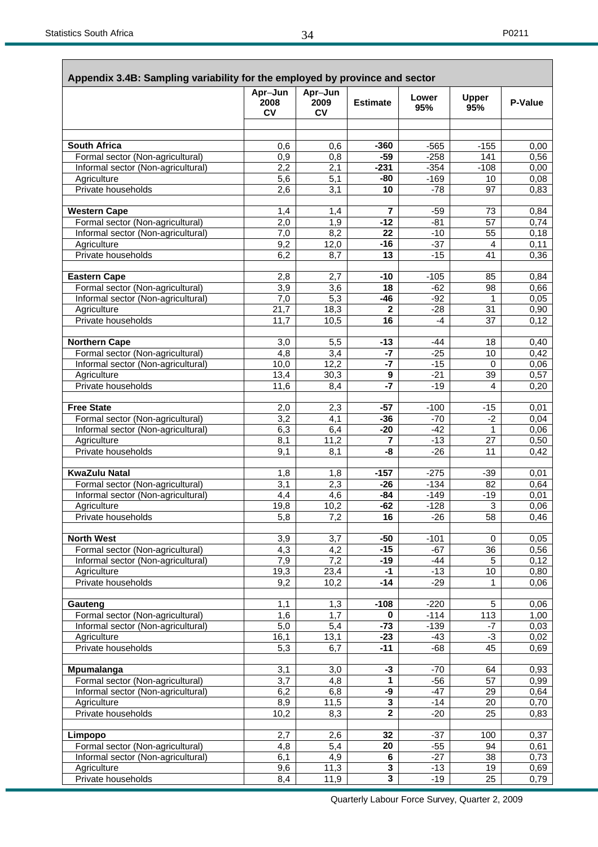| Appendix 3.4B: Sampling variability for the employed by province and sector | Apr-Jun          | Apr-Jun           |                    |                |                         |              |
|-----------------------------------------------------------------------------|------------------|-------------------|--------------------|----------------|-------------------------|--------------|
|                                                                             | 2008<br>CV       | 2009<br><b>CV</b> | <b>Estimate</b>    | Lower<br>95%   | <b>Upper</b><br>95%     | P-Value      |
|                                                                             |                  |                   |                    |                |                         |              |
| <b>South Africa</b>                                                         | 0,6              | 0,6               | $-360$             | $-565$         | $-155$                  | 0,00         |
| Formal sector (Non-agricultural)                                            | 0,9              | 0,8               | $-59$              | $-258$         | 141                     | 0,56         |
| Informal sector (Non-agricultural)                                          | 2,2              | 2,1               | $-231$             | $-354$         | $-108$                  | 0,00         |
| Agriculture                                                                 | 5,6              | 5,1               | -80                | $-169$         | 10                      | 0,08         |
| Private households                                                          | 2,6              | $\overline{3,1}$  | 10                 | $-78$          | 97                      | 0,83         |
| <b>Western Cape</b>                                                         | 1,4              | 1,4               | 7                  | $-59$          | 73                      | 0,84         |
| Formal sector (Non-agricultural)                                            | 2,0              | 1,9               | $-12$              | $-81$          | 57                      | 0,74         |
| Informal sector (Non-agricultural)                                          | 7,0              | 8,2               | 22                 | $-10$          | 55                      | 0,18         |
| Agriculture<br>Private households                                           | 9,2              | 12,0              | $-16$              | $-37$<br>$-15$ | 4<br>41                 | 0,11         |
|                                                                             | 6,2              | 8,7               | 13                 |                |                         | 0,36         |
| <b>Eastern Cape</b>                                                         | 2,8              | 2,7               | $-10$              | $-105$         | 85                      | 0,84         |
| Formal sector (Non-agricultural)                                            | 3,9              | 3,6               | 18                 | $-62$          | 98                      | 0,66         |
| Informal sector (Non-agricultural)                                          | 7,0              | $\overline{5,3}$  | $-46$              | $-92$          | 1                       | 0,05         |
| Agriculture                                                                 | 21,7             | 18,3              | $\mathbf{2}$       | $-28$          | 31                      | 0,90         |
| Private households                                                          | 11,7             | 10,5              | $\overline{16}$    | $-4$           | $\overline{37}$         | 0,12         |
| <b>Northern Cape</b>                                                        | 3,0              | 5,5               | $-13$              | -44            | 18                      | 0,40         |
| Formal sector (Non-agricultural)                                            | 4,8              | 3,4               | $-7$               | $-25$          | 10                      | 0,42         |
| Informal sector (Non-agricultural)                                          | 10,0             | 12,2              | $-7$               | $-15$          | $\mathbf 0$             | 0,06         |
| Agriculture                                                                 | 13,4             | 30,3              | 9                  | $-21$          | 39                      | 0,57         |
| Private households                                                          | 11,6             | 8,4               | $-7$               | $-19$          | 4                       | 0,20         |
| <b>Free State</b>                                                           | 2,0              | 2,3               | $-57$              | $-100$         | $-15$                   | 0,01         |
| Formal sector (Non-agricultural)                                            | 3,2              | 4,1               | $-36$              | $-70$          | $-2$                    | 0,04         |
| Informal sector (Non-agricultural)                                          | 6,3              | 6,4               | $-20$              | $-42$          | 1                       | 0,06         |
| Agriculture                                                                 | 8,1              | 11,2              | 7                  | $-13$          | 27                      | 0,50         |
| Private households                                                          | 9,1              | 8,1               | -8                 | $-26$          | 11                      | 0,42         |
| <b>KwaZulu Natal</b>                                                        | 1,8              | 1,8               | $-157$             | $-275$         | $-39$                   | 0,01         |
| Formal sector (Non-agricultural)                                            | 3,1              | 2,3               | $-26$              | $-134$         | 82                      | 0,64         |
| Informal sector (Non-agricultural)                                          | 4,4              | 4,6               | $-84$              | $-149$         | $-19$                   | 0,01         |
| Agriculture                                                                 | 19,8             | 10,2              | $-62$              | $-128$         | 3                       | 0,06         |
| Private households                                                          | 5,8              | 7,2               | 16                 | $-26$          | 58                      | 0,46         |
| <b>North West</b>                                                           | 3,9              | 3,7               | $-50$              | $-101$         | 0                       | 0,05         |
| Formal sector (Non-agricultural)                                            | $\overline{4,3}$ | $\overline{4,2}$  | $-15$              | $-67$          | 36                      | 0,56         |
| Informal sector (Non-agricultural)                                          | 7,9              | 7,2               | $-19$              | $-44$          | 5                       | 0,12         |
| Agriculture                                                                 | 19,3             | 23,4              | $-1$               | $-13$          | 10                      | 0,80         |
| Private households                                                          | 9,2              | 10,2              | $-14$              | $-29$          | 1                       | 0,06         |
| Gauteng                                                                     | 1,1              | 1,3               | $-108$             | $-220$         | 5                       | 0,06         |
| Formal sector (Non-agricultural)                                            | 1,6              | 1,7               | 0                  | $-114$         | 113                     | 1,00         |
| Informal sector (Non-agricultural)                                          | 5,0              | 5,4               | $-73$              | $-139$         | $-7$                    | 0,03         |
| Agriculture<br>Private households                                           | 16,1<br>5,3      | 13,1<br>6,7       | $-23$<br>$-11$     | $-43$<br>$-68$ | $-3$<br>$\overline{45}$ | 0,02<br>0,69 |
|                                                                             |                  |                   |                    |                |                         |              |
| Mpumalanga                                                                  | 3,1              | 3,0               | $-3$               | $-70$          | 64                      | 0,93         |
| Formal sector (Non-agricultural)                                            | 3,7              | 4,8               | 1                  | $-56$          | 57                      | 0,99         |
| Informal sector (Non-agricultural)                                          | 6,2              | 6,8               | -9<br>$\mathbf{3}$ | $-47$          | 29<br>20                | 0,64         |
| Agriculture<br>Private households                                           | 8,9<br>10,2      | 11,5<br>8,3       | $\overline{2}$     | $-14$<br>$-20$ | $\overline{25}$         | 0,70<br>0,83 |
|                                                                             |                  |                   |                    |                |                         |              |
| Limpopo                                                                     | 2,7              | 2,6               | 32                 | $-37$          | 100                     | 0,37         |
| Formal sector (Non-agricultural)                                            | 4,8              | 5,4               | 20                 | $-55$          | 94                      | 0,61         |
| Informal sector (Non-agricultural)                                          | 6,1              | 4,9               | $\bf 6$            | $-27$          | 38                      | 0,73         |
| Agriculture                                                                 | 9,6              | 11,3              | 3                  | $-13$          | 19                      | 0,69         |
| Private households                                                          | 8,4              | 11,9              | 3                  | $-19$          | $\overline{25}$         | 0,79         |

Quarterly Labour Force Survey, Quarter 2, 2009